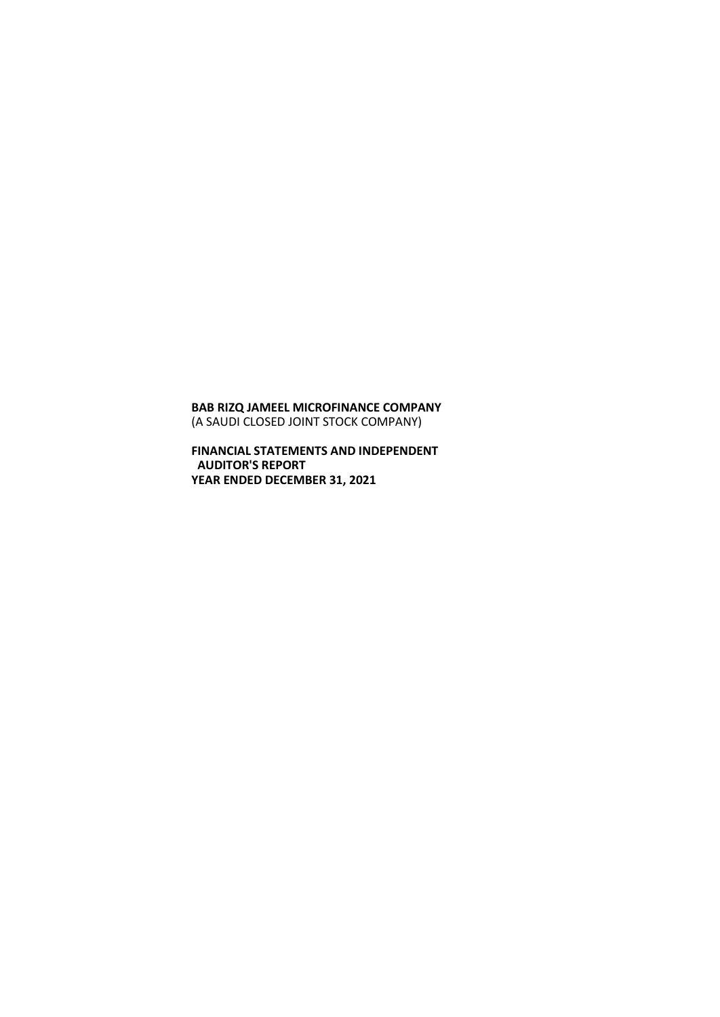**FINANCIAL STATEMENTS AND INDEPENDENT AUDITOR'S REPORT YEAR ENDED DECEMBER 31, 2021**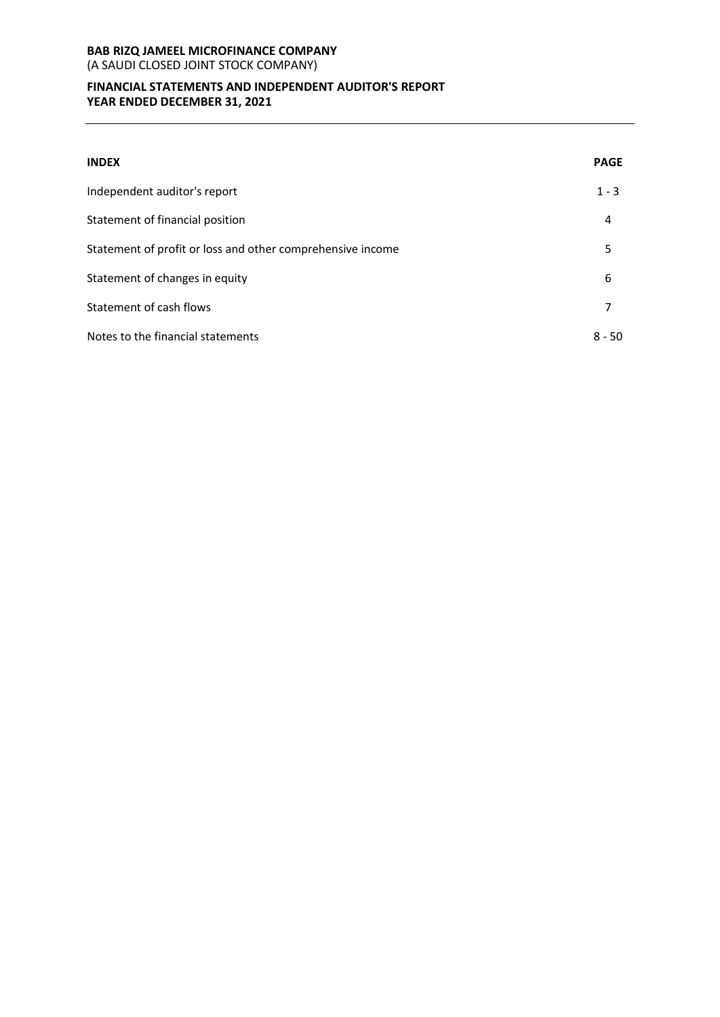# (A SAUDI CLOSED JOINT STOCK COMPANY)

# **FINANCIAL STATEMENTS AND INDEPENDENT AUDITOR'S REPORT YEAR ENDED DECEMBER 31, 2021**

| <b>INDEX</b>                                               | <b>PAGE</b> |
|------------------------------------------------------------|-------------|
| Independent auditor's report                               | $1 - 3$     |
| Statement of financial position                            | 4           |
| Statement of profit or loss and other comprehensive income | 5           |
| Statement of changes in equity                             | 6           |
| Statement of cash flows                                    | 7           |
| Notes to the financial statements                          | $8 - 50$    |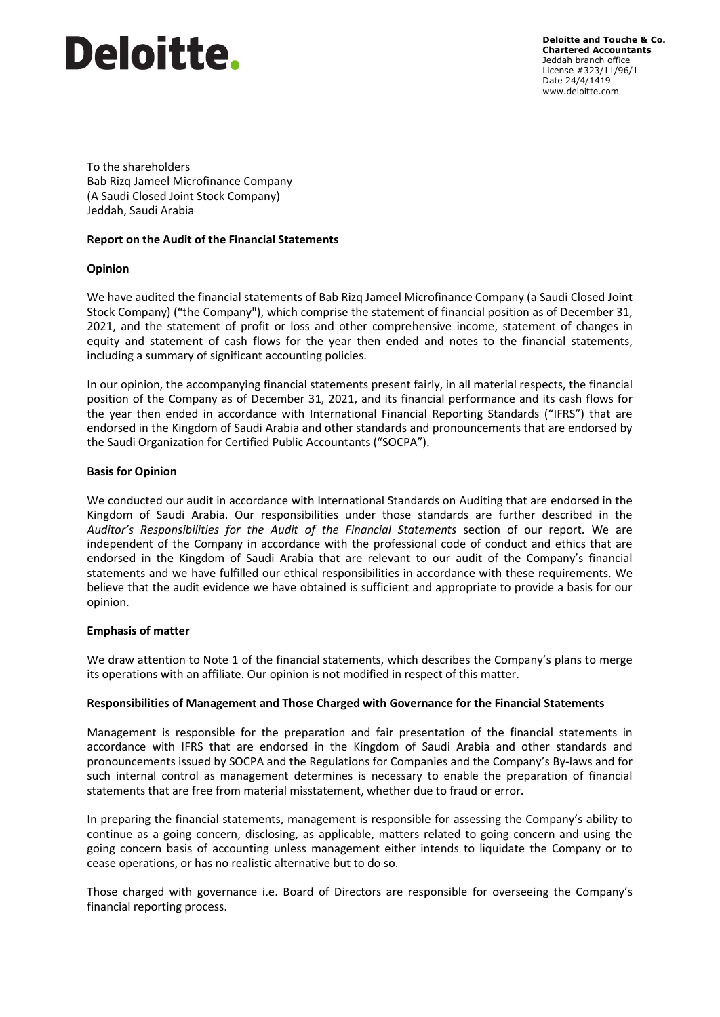# **Deloitte.**

**Deloitte and Touche & Co. Chartered Accountants** Jeddah branch office License #323/11/96/1 Date 24/4/1419 www.deloitte.com

To the shareholders Bab Rizq Jameel Microfinance Company (A Saudi Closed Joint Stock Company) Jeddah, Saudi Arabia

#### **Report on the Audit of the Financial Statements**

# **Opinion**

We have audited the financial statements of Bab Rizq Jameel Microfinance Company (a Saudi Closed Joint Stock Company) ("the Company"), which comprise the statement of financial position as of December 31, 2021, and the statement of profit or loss and other comprehensive income, statement of changes in equity and statement of cash flows for the year then ended and notes to the financial statements, including a summary of significant accounting policies.

In our opinion, the accompanying financial statements present fairly, in all material respects, the financial position of the Company as of December 31, 2021, and its financial performance and its cash flows for the year then ended in accordance with International Financial Reporting Standards ("IFRS") that are endorsed in the Kingdom of Saudi Arabia and other standards and pronouncements that are endorsed by the Saudi Organization for Certified Public Accountants ("SOCPA").

# **Basis for Opinion**

We conducted our audit in accordance with International Standards on Auditing that are endorsed in the Kingdom of Saudi Arabia. Our responsibilities under those standards are further described in the *Auditor's Responsibilities for the Audit of the Financial Statements* section of our report. We are independent of the Company in accordance with the professional code of conduct and ethics that are endorsed in the Kingdom of Saudi Arabia that are relevant to our audit of the Company's financial statements and we have fulfilled our ethical responsibilities in accordance with these requirements. We believe that the audit evidence we have obtained is sufficient and appropriate to provide a basis for our opinion.

#### **Emphasis of matter**

We draw attention to Note 1 of the financial statements, which describes the Company's plans to merge its operations with an affiliate. Our opinion is not modified in respect of this matter.

#### **Responsibilities of Management and Those Charged with Governance for the Financial Statements**

Management is responsible for the preparation and fair presentation of the financial statements in accordance with IFRS that are endorsed in the Kingdom of Saudi Arabia and other standards and pronouncements issued by SOCPA and the Regulations for Companies and the Company's By-laws and for such internal control as management determines is necessary to enable the preparation of financial statements that are free from material misstatement, whether due to fraud or error.

In preparing the financial statements, management is responsible for assessing the Company's ability to continue as a going concern, disclosing, as applicable, matters related to going concern and using the going concern basis of accounting unless management either intends to liquidate the Company or to cease operations, or has no realistic alternative but to do so.

Those charged with governance i.e. Board of Directors are responsible for overseeing the Company's financial reporting process.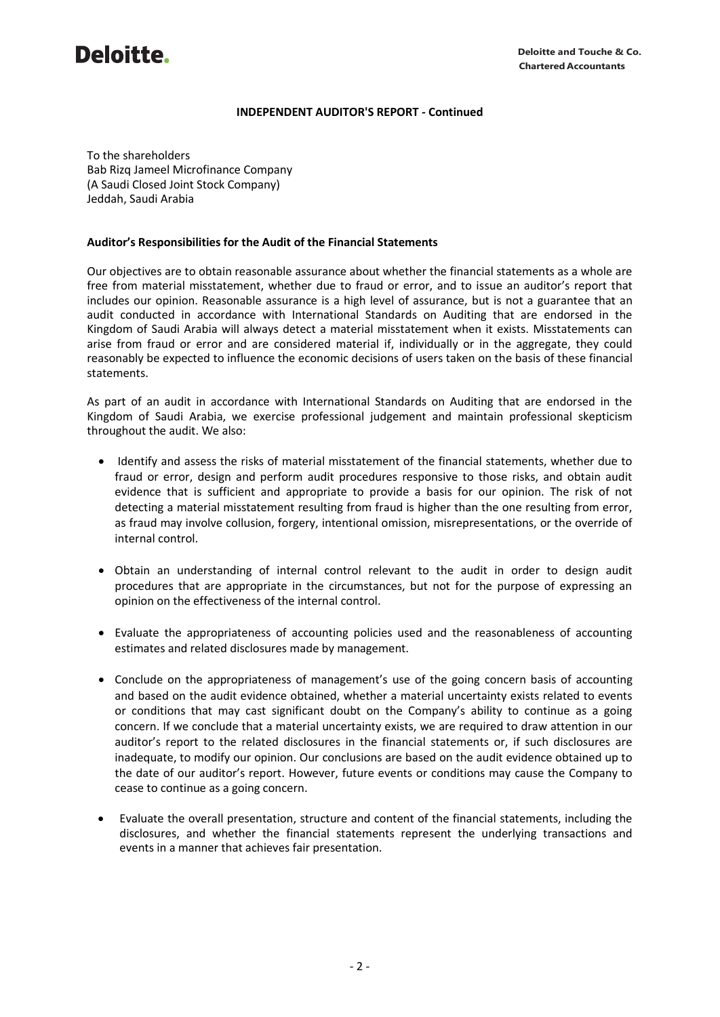# Deloitte.

# **INDEPENDENT AUDITOR'S REPORT - Continued**

To the shareholders Bab Rizq Jameel Microfinance Company (A Saudi Closed Joint Stock Company) Jeddah, Saudi Arabia

# **Auditor's Responsibilities for the Audit of the Financial Statements**

Our objectives are to obtain reasonable assurance about whether the financial statements as a whole are free from material misstatement, whether due to fraud or error, and to issue an auditor's report that includes our opinion. Reasonable assurance is a high level of assurance, but is not a guarantee that an audit conducted in accordance with International Standards on Auditing that are endorsed in the Kingdom of Saudi Arabia will always detect a material misstatement when it exists. Misstatements can arise from fraud or error and are considered material if, individually or in the aggregate, they could reasonably be expected to influence the economic decisions of users taken on the basis of these financial statements.

As part of an audit in accordance with International Standards on Auditing that are endorsed in the Kingdom of Saudi Arabia, we exercise professional judgement and maintain professional skepticism throughout the audit. We also:

- Identify and assess the risks of material misstatement of the financial statements, whether due to fraud or error, design and perform audit procedures responsive to those risks, and obtain audit evidence that is sufficient and appropriate to provide a basis for our opinion. The risk of not detecting a material misstatement resulting from fraud is higher than the one resulting from error, as fraud may involve collusion, forgery, intentional omission, misrepresentations, or the override of internal control.
- Obtain an understanding of internal control relevant to the audit in order to design audit procedures that are appropriate in the circumstances, but not for the purpose of expressing an opinion on the effectiveness of the internal control.
- Evaluate the appropriateness of accounting policies used and the reasonableness of accounting estimates and related disclosures made by management.
- Conclude on the appropriateness of management's use of the going concern basis of accounting and based on the audit evidence obtained, whether a material uncertainty exists related to events or conditions that may cast significant doubt on the Company's ability to continue as a going concern. If we conclude that a material uncertainty exists, we are required to draw attention in our auditor's report to the related disclosures in the financial statements or, if such disclosures are inadequate, to modify our opinion. Our conclusions are based on the audit evidence obtained up to the date of our auditor's report. However, future events or conditions may cause the Company to cease to continue as a going concern.
- Evaluate the overall presentation, structure and content of the financial statements, including the disclosures, and whether the financial statements represent the underlying transactions and events in a manner that achieves fair presentation.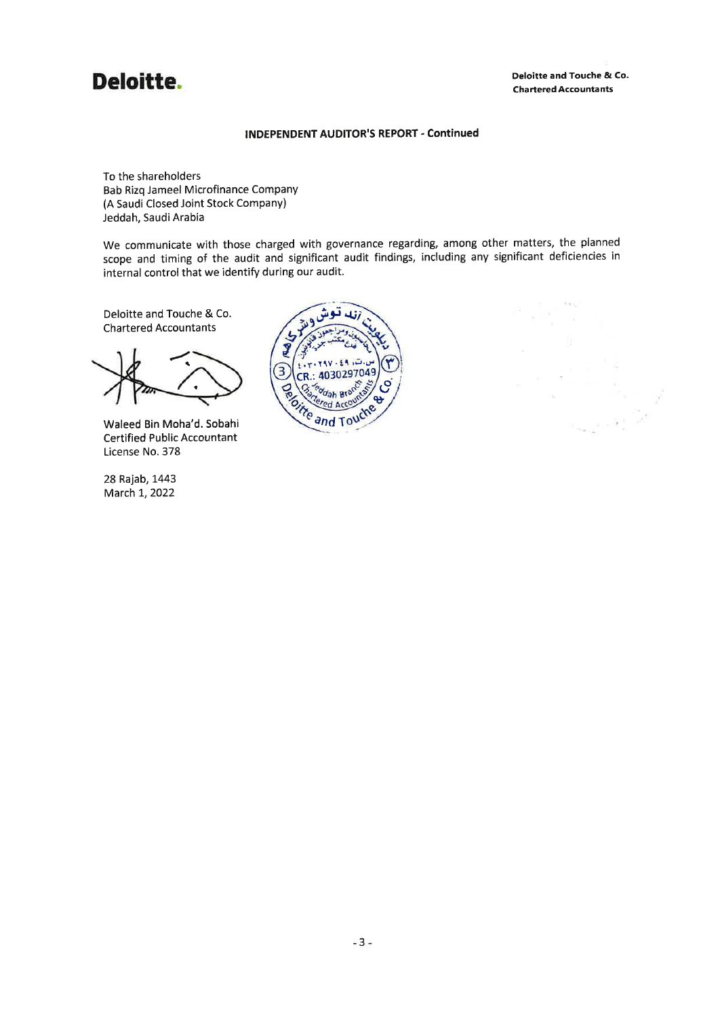

Deloitte and Touche & Co. **Chartered Accountants** 

#### INDEPENDENT AUDITOR'S REPORT - Continued

To the shareholders Bab Rizq Jameel Microfinance Company (A Saudi Closed Joint Stock Company) Jeddah, Saudi Arabia

We communicate with those charged with governance regarding, among other matters, the planned scope and timing of the audit and significant audit findings, including any significant deficiencies in internal control that we identify during our audit.

Deloitte and Touche & Co. **Chartered Accountants** 

Waleed Bin Moha'd. Sobahi **Certified Public Accountant** License No. 378

28 Rajab, 1443 March 1, 2022

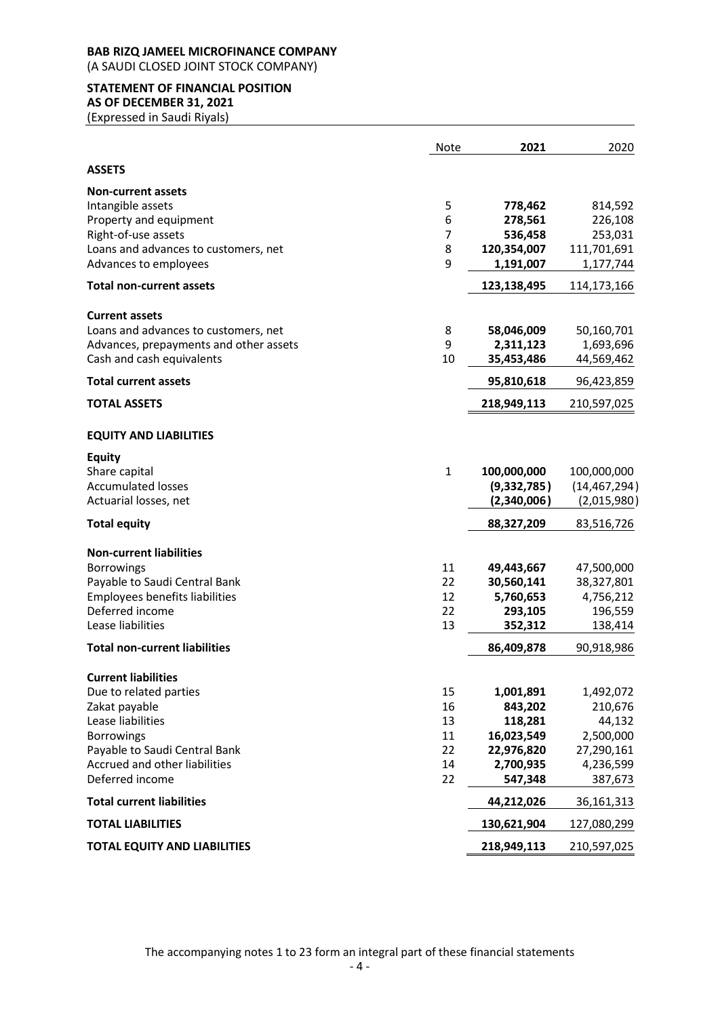(A SAUDI CLOSED JOINT STOCK COMPANY)

# **STATEMENT OF FINANCIAL POSITION AS OF DECEMBER 31, 2021**

|                                        | Note           | 2021        | 2020           |
|----------------------------------------|----------------|-------------|----------------|
| <b>ASSETS</b>                          |                |             |                |
| <b>Non-current assets</b>              |                |             |                |
| Intangible assets                      | 5              | 778,462     | 814,592        |
| Property and equipment                 | 6              | 278,561     | 226,108        |
| Right-of-use assets                    | $\overline{7}$ | 536,458     | 253,031        |
| Loans and advances to customers, net   | 8              | 120,354,007 | 111,701,691    |
| Advances to employees                  | 9              | 1,191,007   | 1,177,744      |
| <b>Total non-current assets</b>        |                | 123,138,495 | 114,173,166    |
| <b>Current assets</b>                  |                |             |                |
| Loans and advances to customers, net   | 8              | 58,046,009  | 50,160,701     |
| Advances, prepayments and other assets | 9              | 2,311,123   | 1,693,696      |
| Cash and cash equivalents              | 10             | 35,453,486  | 44,569,462     |
| <b>Total current assets</b>            |                | 95,810,618  | 96,423,859     |
| <b>TOTAL ASSETS</b>                    |                | 218,949,113 | 210,597,025    |
| <b>EQUITY AND LIABILITIES</b>          |                |             |                |
| <b>Equity</b>                          |                |             |                |
| Share capital                          | $\mathbf{1}$   | 100,000,000 | 100,000,000    |
| <b>Accumulated losses</b>              |                | (9,332,785) | (14, 467, 294) |
| Actuarial losses, net                  |                | (2,340,006) | (2,015,980)    |
| <b>Total equity</b>                    |                | 88,327,209  | 83,516,726     |
| <b>Non-current liabilities</b>         |                |             |                |
| <b>Borrowings</b>                      | 11             | 49,443,667  | 47,500,000     |
| Payable to Saudi Central Bank          | 22             | 30,560,141  | 38,327,801     |
| Employees benefits liabilities         | 12             | 5,760,653   | 4,756,212      |
| Deferred income                        | 22             | 293,105     | 196,559        |
| Lease liabilities                      | 13             | 352,312     | 138,414        |
| <b>Total non-current liabilities</b>   |                | 86,409,878  | 90,918,986     |
| <b>Current liabilities</b>             |                |             |                |
| Due to related parties                 | 15             | 1,001,891   | 1,492,072      |
| Zakat payable                          | 16             | 843,202     | 210,676        |
| Lease liabilities                      | 13             | 118,281     | 44,132         |
| <b>Borrowings</b>                      | 11             | 16,023,549  | 2,500,000      |
| Payable to Saudi Central Bank          | 22             | 22,976,820  | 27,290,161     |
| Accrued and other liabilities          | 14             | 2,700,935   | 4,236,599      |
| Deferred income                        | 22             | 547,348     | 387,673        |
| <b>Total current liabilities</b>       |                | 44,212,026  | 36,161,313     |
| <b>TOTAL LIABILITIES</b>               |                | 130,621,904 | 127,080,299    |
| <b>TOTAL EQUITY AND LIABILITIES</b>    |                | 218,949,113 | 210,597,025    |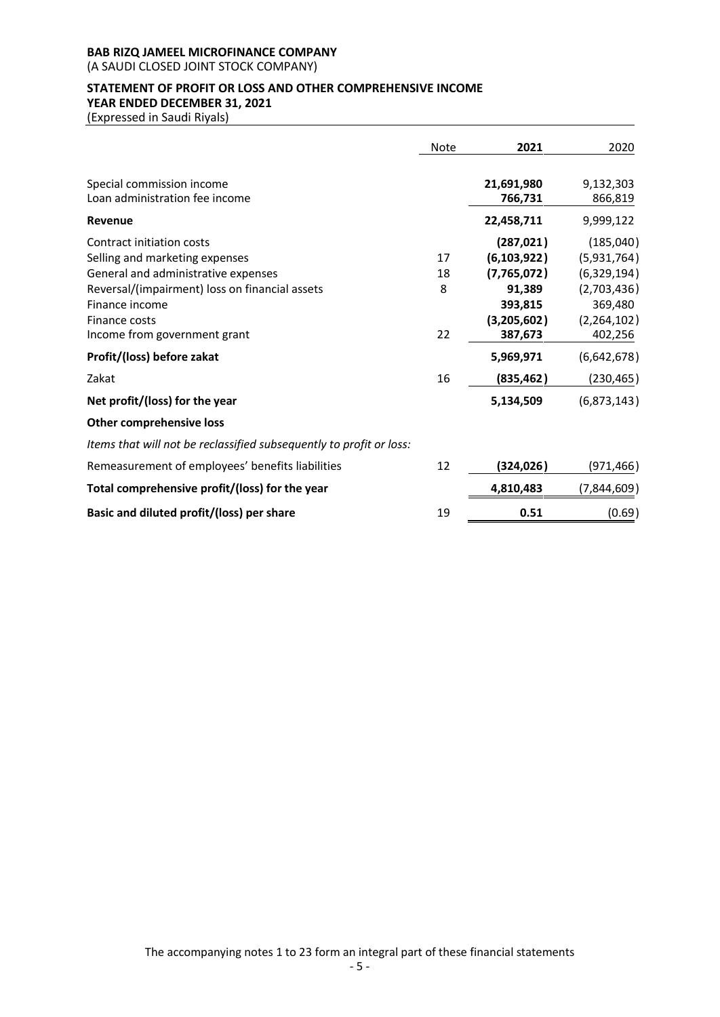(A SAUDI CLOSED JOINT STOCK COMPANY)

# **STATEMENT OF PROFIT OR LOSS AND OTHER COMPREHENSIVE INCOME YEAR ENDED DECEMBER 31, 2021**

|                                                                                                                                                                                                                         | <b>Note</b>         | 2021                                                                                      | 2020                                                                                        |
|-------------------------------------------------------------------------------------------------------------------------------------------------------------------------------------------------------------------------|---------------------|-------------------------------------------------------------------------------------------|---------------------------------------------------------------------------------------------|
| Special commission income<br>Loan administration fee income                                                                                                                                                             |                     | 21,691,980<br>766,731                                                                     | 9,132,303<br>866,819                                                                        |
| Revenue                                                                                                                                                                                                                 |                     | 22,458,711                                                                                | 9,999,122                                                                                   |
| Contract initiation costs<br>Selling and marketing expenses<br>General and administrative expenses<br>Reversal/(impairment) loss on financial assets<br>Finance income<br>Finance costs<br>Income from government grant | 17<br>18<br>8<br>22 | (287, 021)<br>(6, 103, 922)<br>(7,765,072)<br>91,389<br>393,815<br>(3,205,602)<br>387,673 | (185,040)<br>(5,931,764)<br>(6,329,194)<br>(2,703,436)<br>369,480<br>(2,264,102)<br>402,256 |
| Profit/(loss) before zakat                                                                                                                                                                                              |                     | 5,969,971                                                                                 | (6,642,678)                                                                                 |
| Zakat                                                                                                                                                                                                                   | 16                  | (835,462)                                                                                 | (230, 465)                                                                                  |
| Net profit/(loss) for the year                                                                                                                                                                                          |                     | 5,134,509                                                                                 | (6,873,143)                                                                                 |
| <b>Other comprehensive loss</b>                                                                                                                                                                                         |                     |                                                                                           |                                                                                             |
| Items that will not be reclassified subsequently to profit or loss:                                                                                                                                                     |                     |                                                                                           |                                                                                             |
| Remeasurement of employees' benefits liabilities                                                                                                                                                                        | 12                  | (324,026)                                                                                 | (971,466)                                                                                   |
| Total comprehensive profit/(loss) for the year                                                                                                                                                                          |                     | 4,810,483                                                                                 | (7,844,609)                                                                                 |
| Basic and diluted profit/(loss) per share                                                                                                                                                                               | 19                  | 0.51                                                                                      | (0.69)                                                                                      |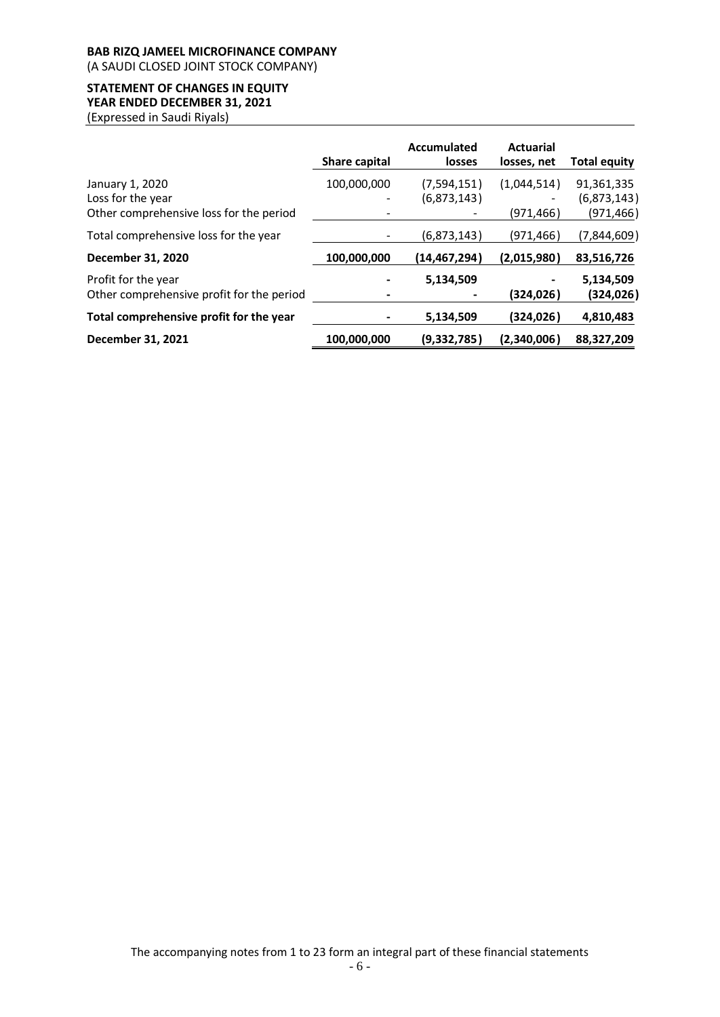(A SAUDI CLOSED JOINT STOCK COMPANY)

# **STATEMENT OF CHANGES IN EQUITY YEAR ENDED DECEMBER 31, 2021**

|                                                                                 | <b>Share capital</b> | Accumulated<br><b>losses</b> | <b>Actuarial</b><br>losses, net | <b>Total equity</b>                     |
|---------------------------------------------------------------------------------|----------------------|------------------------------|---------------------------------|-----------------------------------------|
| January 1, 2020<br>Loss for the year<br>Other comprehensive loss for the period | 100,000,000          | (7,594,151)<br>(6,873,143)   | (1,044,514)<br>(971,466)        | 91,361,335<br>(6,873,143)<br>(971, 466) |
| Total comprehensive loss for the year                                           |                      | (6,873,143)                  | (971,466)                       | (7,844,609)                             |
| December 31, 2020                                                               | 100,000,000          | (14, 467, 294)               | (2,015,980)                     | 83,516,726                              |
| Profit for the year<br>Other comprehensive profit for the period                |                      | 5,134,509                    | (324,026)                       | 5,134,509<br>(324,026)                  |
| Total comprehensive profit for the year                                         |                      | 5,134,509                    | (324,026)                       | 4,810,483                               |
| December 31, 2021                                                               | 100,000,000          | (9,332,785)                  | (2,340,006)                     | 88,327,209                              |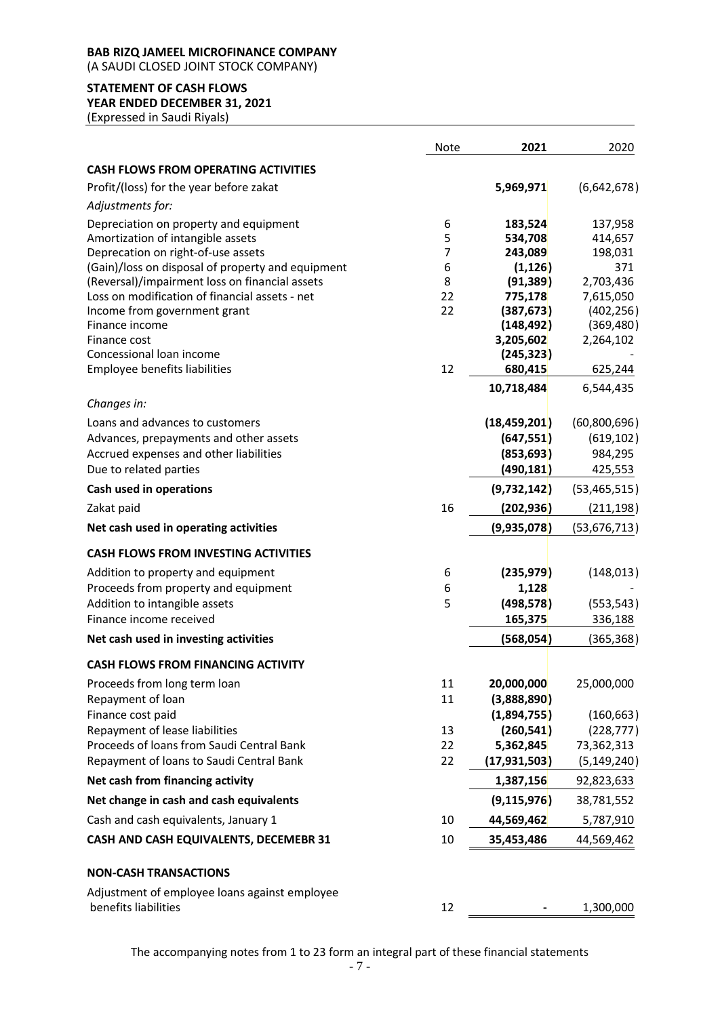(A SAUDI CLOSED JOINT STOCK COMPANY)

# **STATEMENT OF CASH FLOWS YEAR ENDED DECEMBER 31, 2021**

|                                                   | Note     | 2021                     | 2020                     |
|---------------------------------------------------|----------|--------------------------|--------------------------|
| <b>CASH FLOWS FROM OPERATING ACTIVITIES</b>       |          |                          |                          |
| Profit/(loss) for the year before zakat           |          | 5,969,971                | (6,642,678)              |
| Adjustments for:                                  |          |                          |                          |
| Depreciation on property and equipment            | 6        | 183,524                  | 137,958                  |
| Amortization of intangible assets                 | 5        | 534,708                  | 414,657                  |
| Deprecation on right-of-use assets                | 7        | 243,089                  | 198,031                  |
| (Gain)/loss on disposal of property and equipment | 6        | (1, 126)                 | 371                      |
| (Reversal)/impairment loss on financial assets    | 8        | (91, 389)                | 2,703,436                |
| Loss on modification of financial assets - net    | 22<br>22 | 775,178                  | 7,615,050                |
| Income from government grant<br>Finance income    |          | (387, 673)<br>(148, 492) | (402, 256)<br>(369, 480) |
| Finance cost                                      |          | 3,205,602                | 2,264,102                |
| Concessional loan income                          |          | (245, 323)               |                          |
| Employee benefits liabilities                     | 12       | 680,415                  | 625,244                  |
|                                                   |          | 10,718,484               | 6,544,435                |
| Changes in:                                       |          |                          |                          |
| Loans and advances to customers                   |          | (18, 459, 201)           | (60,800,696)             |
| Advances, prepayments and other assets            |          | (647, 551)               | (619, 102)               |
| Accrued expenses and other liabilities            |          | (853, 693)               | 984,295                  |
| Due to related parties                            |          | (490, 181)               | 425,553                  |
| Cash used in operations                           |          | (9,732,142)              | (53, 465, 515)           |
| Zakat paid                                        | 16       | (202, 936)               | (211, 198)               |
| Net cash used in operating activities             |          | (9,935,078)              | (53, 676, 713)           |
| <b>CASH FLOWS FROM INVESTING ACTIVITIES</b>       |          |                          |                          |
| Addition to property and equipment                | 6        | (235, 979)               | (148, 013)               |
| Proceeds from property and equipment              | 6        | 1,128                    |                          |
| Addition to intangible assets                     | 5        | (498, 578)               | (553, 543)               |
| Finance income received                           |          | 165,375                  | 336,188                  |
| Net cash used in investing activities             |          | (568, 054)               | (365, 368)               |
| <b>CASH FLOWS FROM FINANCING ACTIVITY</b>         |          |                          |                          |
| Proceeds from long term loan                      | 11       | 20,000,000               | 25,000,000               |
| Repayment of loan                                 | 11       | (3,888,890)              |                          |
| Finance cost paid                                 |          | (1,894,755)              | (160, 663)               |
| Repayment of lease liabilities                    | 13       | (260, 541)               | (228, 777)               |
| Proceeds of Ioans from Saudi Central Bank         | 22       | 5,362,845                | 73,362,313               |
| Repayment of loans to Saudi Central Bank          | 22       | (17, 931, 503)           | (5, 149, 240)            |
| Net cash from financing activity                  |          | 1,387,156                | 92,823,633               |
| Net change in cash and cash equivalents           |          | (9, 115, 976)            | 38,781,552               |
| Cash and cash equivalents, January 1              | 10       | 44,569,462               | 5,787,910                |
| CASH AND CASH EQUIVALENTS, DECEMEBR 31            | 10       | 35,453,486               | 44,569,462               |
| <b>NON-CASH TRANSACTIONS</b>                      |          |                          |                          |
| Adjustment of employee loans against employee     |          |                          |                          |
| benefits liabilities                              | 12       |                          | 1,300,000                |
|                                                   |          |                          |                          |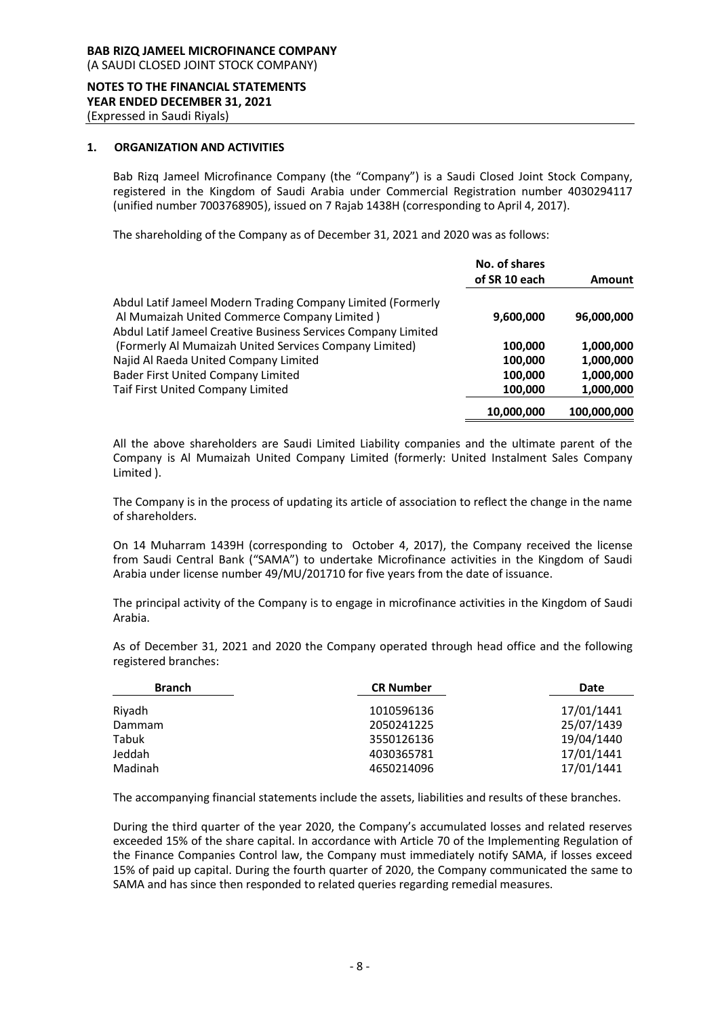# **1. ORGANIZATION AND ACTIVITIES**

Bab Rizq Jameel Microfinance Company (the "Company") is a Saudi Closed Joint Stock Company, registered in the Kingdom of Saudi Arabia under Commercial Registration number 4030294117 (unified number 7003768905), issued on 7 Rajab 1438H (corresponding to April 4, 2017).

The shareholding of the Company as of December 31, 2021 and 2020 was as follows:

|                                                                                                                                                                              | No. of shares<br>of SR 10 each | Amount      |
|------------------------------------------------------------------------------------------------------------------------------------------------------------------------------|--------------------------------|-------------|
| Abdul Latif Jameel Modern Trading Company Limited (Formerly<br>Al Mumaizah United Commerce Company Limited)<br>Abdul Latif Jameel Creative Business Services Company Limited | 9,600,000                      | 96,000,000  |
| (Formerly Al Mumaizah United Services Company Limited)                                                                                                                       | 100,000                        | 1,000,000   |
| Najid Al Raeda United Company Limited                                                                                                                                        | 100,000                        | 1,000,000   |
| Bader First United Company Limited                                                                                                                                           | 100,000                        | 1,000,000   |
| <b>Taif First United Company Limited</b>                                                                                                                                     | 100,000                        | 1,000,000   |
|                                                                                                                                                                              | 10,000,000                     | 100,000,000 |

All the above shareholders are Saudi Limited Liability companies and the ultimate parent of the Company is Al Mumaizah United Company Limited (formerly: United Instalment Sales Company Limited ).

The Company is in the process of updating its article of association to reflect the change in the name of shareholders.

On 14 Muharram 1439H (corresponding to October 4, 2017), the Company received the license from Saudi Central Bank ("SAMA") to undertake Microfinance activities in the Kingdom of Saudi Arabia under license number 49/MU/201710 for five years from the date of issuance.

The principal activity of the Company is to engage in microfinance activities in the Kingdom of Saudi Arabia.

As of December 31, 2021 and 2020 the Company operated through head office and the following registered branches:

| <b>Branch</b>  | <b>CR Number</b> | Date       |
|----------------|------------------|------------|
| Riyadh         | 1010596136       | 17/01/1441 |
| Dammam         | 2050241225       | 25/07/1439 |
| Tabuk          | 3550126136       | 19/04/1440 |
| Jeddah         | 4030365781       | 17/01/1441 |
| <b>Madinah</b> | 4650214096       | 17/01/1441 |

The accompanying financial statements include the assets, liabilities and results of these branches.

During the third quarter of the year 2020, the Company's accumulated losses and related reserves exceeded 15% of the share capital. In accordance with Article 70 of the Implementing Regulation of the Finance Companies Control law, the Company must immediately notify SAMA, if losses exceed 15% of paid up capital. During the fourth quarter of 2020, the Company communicated the same to SAMA and has since then responded to related queries regarding remedial measures.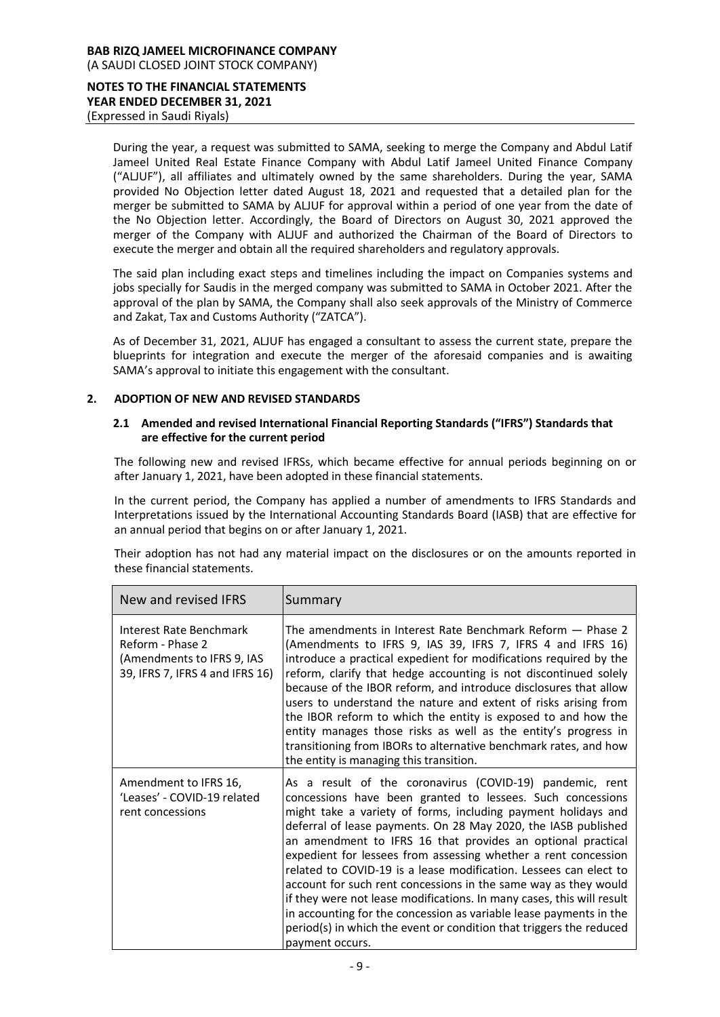During the year, a request was submitted to SAMA, seeking to merge the Company and Abdul Latif Jameel United Real Estate Finance Company with Abdul Latif Jameel United Finance Company ("ALJUF"), all affiliates and ultimately owned by the same shareholders. During the year, SAMA provided No Objection letter dated August 18, 2021 and requested that a detailed plan for the merger be submitted to SAMA by ALJUF for approval within a period of one year from the date of the No Objection letter. Accordingly, the Board of Directors on August 30, 2021 approved the merger of the Company with ALJUF and authorized the Chairman of the Board of Directors to execute the merger and obtain all the required shareholders and regulatory approvals.

The said plan including exact steps and timelines including the impact on Companies systems and jobs specially for Saudis in the merged company was submitted to SAMA in October 2021. After the approval of the plan by SAMA, the Company shall also seek approvals of the Ministry of Commerce and Zakat, Tax and Customs Authority ("ZATCA").

As of December 31, 2021, ALJUF has engaged a consultant to assess the current state, prepare the blueprints for integration and execute the merger of the aforesaid companies and is awaiting SAMA's approval to initiate this engagement with the consultant.

# **2. ADOPTION OF NEW AND REVISED STANDARDS**

# **2.1 Amended and revised International Financial Reporting Standards ("IFRS") Standards that are effective for the current period**

The following new and revised IFRSs, which became effective for annual periods beginning on or after January 1, 2021, have been adopted in these financial statements.

In the current period, the Company has applied a number of amendments to IFRS Standards and Interpretations issued by the International Accounting Standards Board (IASB) that are effective for an annual period that begins on or after January 1, 2021.

Their adoption has not had any material impact on the disclosures or on the amounts reported in these financial statements.

| New and revised IFRS                                                                                         | Summary                                                                                                                                                                                                                                                                                                                                                                                                                                                                                                                                                                                                                                                                                                                                                                     |
|--------------------------------------------------------------------------------------------------------------|-----------------------------------------------------------------------------------------------------------------------------------------------------------------------------------------------------------------------------------------------------------------------------------------------------------------------------------------------------------------------------------------------------------------------------------------------------------------------------------------------------------------------------------------------------------------------------------------------------------------------------------------------------------------------------------------------------------------------------------------------------------------------------|
| Interest Rate Benchmark<br>Reform - Phase 2<br>(Amendments to IFRS 9, IAS<br>39, IFRS 7, IFRS 4 and IFRS 16) | The amendments in Interest Rate Benchmark Reform — Phase 2<br>(Amendments to IFRS 9, IAS 39, IFRS 7, IFRS 4 and IFRS 16)<br>introduce a practical expedient for modifications required by the<br>reform, clarify that hedge accounting is not discontinued solely<br>because of the IBOR reform, and introduce disclosures that allow<br>users to understand the nature and extent of risks arising from<br>the IBOR reform to which the entity is exposed to and how the<br>entity manages those risks as well as the entity's progress in<br>transitioning from IBORs to alternative benchmark rates, and how<br>the entity is managing this transition.                                                                                                                  |
| Amendment to IFRS 16,<br>'Leases' - COVID-19 related<br>rent concessions                                     | As a result of the coronavirus (COVID-19) pandemic, rent<br>concessions have been granted to lessees. Such concessions<br>might take a variety of forms, including payment holidays and<br>deferral of lease payments. On 28 May 2020, the IASB published<br>an amendment to IFRS 16 that provides an optional practical<br>expedient for lessees from assessing whether a rent concession<br>related to COVID-19 is a lease modification. Lessees can elect to<br>account for such rent concessions in the same way as they would<br>if they were not lease modifications. In many cases, this will result<br>in accounting for the concession as variable lease payments in the<br>period(s) in which the event or condition that triggers the reduced<br>payment occurs. |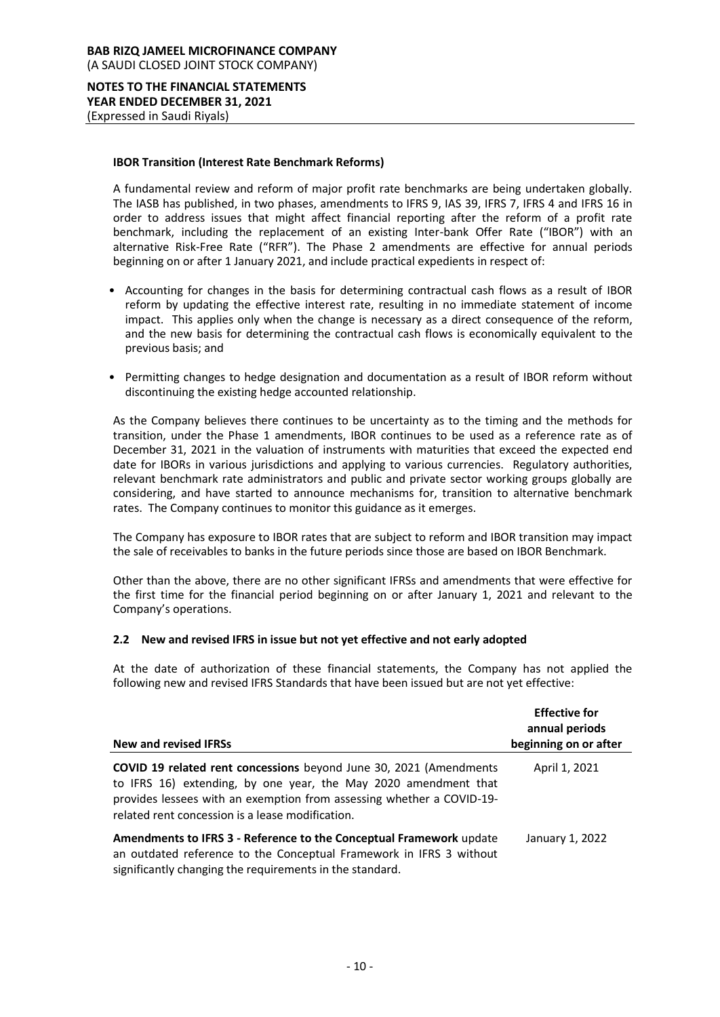# **IBOR Transition (Interest Rate Benchmark Reforms)**

A fundamental review and reform of major profit rate benchmarks are being undertaken globally. The IASB has published, in two phases, amendments to IFRS 9, IAS 39, IFRS 7, IFRS 4 and IFRS 16 in order to address issues that might affect financial reporting after the reform of a profit rate benchmark, including the replacement of an existing Inter-bank Offer Rate ("IBOR") with an alternative Risk-Free Rate ("RFR"). The Phase 2 amendments are effective for annual periods beginning on or after 1 January 2021, and include practical expedients in respect of:

- Accounting for changes in the basis for determining contractual cash flows as a result of IBOR reform by updating the effective interest rate, resulting in no immediate statement of income impact. This applies only when the change is necessary as a direct consequence of the reform, and the new basis for determining the contractual cash flows is economically equivalent to the previous basis; and
- Permitting changes to hedge designation and documentation as a result of IBOR reform without discontinuing the existing hedge accounted relationship.

As the Company believes there continues to be uncertainty as to the timing and the methods for transition, under the Phase 1 amendments, IBOR continues to be used as a reference rate as of December 31, 2021 in the valuation of instruments with maturities that exceed the expected end date for IBORs in various jurisdictions and applying to various currencies. Regulatory authorities, relevant benchmark rate administrators and public and private sector working groups globally are considering, and have started to announce mechanisms for, transition to alternative benchmark rates. The Company continues to monitor this guidance as it emerges.

The Company has exposure to IBOR rates that are subject to reform and IBOR transition may impact the sale of receivables to banks in the future periods since those are based on IBOR Benchmark.

Other than the above, there are no other significant IFRSs and amendments that were effective for the first time for the financial period beginning on or after January 1, 2021 and relevant to the Company's operations.

#### **2.2 New and revised IFRS in issue but not yet effective and not early adopted**

At the date of authorization of these financial statements, the Company has not applied the following new and revised IFRS Standards that have been issued but are not yet effective:

| <b>New and revised IFRSs</b>                                                                                                                                                                                                                                       | <b>Effective for</b><br>annual periods<br>beginning on or after |
|--------------------------------------------------------------------------------------------------------------------------------------------------------------------------------------------------------------------------------------------------------------------|-----------------------------------------------------------------|
| COVID 19 related rent concessions beyond June 30, 2021 (Amendments<br>to IFRS 16) extending, by one year, the May 2020 amendment that<br>provides lessees with an exemption from assessing whether a COVID-19-<br>related rent concession is a lease modification. | April 1, 2021                                                   |
| Amendments to IFRS 3 - Reference to the Conceptual Framework update<br>an outdated reference to the Conceptual Framework in IFRS 3 without<br>significantly changing the requirements in the standard.                                                             | January 1, 2022                                                 |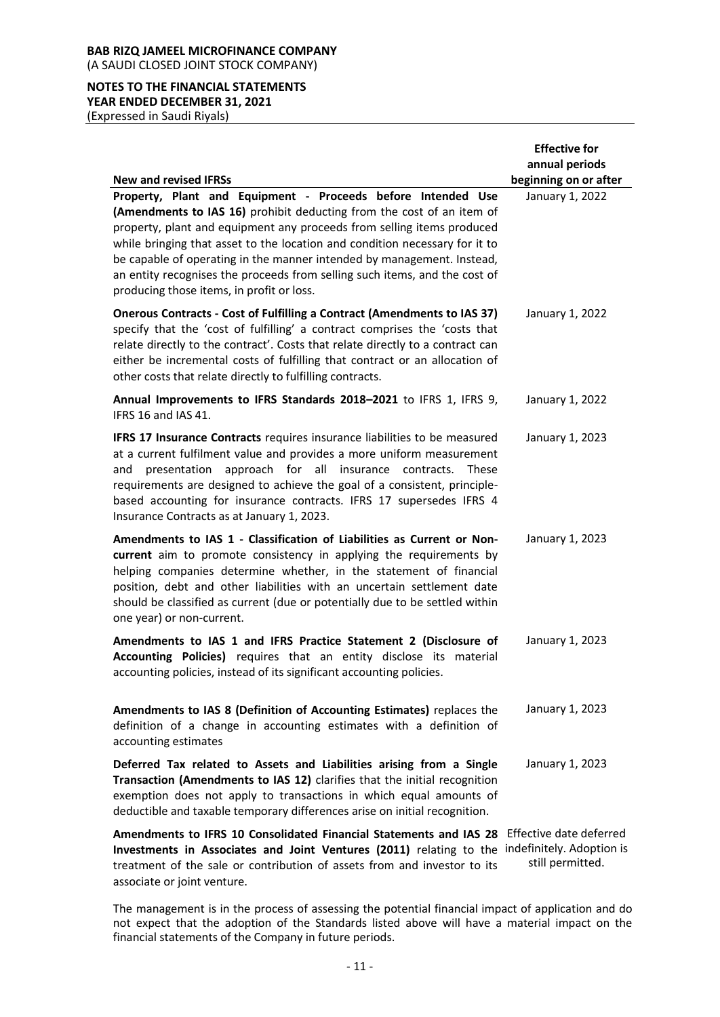(A SAUDI CLOSED JOINT STOCK COMPANY)

#### **NOTES TO THE FINANCIAL STATEMENTS YEAR ENDED DECEMBER 31, 2021**

(Expressed in Saudi Riyals)

| <b>New and revised IFRSs</b>                                                                                                                                                                                                                                                                                                                                                                                                                                                                        | <b>Effective for</b><br>annual periods<br>beginning on or after |
|-----------------------------------------------------------------------------------------------------------------------------------------------------------------------------------------------------------------------------------------------------------------------------------------------------------------------------------------------------------------------------------------------------------------------------------------------------------------------------------------------------|-----------------------------------------------------------------|
| Property, Plant and Equipment - Proceeds before Intended Use<br>(Amendments to IAS 16) prohibit deducting from the cost of an item of<br>property, plant and equipment any proceeds from selling items produced<br>while bringing that asset to the location and condition necessary for it to<br>be capable of operating in the manner intended by management. Instead,<br>an entity recognises the proceeds from selling such items, and the cost of<br>producing those items, in profit or loss. | January 1, 2022                                                 |
| <b>Onerous Contracts - Cost of Fulfilling a Contract (Amendments to IAS 37)</b><br>specify that the 'cost of fulfilling' a contract comprises the 'costs that<br>relate directly to the contract'. Costs that relate directly to a contract can<br>either be incremental costs of fulfilling that contract or an allocation of<br>other costs that relate directly to fulfilling contracts.                                                                                                         | January 1, 2022                                                 |
| Annual Improvements to IFRS Standards 2018-2021 to IFRS 1, IFRS 9,<br>IFRS 16 and IAS 41.                                                                                                                                                                                                                                                                                                                                                                                                           | January 1, 2022                                                 |
| IFRS 17 Insurance Contracts requires insurance liabilities to be measured<br>at a current fulfilment value and provides a more uniform measurement<br>approach for all<br>presentation<br>insurance contracts.<br>These<br>and<br>requirements are designed to achieve the goal of a consistent, principle-<br>based accounting for insurance contracts. IFRS 17 supersedes IFRS 4<br>Insurance Contracts as at January 1, 2023.                                                                    | January 1, 2023                                                 |
| Amendments to IAS 1 - Classification of Liabilities as Current or Non-<br>current aim to promote consistency in applying the requirements by<br>helping companies determine whether, in the statement of financial<br>position, debt and other liabilities with an uncertain settlement date<br>should be classified as current (due or potentially due to be settled within<br>one year) or non-current.                                                                                           | January 1, 2023                                                 |
| Amendments to IAS 1 and IFRS Practice Statement 2 (Disclosure of<br>Accounting Policies) requires that an entity disclose its material<br>accounting policies, instead of its significant accounting policies.                                                                                                                                                                                                                                                                                      | January 1, 2023                                                 |
| Amendments to IAS 8 (Definition of Accounting Estimates) replaces the<br>definition of a change in accounting estimates with a definition of<br>accounting estimates                                                                                                                                                                                                                                                                                                                                | January 1, 2023                                                 |
| Deferred Tax related to Assets and Liabilities arising from a Single<br>Transaction (Amendments to IAS 12) clarifies that the initial recognition<br>exemption does not apply to transactions in which equal amounts of<br>deductible and taxable temporary differences arise on initial recognition.                                                                                                                                                                                               | January 1, 2023                                                 |
| Amendments to IFRS 10 Consolidated Financial Statements and IAS 28 Effective date deferred                                                                                                                                                                                                                                                                                                                                                                                                          |                                                                 |

**Investments in Associates and Joint Ventures (2011)** relating to the indefinitely. Adoption is treatment of the sale or contribution of assets from and investor to its associate or joint venture. still permitted.

The management is in the process of assessing the potential financial impact of application and do not expect that the adoption of the Standards listed above will have a material impact on the financial statements of the Company in future periods.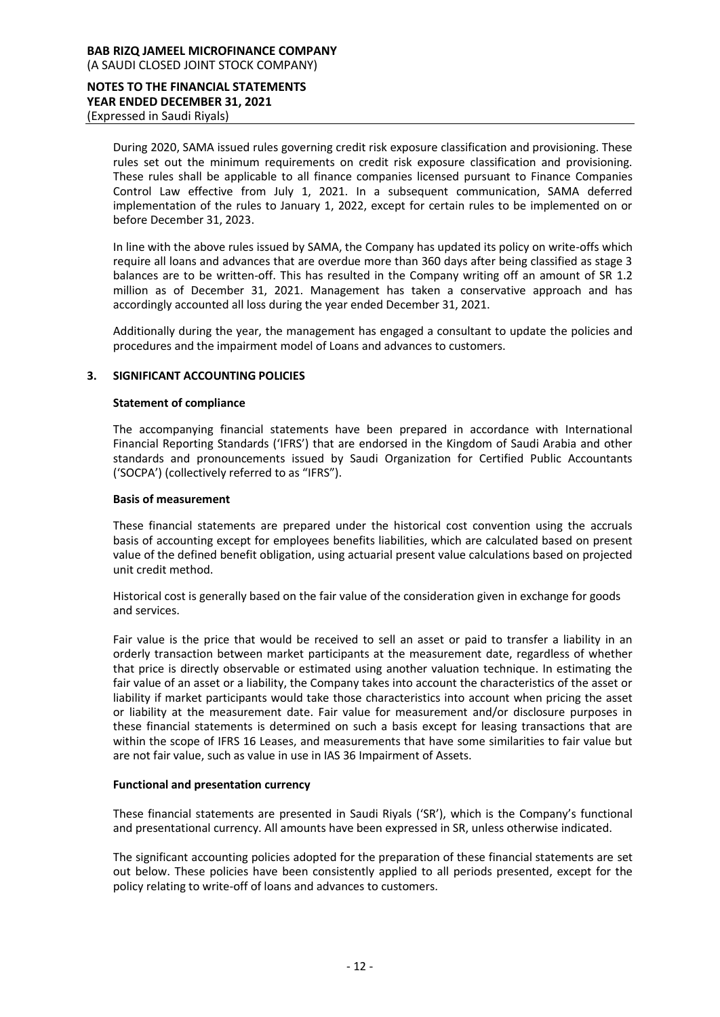During 2020, SAMA issued rules governing credit risk exposure classification and provisioning. These rules set out the minimum requirements on credit risk exposure classification and provisioning. These rules shall be applicable to all finance companies licensed pursuant to Finance Companies Control Law effective from July 1, 2021. In a subsequent communication, SAMA deferred implementation of the rules to January 1, 2022, except for certain rules to be implemented on or before December 31, 2023.

In line with the above rules issued by SAMA, the Company has updated its policy on write-offs which require all loans and advances that are overdue more than 360 days after being classified as stage 3 balances are to be written-off. This has resulted in the Company writing off an amount of SR 1.2 million as of December 31, 2021. Management has taken a conservative approach and has accordingly accounted all loss during the year ended December 31, 2021.

Additionally during the year, the management has engaged a consultant to update the policies and procedures and the impairment model of Loans and advances to customers.

# **3. SIGNIFICANT ACCOUNTING POLICIES**

#### **Statement of compliance**

The accompanying financial statements have been prepared in accordance with International Financial Reporting Standards ('IFRS') that are endorsed in the Kingdom of Saudi Arabia and other standards and pronouncements issued by Saudi Organization for Certified Public Accountants ('SOCPA') (collectively referred to as "IFRS").

#### **Basis of measurement**

These financial statements are prepared under the historical cost convention using the accruals basis of accounting except for employees benefits liabilities, which are calculated based on present value of the defined benefit obligation, using actuarial present value calculations based on projected unit credit method.

Historical cost is generally based on the fair value of the consideration given in exchange for goods and services.

Fair value is the price that would be received to sell an asset or paid to transfer a liability in an orderly transaction between market participants at the measurement date, regardless of whether that price is directly observable or estimated using another valuation technique. In estimating the fair value of an asset or a liability, the Company takes into account the characteristics of the asset or liability if market participants would take those characteristics into account when pricing the asset or liability at the measurement date. Fair value for measurement and/or disclosure purposes in these financial statements is determined on such a basis except for leasing transactions that are within the scope of IFRS 16 Leases, and measurements that have some similarities to fair value but are not fair value, such as value in use in IAS 36 Impairment of Assets.

#### **Functional and presentation currency**

These financial statements are presented in Saudi Riyals ('SR'), which is the Company's functional and presentational currency. All amounts have been expressed in SR, unless otherwise indicated.

The significant accounting policies adopted for the preparation of these financial statements are set out below. These policies have been consistently applied to all periods presented, except for the policy relating to write-off of loans and advances to customers.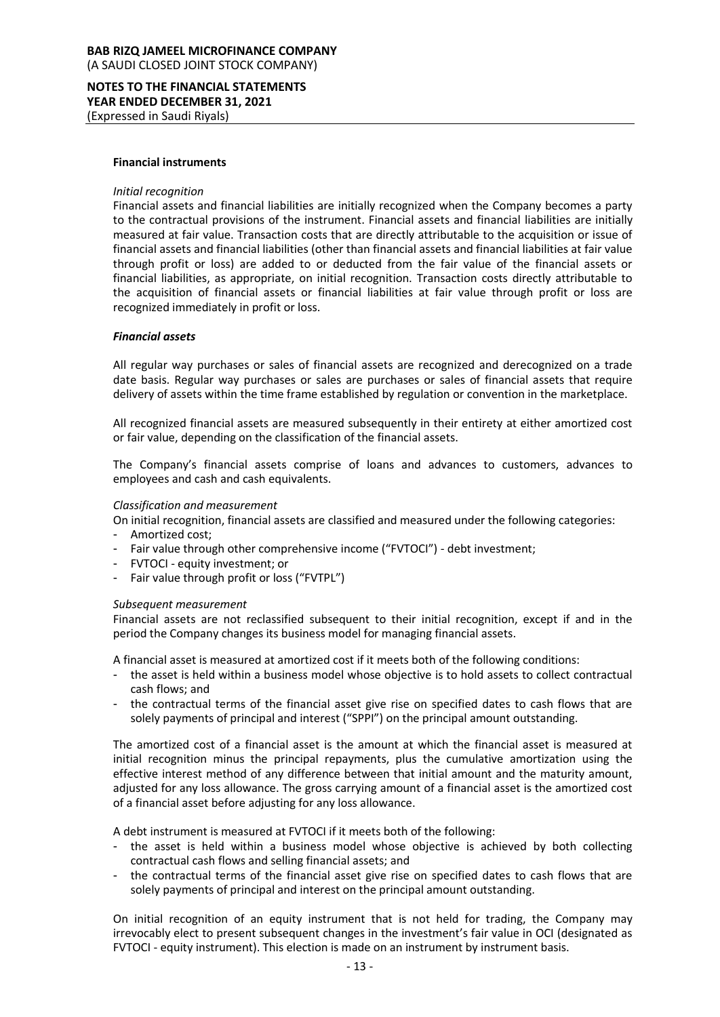# **NOTES TO THE FINANCIAL STATEMENTS YEAR ENDED DECEMBER 31, 2021** (Expressed in Saudi Riyals)

#### **Financial instruments**

#### *Initial recognition*

Financial assets and financial liabilities are initially recognized when the Company becomes a party to the contractual provisions of the instrument. Financial assets and financial liabilities are initially measured at fair value. Transaction costs that are directly attributable to the acquisition or issue of financial assets and financial liabilities (other than financial assets and financial liabilities at fair value through profit or loss) are added to or deducted from the fair value of the financial assets or financial liabilities, as appropriate, on initial recognition. Transaction costs directly attributable to the acquisition of financial assets or financial liabilities at fair value through profit or loss are recognized immediately in profit or loss.

#### *Financial assets*

All regular way purchases or sales of financial assets are recognized and derecognized on a trade date basis. Regular way purchases or sales are purchases or sales of financial assets that require delivery of assets within the time frame established by regulation or convention in the marketplace.

All recognized financial assets are measured subsequently in their entirety at either amortized cost or fair value, depending on the classification of the financial assets.

The Company's financial assets comprise of loans and advances to customers, advances to employees and cash and cash equivalents.

#### *Classification and measurement*

On initial recognition, financial assets are classified and measured under the following categories:

- Amortized cost;
- Fair value through other comprehensive income ("FVTOCI") debt investment;
- FVTOCI equity investment; or
- Fair value through profit or loss ("FVTPL")

#### *Subsequent measurement*

Financial assets are not reclassified subsequent to their initial recognition, except if and in the period the Company changes its business model for managing financial assets.

A financial asset is measured at amortized cost if it meets both of the following conditions:

- the asset is held within a business model whose objective is to hold assets to collect contractual cash flows; and
- the contractual terms of the financial asset give rise on specified dates to cash flows that are solely payments of principal and interest ("SPPI") on the principal amount outstanding.

The amortized cost of a financial asset is the amount at which the financial asset is measured at initial recognition minus the principal repayments, plus the cumulative amortization using the effective interest method of any difference between that initial amount and the maturity amount, adjusted for any loss allowance. The gross carrying amount of a financial asset is the amortized cost of a financial asset before adjusting for any loss allowance.

A debt instrument is measured at FVTOCI if it meets both of the following:

- the asset is held within a business model whose objective is achieved by both collecting contractual cash flows and selling financial assets; and
- the contractual terms of the financial asset give rise on specified dates to cash flows that are solely payments of principal and interest on the principal amount outstanding.

On initial recognition of an equity instrument that is not held for trading, the Company may irrevocably elect to present subsequent changes in the investment's fair value in OCI (designated as FVTOCI - equity instrument). This election is made on an instrument by instrument basis.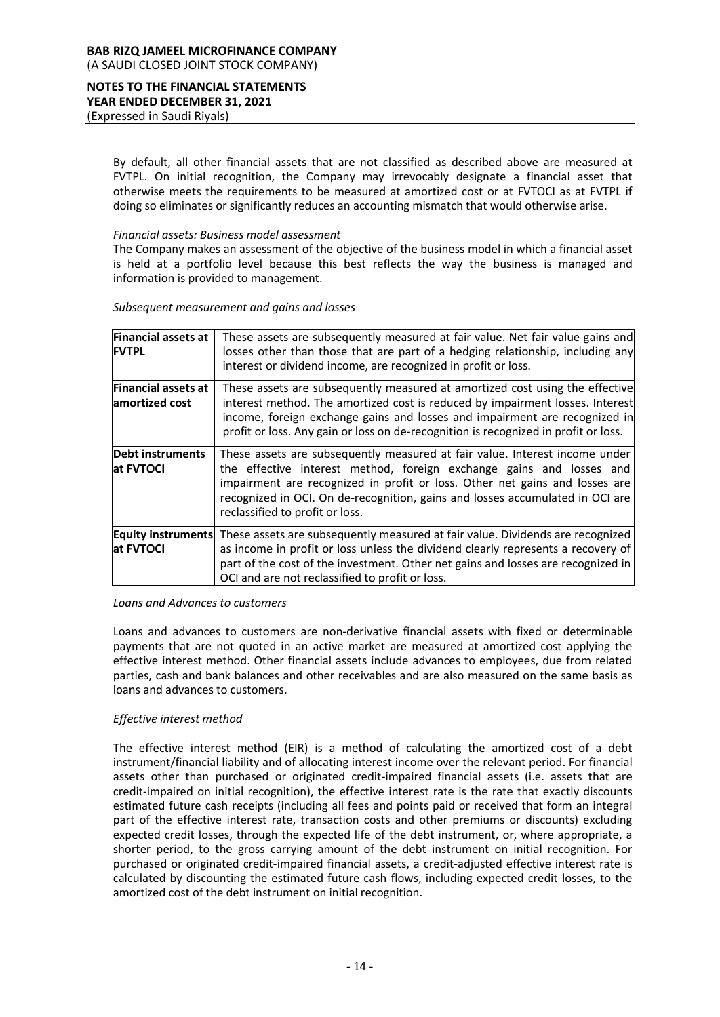#### **NOTES TO THE FINANCIAL STATEMENTS YEAR ENDED DECEMBER 31, 2021** (Expressed in Saudi Riyals)

By default, all other financial assets that are not classified as described above are measured at FVTPL. On initial recognition, the Company may irrevocably designate a financial asset that otherwise meets the requirements to be measured at amortized cost or at FVTOCI as at FVTPL if doing so eliminates or significantly reduces an accounting mismatch that would otherwise arise.

#### *Financial assets: Business model assessment*

The Company makes an assessment of the objective of the business model in which a financial asset is held at a portfolio level because this best reflects the way the business is managed and information is provided to management.

**Financial assets at FVTPL** These assets are subsequently measured at fair value. Net fair value gains and losses other than those that are part of a hedging relationship, including any interest or dividend income, are recognized in profit or loss. **Financial assets at amortized cost** These assets are subsequently measured at amortized cost using the effective interest method. The amortized cost is reduced by impairment losses. Interest income, foreign exchange gains and losses and impairment are recognized in profit or loss. Any gain or loss on de-recognition is recognized in profit or loss. **Debt instruments at FVTOCI** These assets are subsequently measured at fair value. Interest income under the effective interest method, foreign exchange gains and losses and impairment are recognized in profit or loss. Other net gains and losses are recognized in OCI. On de-recognition, gains and losses accumulated in OCI are reclassified to profit or loss. **Equity instruments at FVTOCI** These assets are subsequently measured at fair value. Dividends are recognized as income in profit or loss unless the dividend clearly represents a recovery of part of the cost of the investment. Other net gains and losses are recognized in OCI and are not reclassified to profit or loss.

*Subsequent measurement and gains and losses*

#### *Loans and Advances to customers*

Loans and advances to customers are non-derivative financial assets with fixed or determinable payments that are not quoted in an active market are measured at amortized cost applying the effective interest method. Other financial assets include advances to employees, due from related parties, cash and bank balances and other receivables and are also measured on the same basis as loans and advances to customers.

# *Effective interest method*

The effective interest method (EIR) is a method of calculating the amortized cost of a debt instrument/financial liability and of allocating interest income over the relevant period. For financial assets other than purchased or originated credit-impaired financial assets (i.e. assets that are credit-impaired on initial recognition), the effective interest rate is the rate that exactly discounts estimated future cash receipts (including all fees and points paid or received that form an integral part of the effective interest rate, transaction costs and other premiums or discounts) excluding expected credit losses, through the expected life of the debt instrument, or, where appropriate, a shorter period, to the gross carrying amount of the debt instrument on initial recognition. For purchased or originated credit-impaired financial assets, a credit-adjusted effective interest rate is calculated by discounting the estimated future cash flows, including expected credit losses, to the amortized cost of the debt instrument on initial recognition.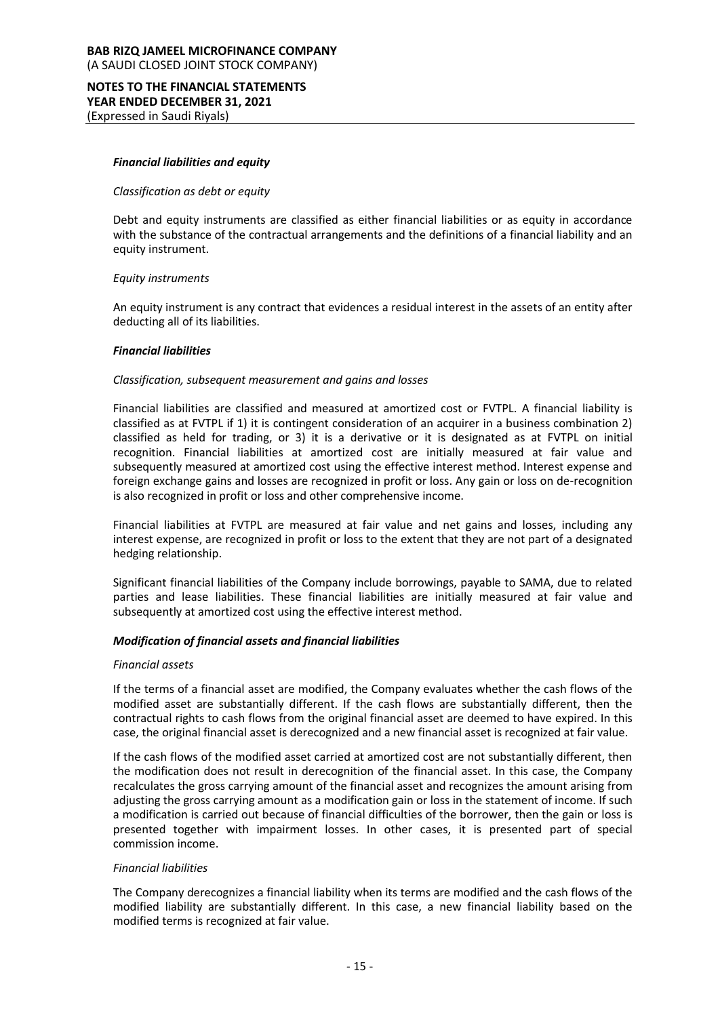#### **NOTES TO THE FINANCIAL STATEMENTS YEAR ENDED DECEMBER 31, 2021** (Expressed in Saudi Riyals)

#### *Financial liabilities and equity*

#### *Classification as debt or equity*

Debt and equity instruments are classified as either financial liabilities or as equity in accordance with the substance of the contractual arrangements and the definitions of a financial liability and an equity instrument.

#### *Equity instruments*

An equity instrument is any contract that evidences a residual interest in the assets of an entity after deducting all of its liabilities.

#### *Financial liabilities*

#### *Classification, subsequent measurement and gains and losses*

Financial liabilities are classified and measured at amortized cost or FVTPL. A financial liability is classified as at FVTPL if 1) it is contingent consideration of an acquirer in a business combination 2) classified as held for trading, or 3) it is a derivative or it is designated as at FVTPL on initial recognition. Financial liabilities at amortized cost are initially measured at fair value and subsequently measured at amortized cost using the effective interest method. Interest expense and foreign exchange gains and losses are recognized in profit or loss. Any gain or loss on de-recognition is also recognized in profit or loss and other comprehensive income.

Financial liabilities at FVTPL are measured at fair value and net gains and losses, including any interest expense, are recognized in profit or loss to the extent that they are not part of a designated hedging relationship.

Significant financial liabilities of the Company include borrowings, payable to SAMA, due to related parties and lease liabilities. These financial liabilities are initially measured at fair value and subsequently at amortized cost using the effective interest method.

#### *Modification of financial assets and financial liabilities*

#### *Financial assets*

If the terms of a financial asset are modified, the Company evaluates whether the cash flows of the modified asset are substantially different. If the cash flows are substantially different, then the contractual rights to cash flows from the original financial asset are deemed to have expired. In this case, the original financial asset is derecognized and a new financial asset is recognized at fair value.

If the cash flows of the modified asset carried at amortized cost are not substantially different, then the modification does not result in derecognition of the financial asset. In this case, the Company recalculates the gross carrying amount of the financial asset and recognizes the amount arising from adjusting the gross carrying amount as a modification gain or loss in the statement of income. If such a modification is carried out because of financial difficulties of the borrower, then the gain or loss is presented together with impairment losses. In other cases, it is presented part of special commission income.

#### *Financial liabilities*

The Company derecognizes a financial liability when its terms are modified and the cash flows of the modified liability are substantially different. In this case, a new financial liability based on the modified terms is recognized at fair value.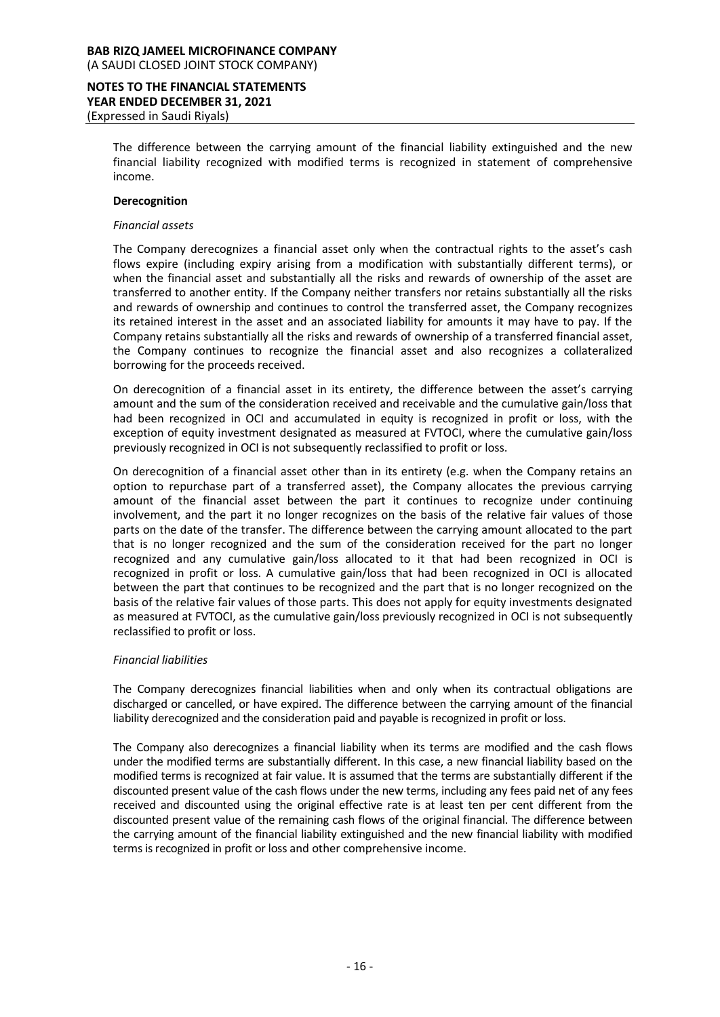#### **NOTES TO THE FINANCIAL STATEMENTS YEAR ENDED DECEMBER 31, 2021** (Expressed in Saudi Riyals)

The difference between the carrying amount of the financial liability extinguished and the new financial liability recognized with modified terms is recognized in statement of comprehensive income.

#### **Derecognition**

#### *Financial assets*

The Company derecognizes a financial asset only when the contractual rights to the asset's cash flows expire (including expiry arising from a modification with substantially different terms), or when the financial asset and substantially all the risks and rewards of ownership of the asset are transferred to another entity. If the Company neither transfers nor retains substantially all the risks and rewards of ownership and continues to control the transferred asset, the Company recognizes its retained interest in the asset and an associated liability for amounts it may have to pay. If the Company retains substantially all the risks and rewards of ownership of a transferred financial asset, the Company continues to recognize the financial asset and also recognizes a collateralized borrowing for the proceeds received.

On derecognition of a financial asset in its entirety, the difference between the asset's carrying amount and the sum of the consideration received and receivable and the cumulative gain/loss that had been recognized in OCI and accumulated in equity is recognized in profit or loss, with the exception of equity investment designated as measured at FVTOCI, where the cumulative gain/loss previously recognized in OCI is not subsequently reclassified to profit or loss.

On derecognition of a financial asset other than in its entirety (e.g. when the Company retains an option to repurchase part of a transferred asset), the Company allocates the previous carrying amount of the financial asset between the part it continues to recognize under continuing involvement, and the part it no longer recognizes on the basis of the relative fair values of those parts on the date of the transfer. The difference between the carrying amount allocated to the part that is no longer recognized and the sum of the consideration received for the part no longer recognized and any cumulative gain/loss allocated to it that had been recognized in OCI is recognized in profit or loss. A cumulative gain/loss that had been recognized in OCI is allocated between the part that continues to be recognized and the part that is no longer recognized on the basis of the relative fair values of those parts. This does not apply for equity investments designated as measured at FVTOCI, as the cumulative gain/loss previously recognized in OCI is not subsequently reclassified to profit or loss.

#### *Financial liabilities*

The Company derecognizes financial liabilities when and only when its contractual obligations are discharged or cancelled, or have expired. The difference between the carrying amount of the financial liability derecognized and the consideration paid and payable is recognized in profit or loss.

The Company also derecognizes a financial liability when its terms are modified and the cash flows under the modified terms are substantially different. In this case, a new financial liability based on the modified terms is recognized at fair value. It is assumed that the terms are substantially different if the discounted present value of the cash flows under the new terms, including any fees paid net of any fees received and discounted using the original effective rate is at least ten per cent different from the discounted present value of the remaining cash flows of the original financial. The difference between the carrying amount of the financial liability extinguished and the new financial liability with modified terms is recognized in profit or loss and other comprehensive income.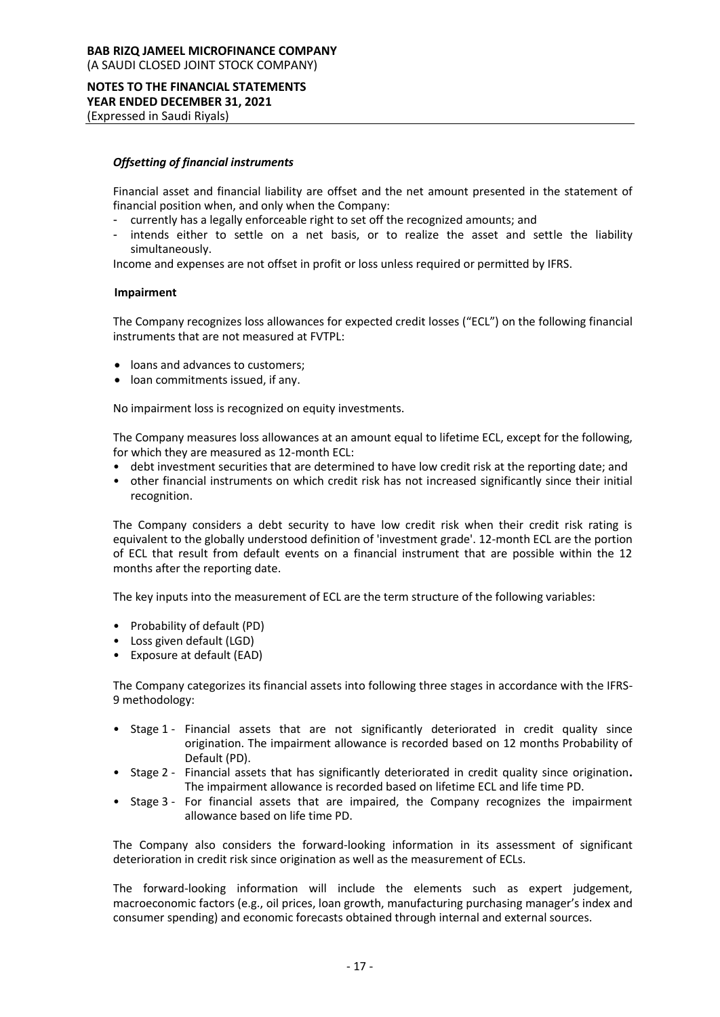#### *Offsetting of financial instruments*

Financial asset and financial liability are offset and the net amount presented in the statement of financial position when, and only when the Company:

- currently has a legally enforceable right to set off the recognized amounts; and
- intends either to settle on a net basis, or to realize the asset and settle the liability simultaneously.

Income and expenses are not offset in profit or loss unless required or permitted by IFRS.

# **Impairment**

The Company recognizes loss allowances for expected credit losses ("ECL") on the following financial instruments that are not measured at FVTPL:

- loans and advances to customers;
- loan commitments issued, if any.

No impairment loss is recognized on equity investments.

The Company measures loss allowances at an amount equal to lifetime ECL, except for the following, for which they are measured as 12-month ECL:

- debt investment securities that are determined to have low credit risk at the reporting date; and
- other financial instruments on which credit risk has not increased significantly since their initial recognition.

The Company considers a debt security to have low credit risk when their credit risk rating is equivalent to the globally understood definition of 'investment grade'. 12-month ECL are the portion of ECL that result from default events on a financial instrument that are possible within the 12 months after the reporting date.

The key inputs into the measurement of ECL are the term structure of the following variables:

- Probability of default (PD)
- Loss given default (LGD)
- Exposure at default (EAD)

The Company categorizes its financial assets into following three stages in accordance with the IFRS-9 methodology:

- Stage 1 Financial assets that are not significantly deteriorated in credit quality since origination. The impairment allowance is recorded based on 12 months Probability of Default (PD).
- Stage 2 Financial assets that has significantly deteriorated in credit quality since origination**.**  The impairment allowance is recorded based on lifetime ECL and life time PD.
- Stage 3 For financial assets that are impaired, the Company recognizes the impairment allowance based on life time PD.

The Company also considers the forward-looking information in its assessment of significant deterioration in credit risk since origination as well as the measurement of ECLs.

The forward-looking information will include the elements such as expert judgement, macroeconomic factors (e.g., oil prices, loan growth, manufacturing purchasing manager's index and consumer spending) and economic forecasts obtained through internal and external sources.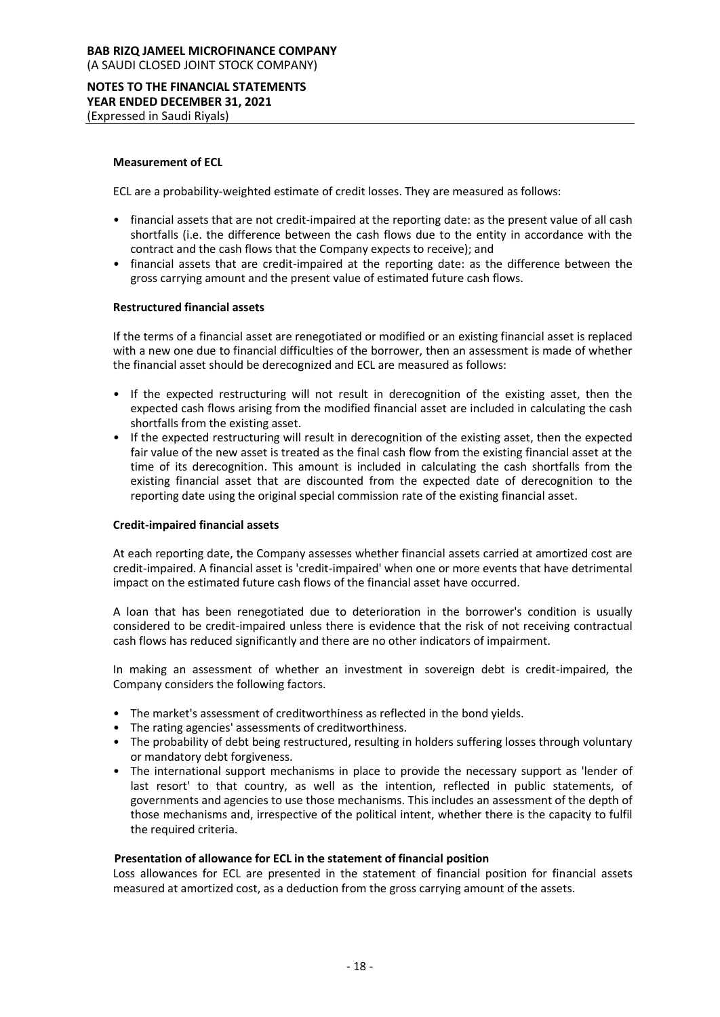# **Measurement of ECL**

ECL are a probability-weighted estimate of credit losses. They are measured as follows:

- financial assets that are not credit-impaired at the reporting date: as the present value of all cash shortfalls (i.e. the difference between the cash flows due to the entity in accordance with the contract and the cash flows that the Company expects to receive); and
- financial assets that are credit-impaired at the reporting date: as the difference between the gross carrying amount and the present value of estimated future cash flows.

#### **Restructured financial assets**

If the terms of a financial asset are renegotiated or modified or an existing financial asset is replaced with a new one due to financial difficulties of the borrower, then an assessment is made of whether the financial asset should be derecognized and ECL are measured as follows:

- If the expected restructuring will not result in derecognition of the existing asset, then the expected cash flows arising from the modified financial asset are included in calculating the cash shortfalls from the existing asset.
- If the expected restructuring will result in derecognition of the existing asset, then the expected fair value of the new asset is treated as the final cash flow from the existing financial asset at the time of its derecognition. This amount is included in calculating the cash shortfalls from the existing financial asset that are discounted from the expected date of derecognition to the reporting date using the original special commission rate of the existing financial asset.

#### **Credit-impaired financial assets**

At each reporting date, the Company assesses whether financial assets carried at amortized cost are credit-impaired. A financial asset is 'credit-impaired' when one or more events that have detrimental impact on the estimated future cash flows of the financial asset have occurred.

A loan that has been renegotiated due to deterioration in the borrower's condition is usually considered to be credit-impaired unless there is evidence that the risk of not receiving contractual cash flows has reduced significantly and there are no other indicators of impairment.

In making an assessment of whether an investment in sovereign debt is credit-impaired, the Company considers the following factors.

- The market's assessment of creditworthiness as reflected in the bond yields.
- The rating agencies' assessments of creditworthiness.
- The probability of debt being restructured, resulting in holders suffering losses through voluntary or mandatory debt forgiveness.
- The international support mechanisms in place to provide the necessary support as 'lender of last resort' to that country, as well as the intention, reflected in public statements, of governments and agencies to use those mechanisms. This includes an assessment of the depth of those mechanisms and, irrespective of the political intent, whether there is the capacity to fulfil the required criteria.

#### **Presentation of allowance for ECL in the statement of financial position**

Loss allowances for ECL are presented in the statement of financial position for financial assets measured at amortized cost, as a deduction from the gross carrying amount of the assets.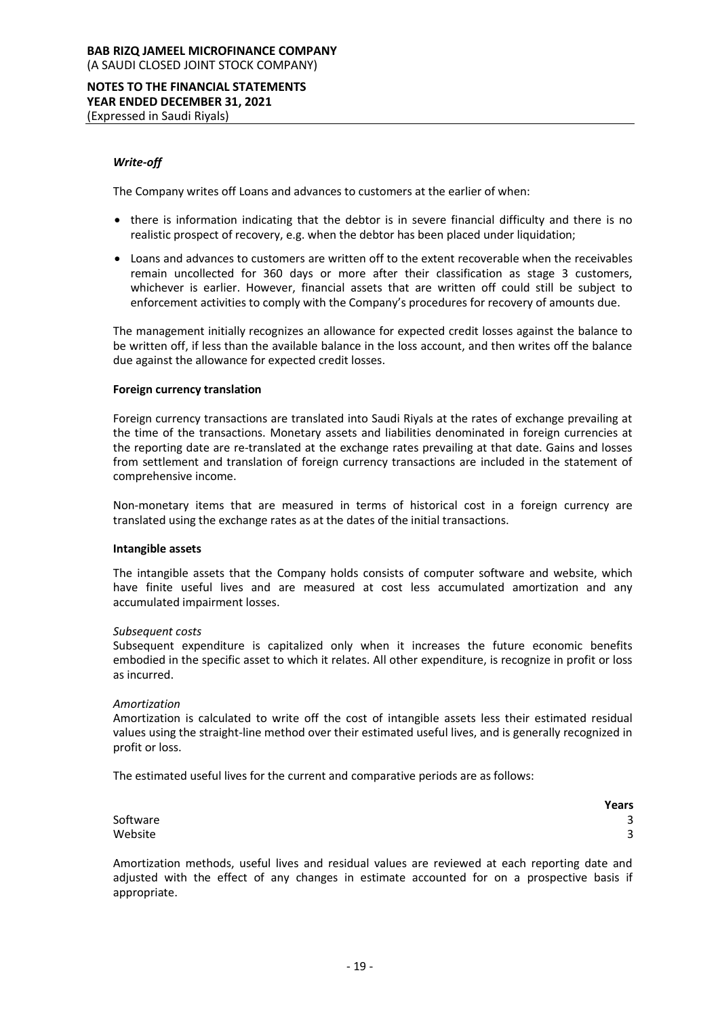#### *Write-off*

The Company writes off Loans and advances to customers at the earlier of when:

- there is information indicating that the debtor is in severe financial difficulty and there is no realistic prospect of recovery, e.g. when the debtor has been placed under liquidation;
- Loans and advances to customers are written off to the extent recoverable when the receivables remain uncollected for 360 days or more after their classification as stage 3 customers, whichever is earlier. However, financial assets that are written off could still be subject to enforcement activities to comply with the Company's procedures for recovery of amounts due.

The management initially recognizes an allowance for expected credit losses against the balance to be written off, if less than the available balance in the loss account, and then writes off the balance due against the allowance for expected credit losses.

#### **Foreign currency translation**

Foreign currency transactions are translated into Saudi Riyals at the rates of exchange prevailing at the time of the transactions. Monetary assets and liabilities denominated in foreign currencies at the reporting date are re-translated at the exchange rates prevailing at that date. Gains and losses from settlement and translation of foreign currency transactions are included in the statement of comprehensive income.

Non-monetary items that are measured in terms of historical cost in a foreign currency are translated using the exchange rates as at the dates of the initial transactions.

#### **Intangible assets**

The intangible assets that the Company holds consists of computer software and website, which have finite useful lives and are measured at cost less accumulated amortization and any accumulated impairment losses.

#### *Subsequent costs*

Subsequent expenditure is capitalized only when it increases the future economic benefits embodied in the specific asset to which it relates. All other expenditure, is recognize in profit or loss as incurred.

#### *Amortization*

Amortization is calculated to write off the cost of intangible assets less their estimated residual values using the straight-line method over their estimated useful lives, and is generally recognized in profit or loss.

The estimated useful lives for the current and comparative periods are as follows:

|          | Years |
|----------|-------|
| Software | 3     |
| Website  | 3     |

Amortization methods, useful lives and residual values are reviewed at each reporting date and adjusted with the effect of any changes in estimate accounted for on a prospective basis if appropriate.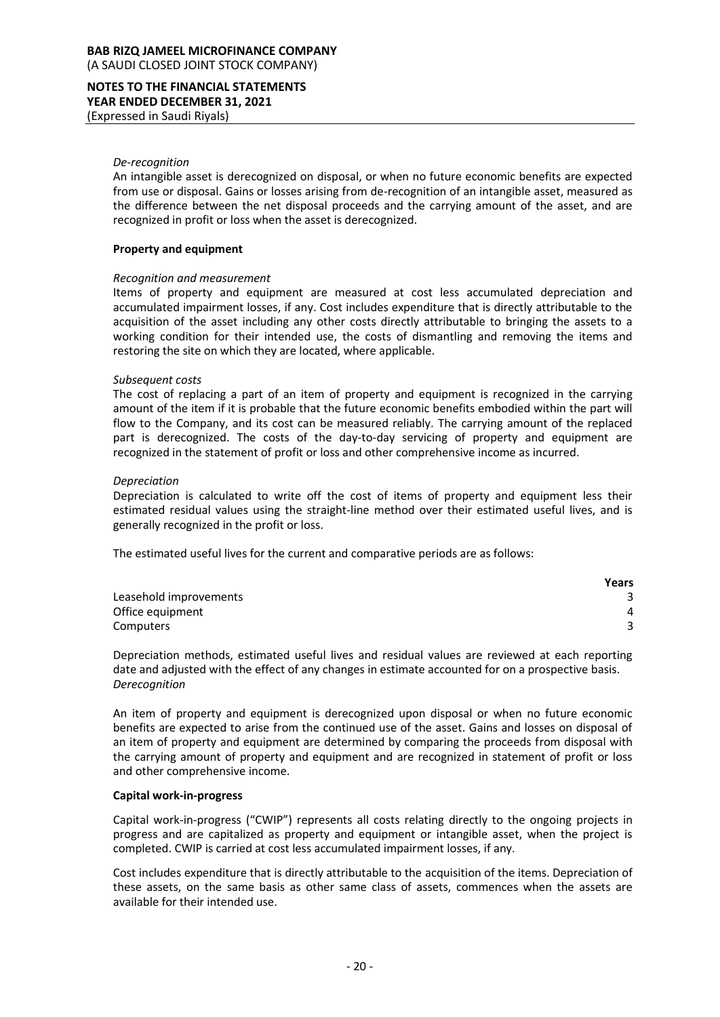#### **NOTES TO THE FINANCIAL STATEMENTS YEAR ENDED DECEMBER 31, 2021** (Expressed in Saudi Riyals)

#### *De-recognition*

An intangible asset is derecognized on disposal, or when no future economic benefits are expected from use or disposal. Gains or losses arising from de-recognition of an intangible asset, measured as the difference between the net disposal proceeds and the carrying amount of the asset, and are recognized in profit or loss when the asset is derecognized.

#### **Property and equipment**

#### *Recognition and measurement*

Items of property and equipment are measured at cost less accumulated depreciation and accumulated impairment losses, if any. Cost includes expenditure that is directly attributable to the acquisition of the asset including any other costs directly attributable to bringing the assets to a working condition for their intended use, the costs of dismantling and removing the items and restoring the site on which they are located, where applicable.

#### *Subsequent costs*

The cost of replacing a part of an item of property and equipment is recognized in the carrying amount of the item if it is probable that the future economic benefits embodied within the part will flow to the Company, and its cost can be measured reliably. The carrying amount of the replaced part is derecognized. The costs of the day-to-day servicing of property and equipment are recognized in the statement of profit or loss and other comprehensive income as incurred.

#### *Depreciation*

Depreciation is calculated to write off the cost of items of property and equipment less their estimated residual values using the straight-line method over their estimated useful lives, and is generally recognized in the profit or loss.

The estimated useful lives for the current and comparative periods are as follows:

|                        | Years |
|------------------------|-------|
| Leasehold improvements |       |
| Office equipment       | 4     |
| Computers              |       |

Depreciation methods, estimated useful lives and residual values are reviewed at each reporting date and adjusted with the effect of any changes in estimate accounted for on a prospective basis. *Derecognition*

An item of property and equipment is derecognized upon disposal or when no future economic benefits are expected to arise from the continued use of the asset. Gains and losses on disposal of an item of property and equipment are determined by comparing the proceeds from disposal with the carrying amount of property and equipment and are recognized in statement of profit or loss and other comprehensive income.

#### **Capital work-in-progress**

Capital work-in-progress ("CWIP") represents all costs relating directly to the ongoing projects in progress and are capitalized as property and equipment or intangible asset, when the project is completed. CWIP is carried at cost less accumulated impairment losses, if any.

Cost includes expenditure that is directly attributable to the acquisition of the items. Depreciation of these assets, on the same basis as other same class of assets, commences when the assets are available for their intended use.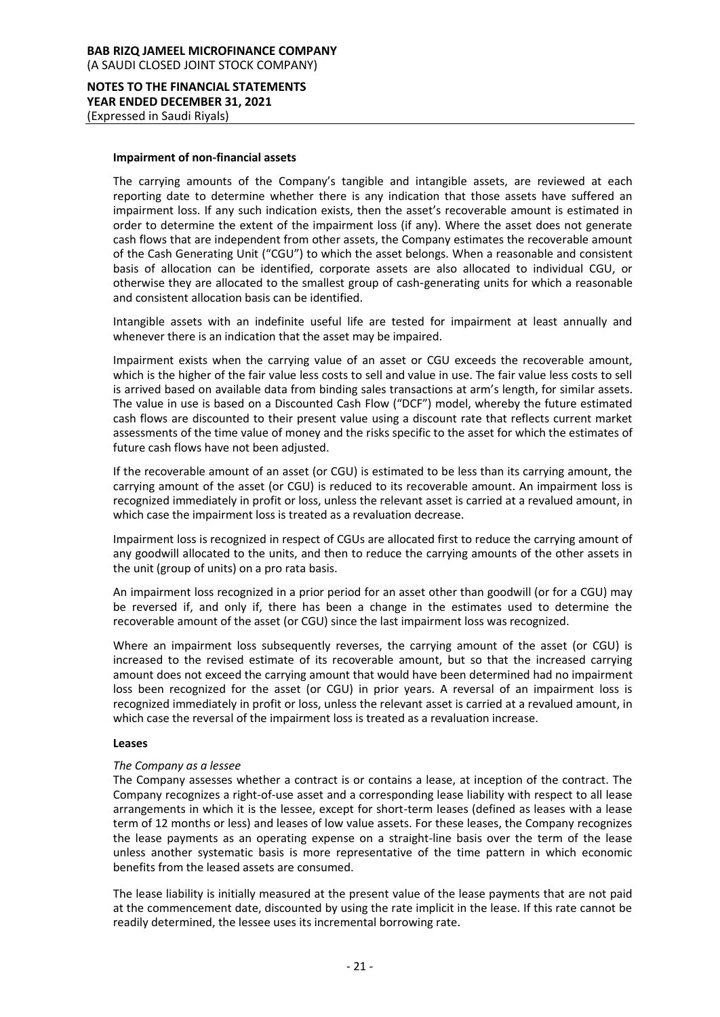#### **Impairment of non-financial assets**

The carrying amounts of the Company's tangible and intangible assets, are reviewed at each reporting date to determine whether there is any indication that those assets have suffered an impairment loss. If any such indication exists, then the asset's recoverable amount is estimated in order to determine the extent of the impairment loss (if any). Where the asset does not generate cash flows that are independent from other assets, the Company estimates the recoverable amount of the Cash Generating Unit ("CGU") to which the asset belongs. When a reasonable and consistent basis of allocation can be identified, corporate assets are also allocated to individual CGU, or otherwise they are allocated to the smallest group of cash‑generating units for which a reasonable and consistent allocation basis can be identified.

Intangible assets with an indefinite useful life are tested for impairment at least annually and whenever there is an indication that the asset may be impaired.

Impairment exists when the carrying value of an asset or CGU exceeds the recoverable amount, which is the higher of the fair value less costs to sell and value in use. The fair value less costs to sell is arrived based on available data from binding sales transactions at arm's length, for similar assets. The value in use is based on a Discounted Cash Flow ("DCF") model, whereby the future estimated cash flows are discounted to their present value using a discount rate that reflects current market assessments of the time value of money and the risks specific to the asset for which the estimates of future cash flows have not been adjusted.

If the recoverable amount of an asset (or CGU) is estimated to be less than its carrying amount, the carrying amount of the asset (or CGU) is reduced to its recoverable amount. An impairment loss is recognized immediately in profit or loss, unless the relevant asset is carried at a revalued amount, in which case the impairment loss is treated as a revaluation decrease.

Impairment loss is recognized in respect of CGUs are allocated first to reduce the carrying amount of any goodwill allocated to the units, and then to reduce the carrying amounts of the other assets in the unit (group of units) on a pro rata basis.

An impairment loss recognized in a prior period for an asset other than goodwill (or for a CGU) may be reversed if, and only if, there has been a change in the estimates used to determine the recoverable amount of the asset (or CGU) since the last impairment loss was recognized.

Where an impairment loss subsequently reverses, the carrying amount of the asset (or CGU) is increased to the revised estimate of its recoverable amount, but so that the increased carrying amount does not exceed the carrying amount that would have been determined had no impairment loss been recognized for the asset (or CGU) in prior years. A reversal of an impairment loss is recognized immediately in profit or loss, unless the relevant asset is carried at a revalued amount, in which case the reversal of the impairment loss is treated as a revaluation increase.

#### **Leases**

#### *The Company as a lessee*

The Company assesses whether a contract is or contains a lease, at inception of the contract. The Company recognizes a right-of-use asset and a corresponding lease liability with respect to all lease arrangements in which it is the lessee, except for short-term leases (defined as leases with a lease term of 12 months or less) and leases of low value assets. For these leases, the Company recognizes the lease payments as an operating expense on a straight-line basis over the term of the lease unless another systematic basis is more representative of the time pattern in which economic benefits from the leased assets are consumed.

The lease liability is initially measured at the present value of the lease payments that are not paid at the commencement date, discounted by using the rate implicit in the lease. If this rate cannot be readily determined, the lessee uses its incremental borrowing rate.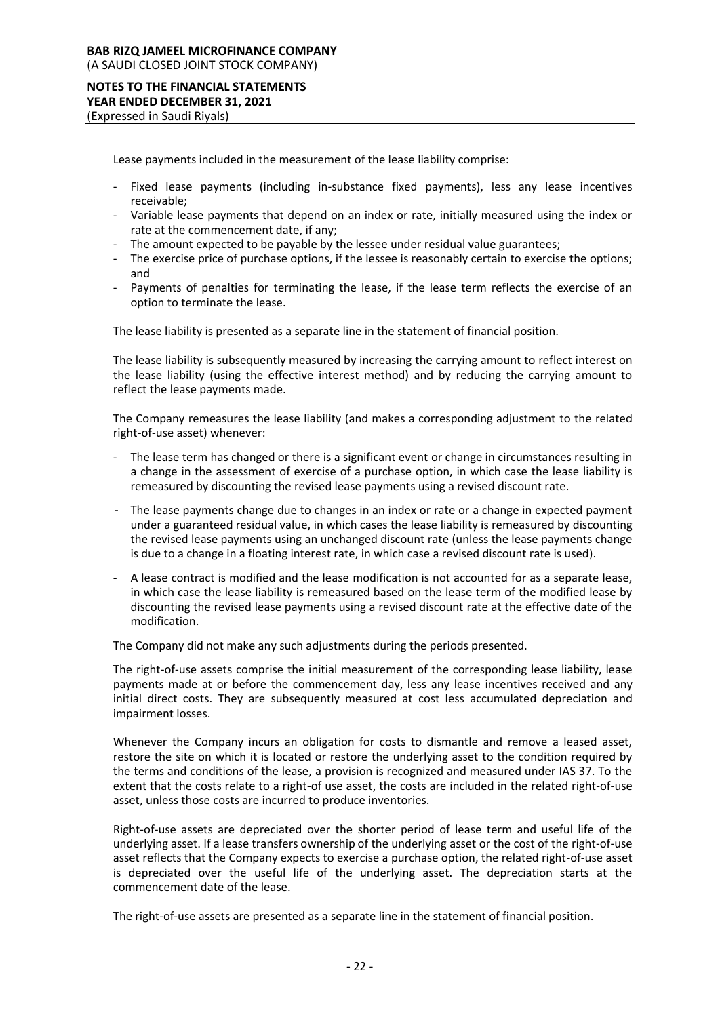Lease payments included in the measurement of the lease liability comprise:

- Fixed lease payments (including in-substance fixed payments), less any lease incentives receivable;
- Variable lease payments that depend on an index or rate, initially measured using the index or rate at the commencement date, if any;
- The amount expected to be payable by the lessee under residual value guarantees;
- The exercise price of purchase options, if the lessee is reasonably certain to exercise the options; and
- Payments of penalties for terminating the lease, if the lease term reflects the exercise of an option to terminate the lease.

The lease liability is presented as a separate line in the statement of financial position.

The lease liability is subsequently measured by increasing the carrying amount to reflect interest on the lease liability (using the effective interest method) and by reducing the carrying amount to reflect the lease payments made.

The Company remeasures the lease liability (and makes a corresponding adjustment to the related right-of-use asset) whenever:

- The lease term has changed or there is a significant event or change in circumstances resulting in a change in the assessment of exercise of a purchase option, in which case the lease liability is remeasured by discounting the revised lease payments using a revised discount rate.
- The lease payments change due to changes in an index or rate or a change in expected payment under a guaranteed residual value, in which cases the lease liability is remeasured by discounting the revised lease payments using an unchanged discount rate (unless the lease payments change is due to a change in a floating interest rate, in which case a revised discount rate is used).
- A lease contract is modified and the lease modification is not accounted for as a separate lease, in which case the lease liability is remeasured based on the lease term of the modified lease by discounting the revised lease payments using a revised discount rate at the effective date of the modification.

The Company did not make any such adjustments during the periods presented.

The right-of-use assets comprise the initial measurement of the corresponding lease liability, lease payments made at or before the commencement day, less any lease incentives received and any initial direct costs. They are subsequently measured at cost less accumulated depreciation and impairment losses.

Whenever the Company incurs an obligation for costs to dismantle and remove a leased asset, restore the site on which it is located or restore the underlying asset to the condition required by the terms and conditions of the lease, a provision is recognized and measured under IAS 37. To the extent that the costs relate to a right-of use asset, the costs are included in the related right-of-use asset, unless those costs are incurred to produce inventories.

Right-of-use assets are depreciated over the shorter period of lease term and useful life of the underlying asset. If a lease transfers ownership of the underlying asset or the cost of the right-of-use asset reflects that the Company expects to exercise a purchase option, the related right-of-use asset is depreciated over the useful life of the underlying asset. The depreciation starts at the commencement date of the lease.

The right-of-use assets are presented as a separate line in the statement of financial position.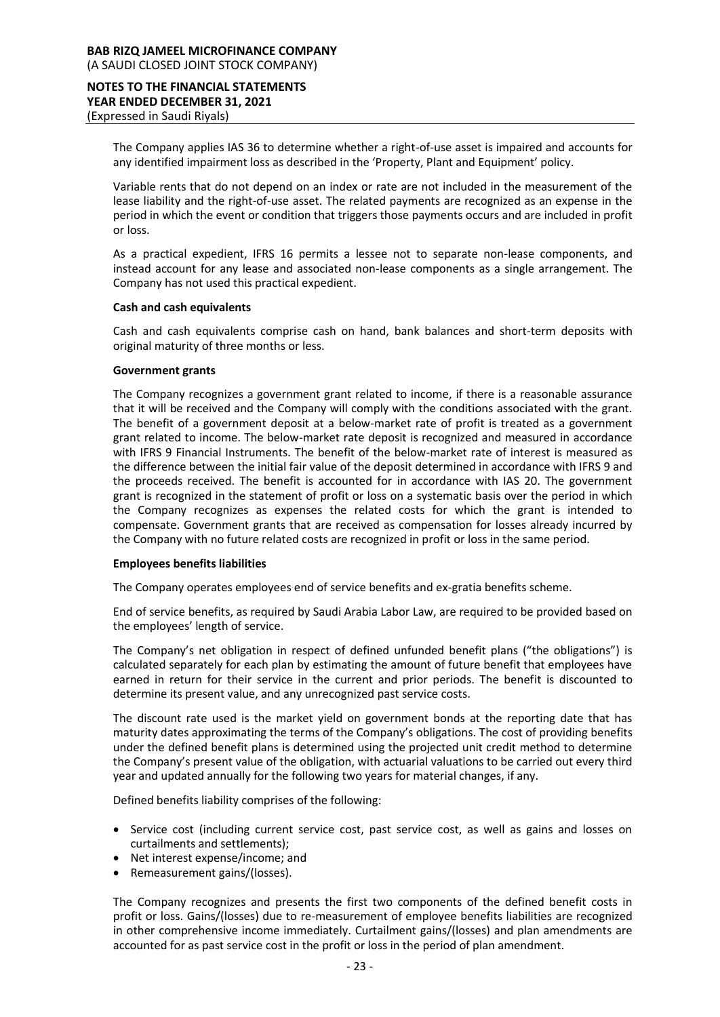The Company applies IAS 36 to determine whether a right-of-use asset is impaired and accounts for any identified impairment loss as described in the 'Property, Plant and Equipment' policy.

Variable rents that do not depend on an index or rate are not included in the measurement of the lease liability and the right-of-use asset. The related payments are recognized as an expense in the period in which the event or condition that triggers those payments occurs and are included in profit or loss.

As a practical expedient, IFRS 16 permits a lessee not to separate non-lease components, and instead account for any lease and associated non-lease components as a single arrangement. The Company has not used this practical expedient.

#### **Cash and cash equivalents**

Cash and cash equivalents comprise cash on hand, bank balances and short-term deposits with original maturity of three months or less.

#### **Government grants**

The Company recognizes a government grant related to income, if there is a reasonable assurance that it will be received and the Company will comply with the conditions associated with the grant. The benefit of a government deposit at a below-market rate of profit is treated as a government grant related to income. The below-market rate deposit is recognized and measured in accordance with IFRS 9 Financial Instruments. The benefit of the below-market rate of interest is measured as the difference between the initial fair value of the deposit determined in accordance with IFRS 9 and the proceeds received. The benefit is accounted for in accordance with IAS 20. The government grant is recognized in the statement of profit or loss on a systematic basis over the period in which the Company recognizes as expenses the related costs for which the grant is intended to compensate. Government grants that are received as compensation for losses already incurred by the Company with no future related costs are recognized in profit or loss in the same period.

#### **Employees benefits liabilities**

The Company operates employees end of service benefits and ex-gratia benefits scheme.

End of service benefits, as required by Saudi Arabia Labor Law, are required to be provided based on the employees' length of service.

The Company's net obligation in respect of defined unfunded benefit plans ("the obligations") is calculated separately for each plan by estimating the amount of future benefit that employees have earned in return for their service in the current and prior periods. The benefit is discounted to determine its present value, and any unrecognized past service costs.

The discount rate used is the market yield on government bonds at the reporting date that has maturity dates approximating the terms of the Company's obligations. The cost of providing benefits under the defined benefit plans is determined using the projected unit credit method to determine the Company's present value of the obligation, with actuarial valuations to be carried out every third year and updated annually for the following two years for material changes, if any.

Defined benefits liability comprises of the following:

- Service cost (including current service cost, past service cost, as well as gains and losses on curtailments and settlements);
- Net interest expense/income; and
- Remeasurement gains/(losses).

The Company recognizes and presents the first two components of the defined benefit costs in profit or loss. Gains/(losses) due to re-measurement of employee benefits liabilities are recognized in other comprehensive income immediately. Curtailment gains/(losses) and plan amendments are accounted for as past service cost in the profit or loss in the period of plan amendment.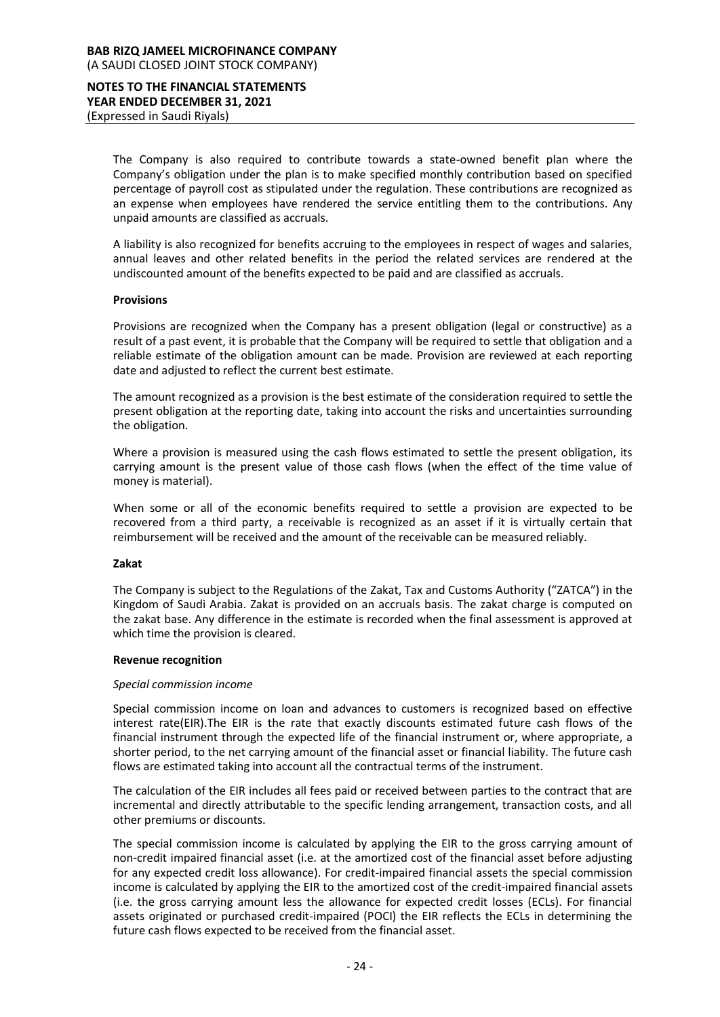The Company is also required to contribute towards a state-owned benefit plan where the Company's obligation under the plan is to make specified monthly contribution based on specified percentage of payroll cost as stipulated under the regulation. These contributions are recognized as an expense when employees have rendered the service entitling them to the contributions. Any unpaid amounts are classified as accruals.

A liability is also recognized for benefits accruing to the employees in respect of wages and salaries, annual leaves and other related benefits in the period the related services are rendered at the undiscounted amount of the benefits expected to be paid and are classified as accruals.

#### **Provisions**

Provisions are recognized when the Company has a present obligation (legal or constructive) as a result of a past event, it is probable that the Company will be required to settle that obligation and a reliable estimate of the obligation amount can be made. Provision are reviewed at each reporting date and adjusted to reflect the current best estimate.

The amount recognized as a provision is the best estimate of the consideration required to settle the present obligation at the reporting date, taking into account the risks and uncertainties surrounding the obligation.

Where a provision is measured using the cash flows estimated to settle the present obligation, its carrying amount is the present value of those cash flows (when the effect of the time value of money is material).

When some or all of the economic benefits required to settle a provision are expected to be recovered from a third party, a receivable is recognized as an asset if it is virtually certain that reimbursement will be received and the amount of the receivable can be measured reliably.

# **Zakat**

The Company is subject to the Regulations of the Zakat, Tax and Customs Authority ("ZATCA") in the Kingdom of Saudi Arabia. Zakat is provided on an accruals basis. The zakat charge is computed on the zakat base. Any difference in the estimate is recorded when the final assessment is approved at which time the provision is cleared.

#### **Revenue recognition**

#### *Special commission income*

Special commission income on loan and advances to customers is recognized based on effective interest rate(EIR).The EIR is the rate that exactly discounts estimated future cash flows of the financial instrument through the expected life of the financial instrument or, where appropriate, a shorter period, to the net carrying amount of the financial asset or financial liability. The future cash flows are estimated taking into account all the contractual terms of the instrument.

The calculation of the EIR includes all fees paid or received between parties to the contract that are incremental and directly attributable to the specific lending arrangement, transaction costs, and all other premiums or discounts.

The special commission income is calculated by applying the EIR to the gross carrying amount of non-credit impaired financial asset (i.e. at the amortized cost of the financial asset before adjusting for any expected credit loss allowance). For credit-impaired financial assets the special commission income is calculated by applying the EIR to the amortized cost of the credit-impaired financial assets (i.e. the gross carrying amount less the allowance for expected credit losses (ECLs). For financial assets originated or purchased credit-impaired (POCI) the EIR reflects the ECLs in determining the future cash flows expected to be received from the financial asset.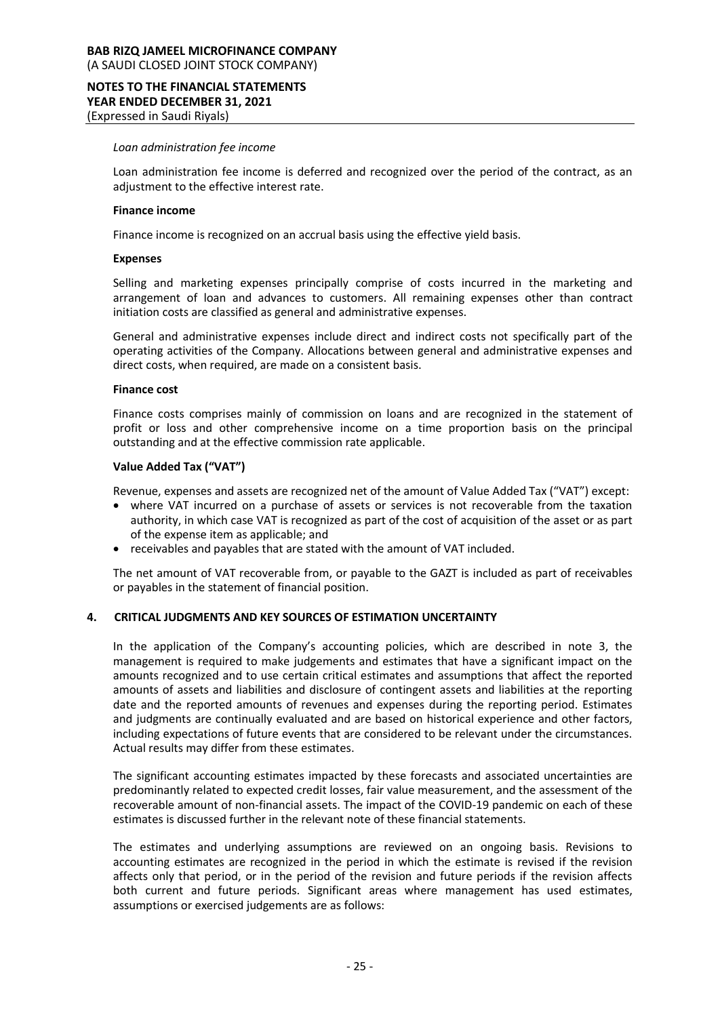#### *Loan administration fee income*

Loan administration fee income is deferred and recognized over the period of the contract, as an adiustment to the effective interest rate.

#### **Finance income**

Finance income is recognized on an accrual basis using the effective yield basis.

#### **Expenses**

Selling and marketing expenses principally comprise of costs incurred in the marketing and arrangement of loan and advances to customers. All remaining expenses other than contract initiation costs are classified as general and administrative expenses.

General and administrative expenses include direct and indirect costs not specifically part of the operating activities of the Company. Allocations between general and administrative expenses and direct costs, when required, are made on a consistent basis.

#### **Finance cost**

Finance costs comprises mainly of commission on loans and are recognized in the statement of profit or loss and other comprehensive income on a time proportion basis on the principal outstanding and at the effective commission rate applicable.

#### **Value Added Tax ("VAT")**

Revenue, expenses and assets are recognized net of the amount of Value Added Tax ("VAT") except:

- where VAT incurred on a purchase of assets or services is not recoverable from the taxation authority, in which case VAT is recognized as part of the cost of acquisition of the asset or as part of the expense item as applicable; and
- receivables and payables that are stated with the amount of VAT included.

The net amount of VAT recoverable from, or payable to the GAZT is included as part of receivables or payables in the statement of financial position.

#### **4. CRITICAL JUDGMENTS AND KEY SOURCES OF ESTIMATION UNCERTAINTY**

In the application of the Company's accounting policies, which are described in note 3, the management is required to make judgements and estimates that have a significant impact on the amounts recognized and to use certain critical estimates and assumptions that affect the reported amounts of assets and liabilities and disclosure of contingent assets and liabilities at the reporting date and the reported amounts of revenues and expenses during the reporting period. Estimates and judgments are continually evaluated and are based on historical experience and other factors, including expectations of future events that are considered to be relevant under the circumstances. Actual results may differ from these estimates.

The significant accounting estimates impacted by these forecasts and associated uncertainties are predominantly related to expected credit losses, fair value measurement, and the assessment of the recoverable amount of non-financial assets. The impact of the COVID-19 pandemic on each of these estimates is discussed further in the relevant note of these financial statements.

The estimates and underlying assumptions are reviewed on an ongoing basis. Revisions to accounting estimates are recognized in the period in which the estimate is revised if the revision affects only that period, or in the period of the revision and future periods if the revision affects both current and future periods. Significant areas where management has used estimates, assumptions or exercised judgements are as follows: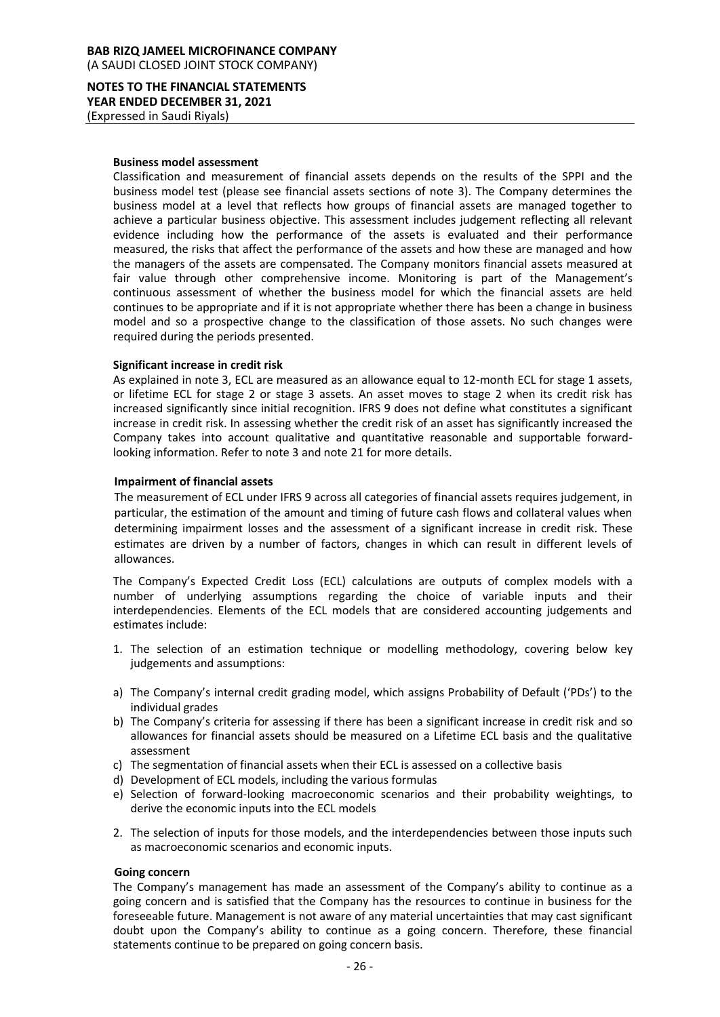#### **NOTES TO THE FINANCIAL STATEMENTS YEAR ENDED DECEMBER 31, 2021** (Expressed in Saudi Riyals)

#### **Business model assessment**

Classification and measurement of financial assets depends on the results of the SPPI and the business model test (please see financial assets sections of note 3). The Company determines the business model at a level that reflects how groups of financial assets are managed together to achieve a particular business objective. This assessment includes judgement reflecting all relevant evidence including how the performance of the assets is evaluated and their performance measured, the risks that affect the performance of the assets and how these are managed and how the managers of the assets are compensated. The Company monitors financial assets measured at fair value through other comprehensive income. Monitoring is part of the Management's continuous assessment of whether the business model for which the financial assets are held continues to be appropriate and if it is not appropriate whether there has been a change in business model and so a prospective change to the classification of those assets. No such changes were required during the periods presented.

#### **Significant increase in credit risk**

As explained in note 3, ECL are measured as an allowance equal to 12-month ECL for stage 1 assets, or lifetime ECL for stage 2 or stage 3 assets. An asset moves to stage 2 when its credit risk has increased significantly since initial recognition. IFRS 9 does not define what constitutes a significant increase in credit risk. In assessing whether the credit risk of an asset has significantly increased the Company takes into account qualitative and quantitative reasonable and supportable forwardlooking information. Refer to note 3 and note 21 for more details.

#### **Impairment of financial assets**

The measurement of ECL under IFRS 9 across all categories of financial assets requires judgement, in particular, the estimation of the amount and timing of future cash flows and collateral values when determining impairment losses and the assessment of a significant increase in credit risk. These estimates are driven by a number of factors, changes in which can result in different levels of allowances.

The Company's Expected Credit Loss (ECL) calculations are outputs of complex models with a number of underlying assumptions regarding the choice of variable inputs and their interdependencies. Elements of the ECL models that are considered accounting judgements and estimates include:

- 1. The selection of an estimation technique or modelling methodology, covering below key judgements and assumptions:
- a) The Company's internal credit grading model, which assigns Probability of Default ('PDs') to the individual grades
- b) The Company's criteria for assessing if there has been a significant increase in credit risk and so allowances for financial assets should be measured on a Lifetime ECL basis and the qualitative assessment
- c) The segmentation of financial assets when their ECL is assessed on a collective basis
- d) Development of ECL models, including the various formulas
- e) Selection of forward-looking macroeconomic scenarios and their probability weightings, to derive the economic inputs into the ECL models
- 2. The selection of inputs for those models, and the interdependencies between those inputs such as macroeconomic scenarios and economic inputs.

#### **Going concern**

The Company's management has made an assessment of the Company's ability to continue as a going concern and is satisfied that the Company has the resources to continue in business for the foreseeable future. Management is not aware of any material uncertainties that may cast significant doubt upon the Company's ability to continue as a going concern. Therefore, these financial statements continue to be prepared on going concern basis.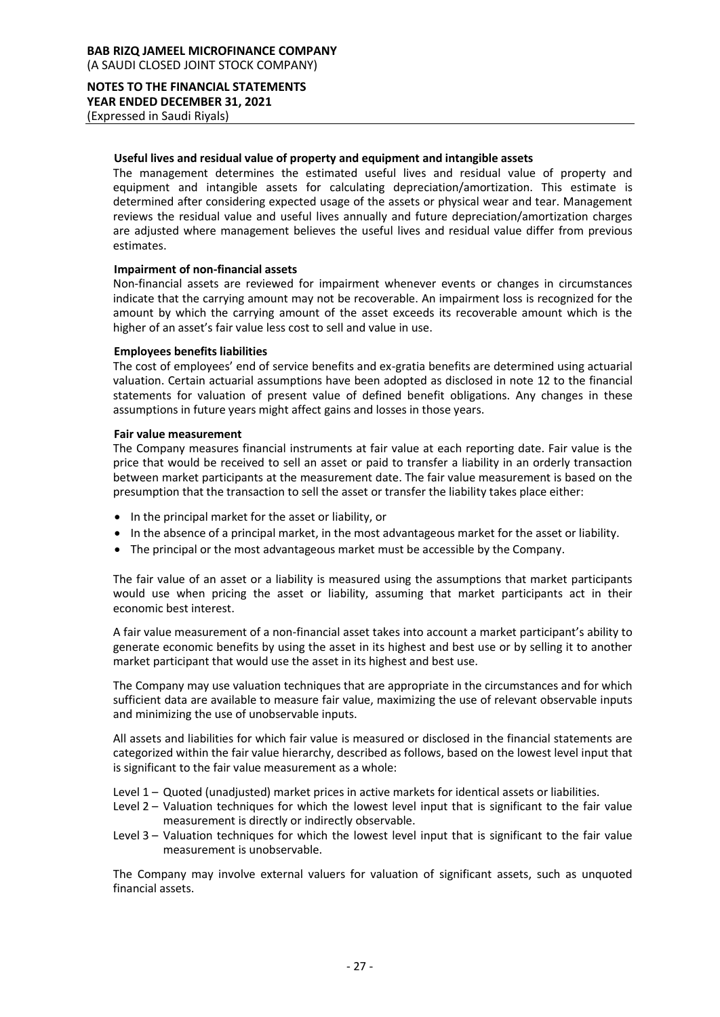# **Useful lives and residual value of property and equipment and intangible assets**

The management determines the estimated useful lives and residual value of property and equipment and intangible assets for calculating depreciation/amortization. This estimate is determined after considering expected usage of the assets or physical wear and tear. Management reviews the residual value and useful lives annually and future depreciation/amortization charges are adjusted where management believes the useful lives and residual value differ from previous estimates.

#### **Impairment of non-financial assets**

Non-financial assets are reviewed for impairment whenever events or changes in circumstances indicate that the carrying amount may not be recoverable. An impairment loss is recognized for the amount by which the carrying amount of the asset exceeds its recoverable amount which is the higher of an asset's fair value less cost to sell and value in use.

#### **Employees benefits liabilities**

The cost of employees' end of service benefits and ex-gratia benefits are determined using actuarial valuation. Certain actuarial assumptions have been adopted as disclosed in note 12 to the financial statements for valuation of present value of defined benefit obligations. Any changes in these assumptions in future years might affect gains and losses in those years.

#### **Fair value measurement**

The Company measures financial instruments at fair value at each reporting date. Fair value is the price that would be received to sell an asset or paid to transfer a liability in an orderly transaction between market participants at the measurement date. The fair value measurement is based on the presumption that the transaction to sell the asset or transfer the liability takes place either:

- In the principal market for the asset or liability, or
- In the absence of a principal market, in the most advantageous market for the asset or liability.
- The principal or the most advantageous market must be accessible by the Company.

The fair value of an asset or a liability is measured using the assumptions that market participants would use when pricing the asset or liability, assuming that market participants act in their economic best interest.

A fair value measurement of a non-financial asset takes into account a market participant's ability to generate economic benefits by using the asset in its highest and best use or by selling it to another market participant that would use the asset in its highest and best use.

The Company may use valuation techniques that are appropriate in the circumstances and for which sufficient data are available to measure fair value, maximizing the use of relevant observable inputs and minimizing the use of unobservable inputs.

All assets and liabilities for which fair value is measured or disclosed in the financial statements are categorized within the fair value hierarchy, described as follows, based on the lowest level input that is significant to the fair value measurement as a whole:

Level 1 – Quoted (unadjusted) market prices in active markets for identical assets or liabilities.

- Level 2 Valuation techniques for which the lowest level input that is significant to the fair value measurement is directly or indirectly observable.
- Level 3 Valuation techniques for which the lowest level input that is significant to the fair value measurement is unobservable.

The Company may involve external valuers for valuation of significant assets, such as unquoted financial assets.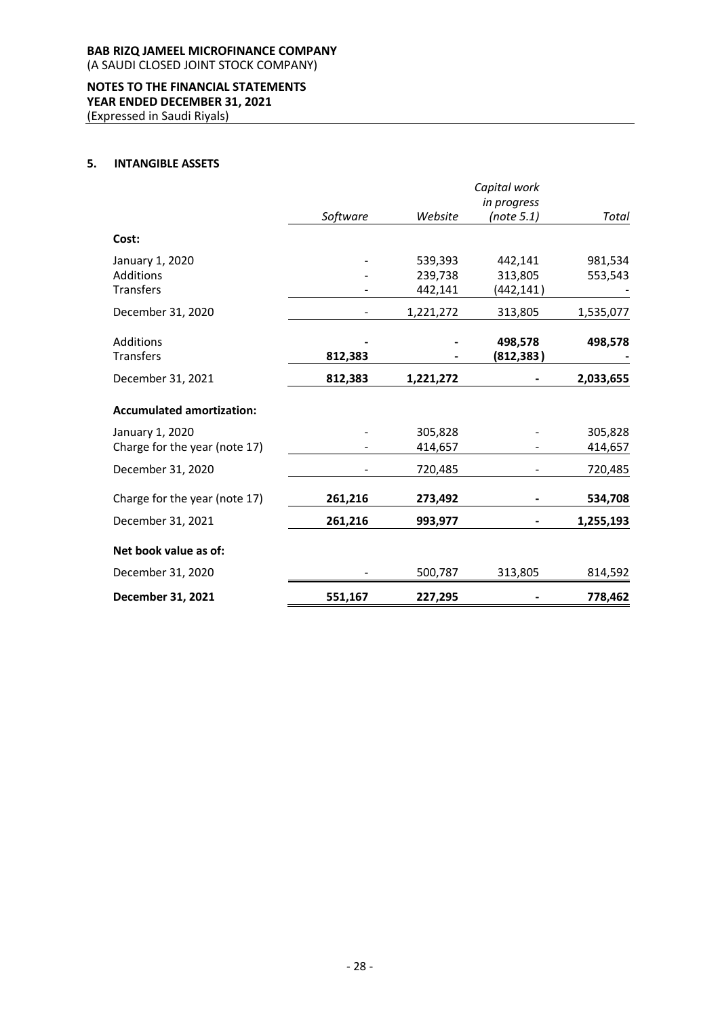(A SAUDI CLOSED JOINT STOCK COMPANY)

# **NOTES TO THE FINANCIAL STATEMENTS**

**YEAR ENDED DECEMBER 31, 2021** (Expressed in Saudi Riyals)

# **5. INTANGIBLE ASSETS**

|                                  |          |           | Capital work |           |
|----------------------------------|----------|-----------|--------------|-----------|
|                                  |          |           | in progress  |           |
|                                  | Software | Website   | (note 5.1)   | Total     |
| Cost:                            |          |           |              |           |
| January 1, 2020                  |          | 539,393   | 442,141      | 981,534   |
| Additions                        |          | 239,738   | 313,805      | 553,543   |
| <b>Transfers</b>                 |          | 442,141   | (442,141)    |           |
| December 31, 2020                |          | 1,221,272 | 313,805      | 1,535,077 |
| Additions                        |          |           | 498,578      | 498,578   |
| <b>Transfers</b>                 | 812,383  |           | (812, 383)   |           |
| December 31, 2021                | 812,383  | 1,221,272 |              | 2,033,655 |
| <b>Accumulated amortization:</b> |          |           |              |           |
| January 1, 2020                  |          | 305,828   |              | 305,828   |
| Charge for the year (note 17)    |          | 414,657   |              | 414,657   |
| December 31, 2020                |          | 720,485   |              | 720,485   |
| Charge for the year (note 17)    | 261,216  | 273,492   |              | 534,708   |
| December 31, 2021                | 261,216  | 993,977   |              | 1,255,193 |
| Net book value as of:            |          |           |              |           |
| December 31, 2020                |          | 500,787   | 313,805      | 814,592   |
| December 31, 2021                | 551,167  | 227,295   |              | 778,462   |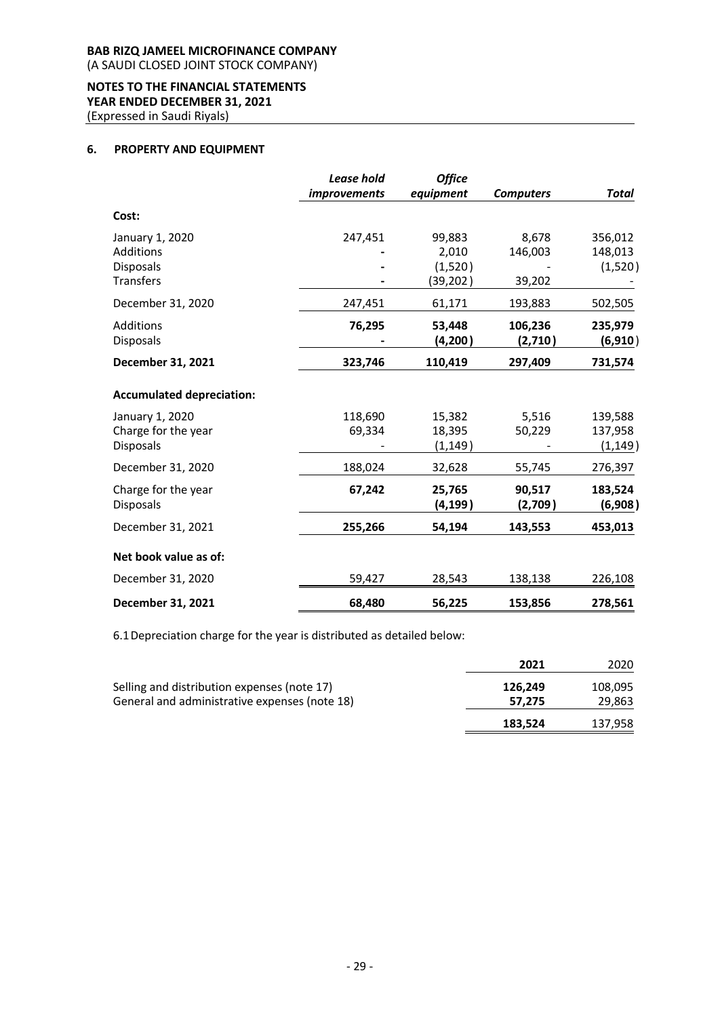(A SAUDI CLOSED JOINT STOCK COMPANY)

# **NOTES TO THE FINANCIAL STATEMENTS YEAR ENDED DECEMBER 31, 2021**

(Expressed in Saudi Riyals)

# **6. PROPERTY AND EQUIPMENT**

|                                  | <b>Lease hold</b>   | <b>Office</b> |                  |          |
|----------------------------------|---------------------|---------------|------------------|----------|
|                                  | <i>improvements</i> | equipment     | <b>Computers</b> | Total    |
| Cost:                            |                     |               |                  |          |
| January 1, 2020                  | 247,451             | 99,883        | 8,678            | 356,012  |
| Additions                        |                     | 2,010         | 146,003          | 148,013  |
| <b>Disposals</b>                 |                     | (1,520)       |                  | (1,520)  |
| Transfers                        |                     | (39, 202)     | 39,202           |          |
| December 31, 2020                | 247,451             | 61,171        | 193,883          | 502,505  |
| Additions                        | 76,295              | 53,448        | 106,236          | 235,979  |
| <b>Disposals</b>                 |                     | (4, 200)      | (2,710)          | (6, 910) |
| December 31, 2021                | 323,746             | 110,419       | 297,409          | 731,574  |
| <b>Accumulated depreciation:</b> |                     |               |                  |          |
| January 1, 2020                  | 118,690             | 15,382        | 5,516            | 139,588  |
| Charge for the year              | 69,334              | 18,395        | 50,229           | 137,958  |
| <b>Disposals</b>                 |                     | (1, 149)      |                  | (1, 149) |
| December 31, 2020                | 188,024             | 32,628        | 55,745           | 276,397  |
| Charge for the year              | 67,242              | 25,765        | 90,517           | 183,524  |
| <b>Disposals</b>                 |                     | (4, 199)      | (2,709)          | (6,908)  |
| December 31, 2021                | 255,266             | 54,194        | 143,553          | 453,013  |
| Net book value as of:            |                     |               |                  |          |
| December 31, 2020                | 59,427              | 28,543        | 138,138          | 226,108  |
| December 31, 2021                | 68,480              | 56,225        | 153,856          | 278,561  |

6.1Depreciation charge for the year is distributed as detailed below:

|                                               | 2021    | 2020    |
|-----------------------------------------------|---------|---------|
| Selling and distribution expenses (note 17)   | 126.249 | 108,095 |
| General and administrative expenses (note 18) | 57.275  | 29,863  |
|                                               | 183,524 | 137,958 |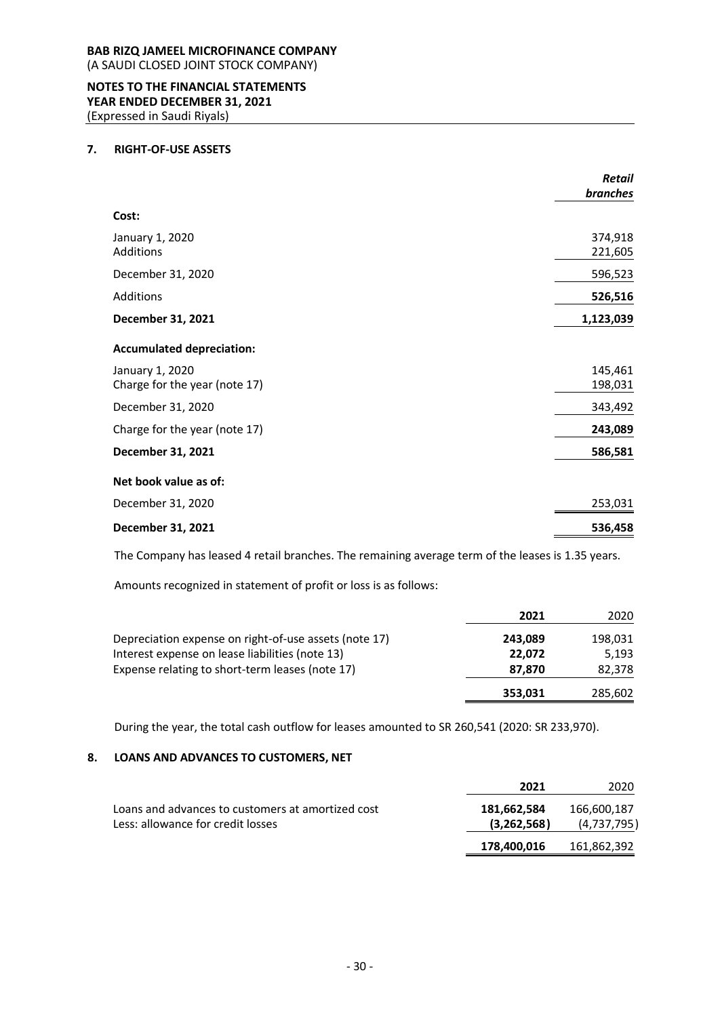(A SAUDI CLOSED JOINT STOCK COMPANY)

#### **NOTES TO THE FINANCIAL STATEMENTS YEAR ENDED DECEMBER 31, 2021**

(Expressed in Saudi Riyals)

# **7. RIGHT-OF-USE ASSETS**

|                                                  | Retail<br><b>branches</b> |
|--------------------------------------------------|---------------------------|
| Cost:                                            |                           |
| January 1, 2020<br>Additions                     | 374,918<br>221,605        |
| December 31, 2020                                | 596,523                   |
| Additions                                        | 526,516                   |
| December 31, 2021                                | 1,123,039                 |
| <b>Accumulated depreciation:</b>                 |                           |
| January 1, 2020<br>Charge for the year (note 17) | 145,461<br>198,031        |
| December 31, 2020                                | 343,492                   |
| Charge for the year (note 17)                    | 243,089                   |
| December 31, 2021                                | 586,581                   |
| Net book value as of:                            |                           |
| December 31, 2020                                | 253,031                   |
| December 31, 2021                                | 536,458                   |

The Company has leased 4 retail branches. The remaining average term of the leases is 1.35 years.

Amounts recognized in statement of profit or loss is as follows:

|                                                       | 2021    | 2020    |
|-------------------------------------------------------|---------|---------|
| Depreciation expense on right-of-use assets (note 17) | 243.089 | 198,031 |
| Interest expense on lease liabilities (note 13)       | 22,072  | 5,193   |
| Expense relating to short-term leases (note 17)       | 87.870  | 82,378  |
|                                                       | 353,031 | 285,602 |

During the year, the total cash outflow for leases amounted to SR 260,541 (2020: SR 233,970).

# **8. LOANS AND ADVANCES TO CUSTOMERS, NET**

|                                                                                        | 2021                       | 2020                       |
|----------------------------------------------------------------------------------------|----------------------------|----------------------------|
| Loans and advances to customers at amortized cost<br>Less: allowance for credit losses | 181.662.584<br>(3,262,568) | 166.600.187<br>(4,737,795) |
|                                                                                        | 178,400,016                | 161,862,392                |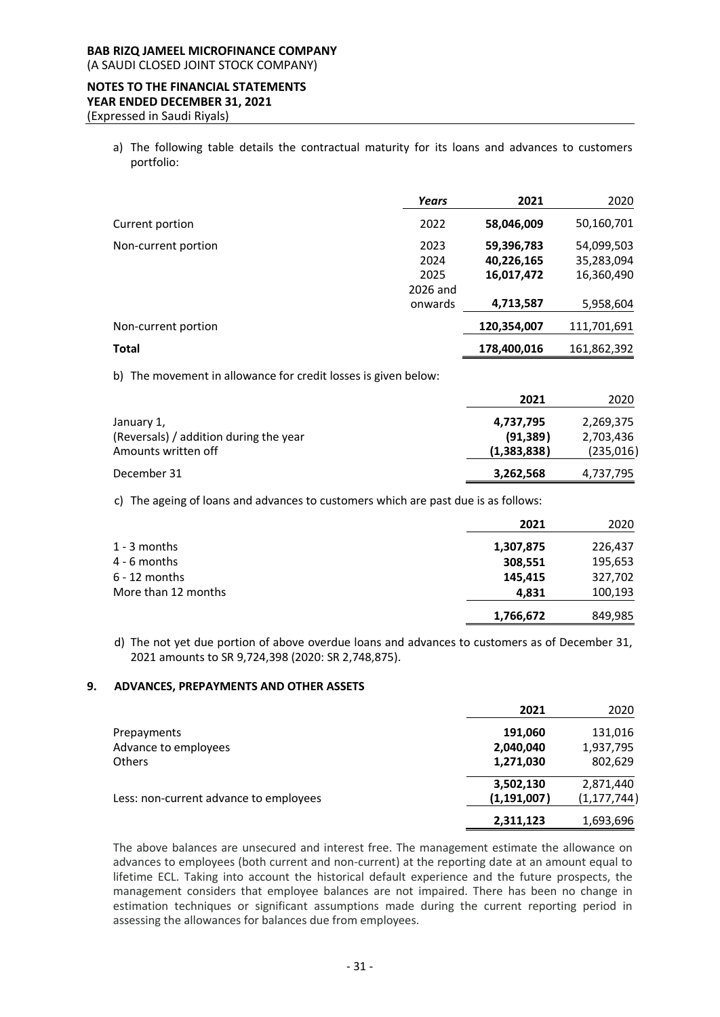(A SAUDI CLOSED JOINT STOCK COMPANY)

#### **NOTES TO THE FINANCIAL STATEMENTS YEAR ENDED DECEMBER 31, 2021** (Expressed in Saudi Riyals)

a) The following table details the contractual maturity for its loans and advances to customers portfolio:

|                     | Years    | 2021        | 2020        |
|---------------------|----------|-------------|-------------|
| Current portion     | 2022     | 58,046,009  | 50,160,701  |
| Non-current portion | 2023     | 59,396,783  | 54,099,503  |
|                     | 2024     | 40,226,165  | 35,283,094  |
|                     | 2025     | 16,017,472  | 16,360,490  |
|                     | 2026 and |             |             |
|                     | onwards  | 4,713,587   | 5,958,604   |
| Non-current portion |          | 120,354,007 | 111,701,691 |
| <b>Total</b>        |          | 178,400,016 | 161,862,392 |

b) The movement in allowance for credit losses is given below:

|                                        | 2021        | 2020      |
|----------------------------------------|-------------|-----------|
| January 1,                             | 4,737,795   | 2,269,375 |
| (Reversals) / addition during the year | (91.389)    | 2,703,436 |
| Amounts written off                    | (1,383,838) | (235,016) |
| December 31                            | 3,262,568   | 4,737,795 |

c) The ageing of loans and advances to customers which are past due is as follows:

| 2021      | 2020    |
|-----------|---------|
| 1,307,875 | 226,437 |
| 308,551   | 195,653 |
| 145,415   | 327,702 |
| 4,831     | 100,193 |
| 1,766,672 | 849,985 |
|           |         |

d) The not yet due portion of above overdue loans and advances to customers as of December 31, 2021 amounts to SR 9,724,398 (2020: SR 2,748,875).

#### **9. ADVANCES, PREPAYMENTS AND OTHER ASSETS**

|                                        | 2021          | 2020          |
|----------------------------------------|---------------|---------------|
| Prepayments                            | 191,060       | 131,016       |
| Advance to employees                   | 2,040,040     | 1,937,795     |
| <b>Others</b>                          | 1,271,030     | 802,629       |
|                                        | 3,502,130     | 2,871,440     |
| Less: non-current advance to employees | (1, 191, 007) | (1, 177, 744) |
|                                        | 2,311,123     | 1,693,696     |

The above balances are unsecured and interest free. The management estimate the allowance on advances to employees (both current and non-current) at the reporting date at an amount equal to lifetime ECL. Taking into account the historical default experience and the future prospects, the management considers that employee balances are not impaired. There has been no change in estimation techniques or significant assumptions made during the current reporting period in assessing the allowances for balances due from employees.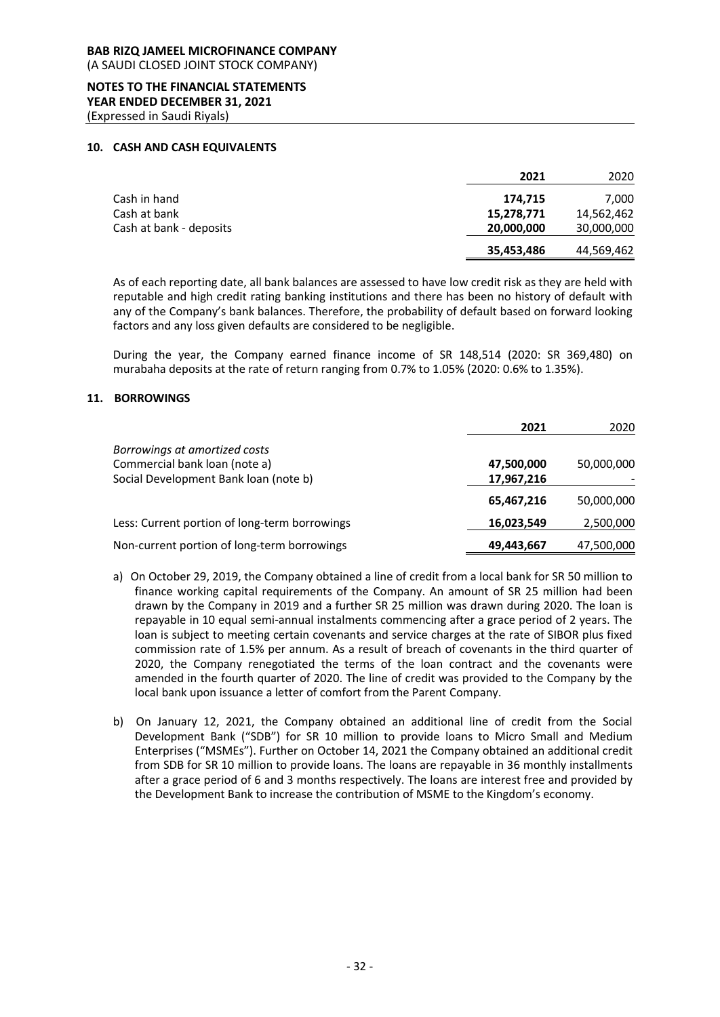(A SAUDI CLOSED JOINT STOCK COMPANY)

# **NOTES TO THE FINANCIAL STATEMENTS YEAR ENDED DECEMBER 31, 2021**

(Expressed in Saudi Riyals)

#### **10. CASH AND CASH EQUIVALENTS**

|                         | 2021       | 2020       |
|-------------------------|------------|------------|
| Cash in hand            | 174,715    | 7.000      |
| Cash at bank            | 15,278,771 | 14,562,462 |
| Cash at bank - deposits | 20,000,000 | 30,000,000 |
|                         | 35,453,486 | 44,569,462 |

As of each reporting date, all bank balances are assessed to have low credit risk as they are held with reputable and high credit rating banking institutions and there has been no history of default with any of the Company's bank balances. Therefore, the probability of default based on forward looking factors and any loss given defaults are considered to be negligible.

During the year, the Company earned finance income of SR 148,514 (2020: SR 369,480) on murabaha deposits at the rate of return ranging from 0.7% to 1.05% (2020: 0.6% to 1.35%).

# **11. BORROWINGS**

|                                                                | 2021                     | 2020       |
|----------------------------------------------------------------|--------------------------|------------|
| Borrowings at amortized costs<br>Commercial bank loan (note a) |                          |            |
| Social Development Bank loan (note b)                          | 47,500,000<br>17,967,216 | 50,000,000 |
|                                                                | 65,467,216               | 50,000,000 |
| Less: Current portion of long-term borrowings                  | 16,023,549               | 2,500,000  |
| Non-current portion of long-term borrowings                    | 49,443,667               | 47,500,000 |

- a) On October 29, 2019, the Company obtained a line of credit from a local bank for SR 50 million to finance working capital requirements of the Company. An amount of SR 25 million had been drawn by the Company in 2019 and a further SR 25 million was drawn during 2020. The loan is repayable in 10 equal semi-annual instalments commencing after a grace period of 2 years. The loan is subject to meeting certain covenants and service charges at the rate of SIBOR plus fixed commission rate of 1.5% per annum. As a result of breach of covenants in the third quarter of 2020, the Company renegotiated the terms of the loan contract and the covenants were amended in the fourth quarter of 2020. The line of credit was provided to the Company by the local bank upon issuance a letter of comfort from the Parent Company.
- b) On January 12, 2021, the Company obtained an additional line of credit from the Social Development Bank ("SDB") for SR 10 million to provide loans to Micro Small and Medium Enterprises ("MSMEs"). Further on October 14, 2021 the Company obtained an additional credit from SDB for SR 10 million to provide loans. The loans are repayable in 36 monthly installments after a grace period of 6 and 3 months respectively. The loans are interest free and provided by the Development Bank to increase the contribution of MSME to the Kingdom's economy.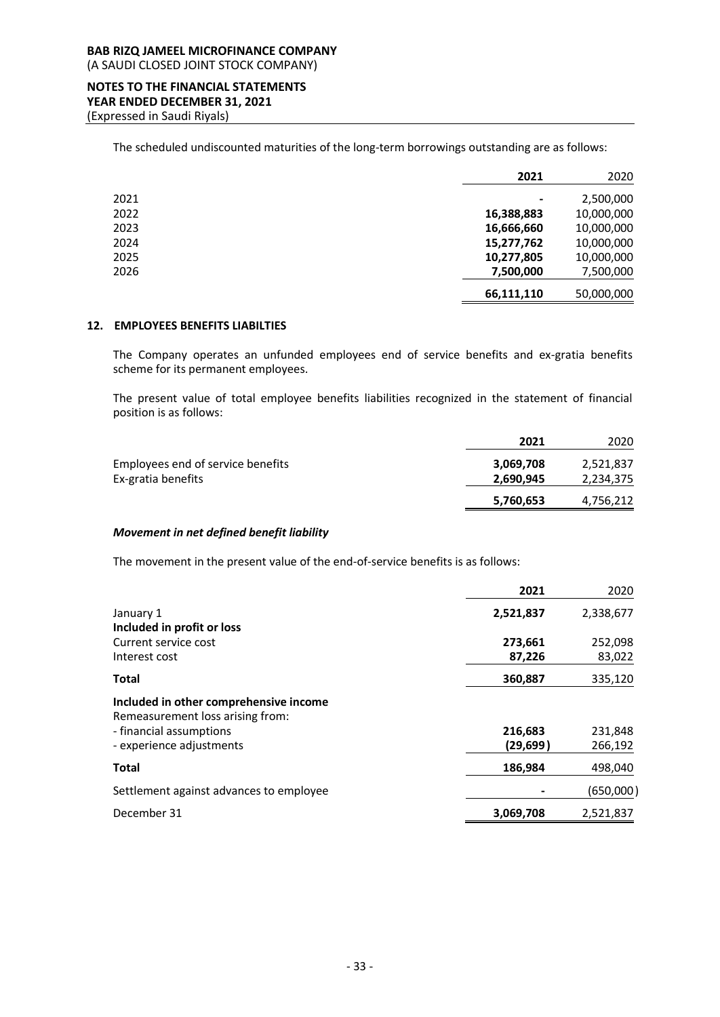(A SAUDI CLOSED JOINT STOCK COMPANY)

# **NOTES TO THE FINANCIAL STATEMENTS YEAR ENDED DECEMBER 31, 2021**

(Expressed in Saudi Riyals)

The scheduled undiscounted maturities of the long-term borrowings outstanding are as follows:

|      | 2021                     | 2020       |
|------|--------------------------|------------|
| 2021 | $\overline{\phantom{0}}$ | 2,500,000  |
| 2022 | 16,388,883               | 10,000,000 |
| 2023 | 16,666,660               | 10,000,000 |
| 2024 | 15,277,762               | 10,000,000 |
| 2025 | 10,277,805               | 10,000,000 |
| 2026 | 7,500,000                | 7,500,000  |
|      | 66,111,110               | 50,000,000 |

# **12. EMPLOYEES BENEFITS LIABILTIES**

The Company operates an unfunded employees end of service benefits and ex-gratia benefits scheme for its permanent employees.

The present value of total employee benefits liabilities recognized in the statement of financial position is as follows:

|                                   | 2021      | 2020      |
|-----------------------------------|-----------|-----------|
| Employees end of service benefits | 3,069,708 | 2,521,837 |
| Ex-gratia benefits                | 2,690,945 | 2,234,375 |
|                                   | 5,760,653 | 4,756,212 |

# *Movement in net defined benefit liability*

The movement in the present value of the end-of-service benefits is as follows:

|                                                                            | 2021      | 2020      |
|----------------------------------------------------------------------------|-----------|-----------|
| January 1                                                                  | 2,521,837 | 2,338,677 |
| Included in profit or loss                                                 |           |           |
| Current service cost                                                       | 273,661   | 252,098   |
| Interest cost                                                              | 87,226    | 83,022    |
| <b>Total</b>                                                               | 360,887   | 335,120   |
| Included in other comprehensive income<br>Remeasurement loss arising from: |           |           |
| - financial assumptions                                                    | 216,683   | 231,848   |
| - experience adjustments                                                   | (29, 699) | 266,192   |
| <b>Total</b>                                                               | 186,984   | 498,040   |
| Settlement against advances to employee                                    |           | (650,000) |
| December 31                                                                | 3,069,708 | 2,521,837 |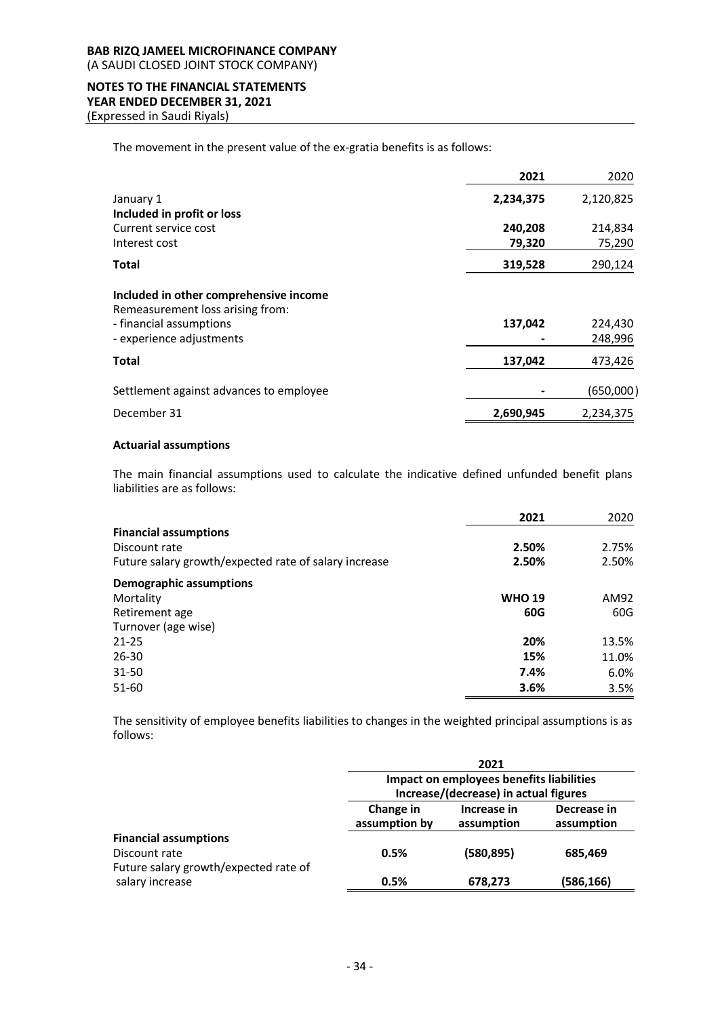(A SAUDI CLOSED JOINT STOCK COMPANY)

#### **NOTES TO THE FINANCIAL STATEMENTS YEAR ENDED DECEMBER 31, 2021**

(Expressed in Saudi Riyals)

The movement in the present value of the ex-gratia benefits is as follows:

|                                                                            | 2021      | 2020      |
|----------------------------------------------------------------------------|-----------|-----------|
| January 1<br>Included in profit or loss                                    | 2,234,375 | 2,120,825 |
| Current service cost                                                       | 240,208   | 214,834   |
| Interest cost                                                              | 79,320    | 75,290    |
| Total                                                                      | 319,528   | 290,124   |
| Included in other comprehensive income<br>Remeasurement loss arising from: |           |           |
| - financial assumptions                                                    | 137,042   | 224,430   |
| - experience adjustments                                                   |           | 248,996   |
| Total                                                                      | 137,042   | 473,426   |
| Settlement against advances to employee                                    |           | (650,000) |
| December 31                                                                | 2,690,945 | 2,234,375 |

# **Actuarial assumptions**

The main financial assumptions used to calculate the indicative defined unfunded benefit plans liabilities are as follows:

|                                                       | 2021          | 2020  |
|-------------------------------------------------------|---------------|-------|
| <b>Financial assumptions</b>                          |               |       |
| Discount rate                                         | 2.50%         | 2.75% |
| Future salary growth/expected rate of salary increase | 2.50%         | 2.50% |
| <b>Demographic assumptions</b>                        |               |       |
| Mortality                                             | <b>WHO 19</b> | AM92  |
| Retirement age                                        | 60G           | 60G   |
| Turnover (age wise)                                   |               |       |
| $21 - 25$                                             | 20%           | 13.5% |
| $26 - 30$                                             | 15%           | 11.0% |
| 31-50                                                 | 7.4%          | 6.0%  |
| 51-60                                                 | 3.6%          | 3.5%  |

The sensitivity of employee benefits liabilities to changes in the weighted principal assumptions is as follows:

|                                                                                        | 2021                       |                                          |                           |  |
|----------------------------------------------------------------------------------------|----------------------------|------------------------------------------|---------------------------|--|
|                                                                                        |                            | Impact on employees benefits liabilities |                           |  |
|                                                                                        |                            | Increase/(decrease) in actual figures    |                           |  |
|                                                                                        | Change in<br>assumption by | Increase in<br>assumption                | Decrease in<br>assumption |  |
| <b>Financial assumptions</b><br>Discount rate<br>Future salary growth/expected rate of | 0.5%                       | (580,895)                                | 685,469                   |  |
| salary increase                                                                        | 0.5%                       | 678,273                                  | (586,166)                 |  |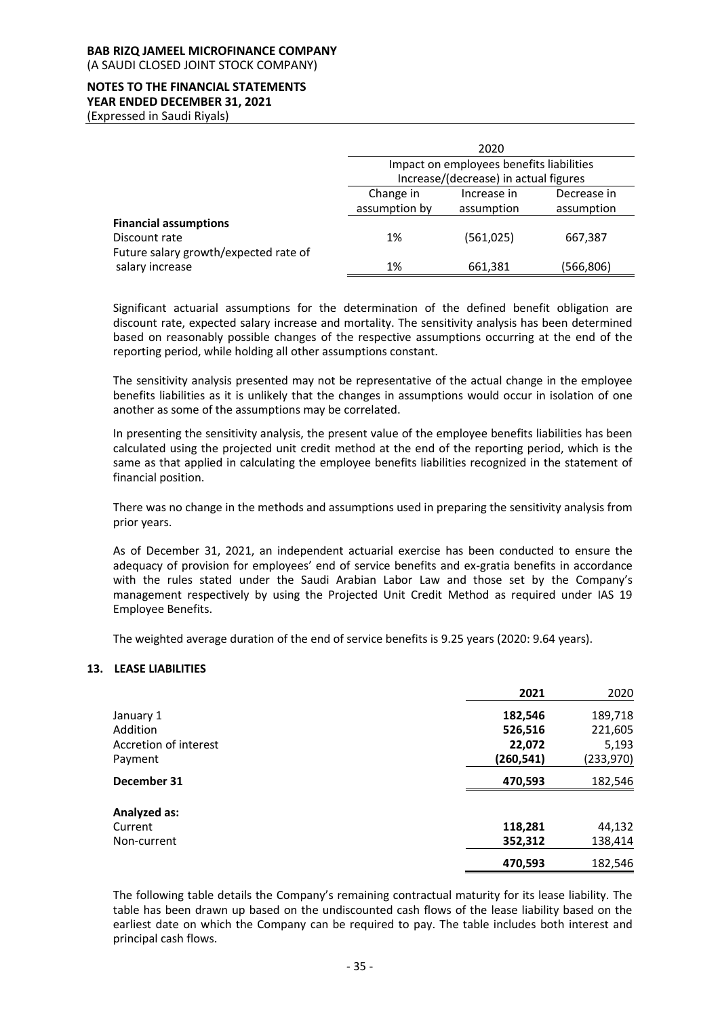(A SAUDI CLOSED JOINT STOCK COMPANY)

#### **NOTES TO THE FINANCIAL STATEMENTS YEAR ENDED DECEMBER 31, 2021**

(Expressed in Saudi Riyals)

|                                       | 2020                                     |            |            |
|---------------------------------------|------------------------------------------|------------|------------|
|                                       | Impact on employees benefits liabilities |            |            |
|                                       | Increase/(decrease) in actual figures    |            |            |
|                                       | Change in<br>Decrease in<br>Increase in  |            |            |
|                                       | assumption by                            | assumption | assumption |
| <b>Financial assumptions</b>          |                                          |            |            |
| Discount rate                         | 1%                                       | (561,025)  | 667,387    |
| Future salary growth/expected rate of |                                          |            |            |
| salary increase                       | 1%                                       | 661,381    | (566,806)  |

Significant actuarial assumptions for the determination of the defined benefit obligation are discount rate, expected salary increase and mortality. The sensitivity analysis has been determined based on reasonably possible changes of the respective assumptions occurring at the end of the reporting period, while holding all other assumptions constant.

The sensitivity analysis presented may not be representative of the actual change in the employee benefits liabilities as it is unlikely that the changes in assumptions would occur in isolation of one another as some of the assumptions may be correlated.

In presenting the sensitivity analysis, the present value of the employee benefits liabilities has been calculated using the projected unit credit method at the end of the reporting period, which is the same as that applied in calculating the employee benefits liabilities recognized in the statement of financial position.

There was no change in the methods and assumptions used in preparing the sensitivity analysis from prior years.

As of December 31, 2021, an independent actuarial exercise has been conducted to ensure the adequacy of provision for employees' end of service benefits and ex-gratia benefits in accordance with the rules stated under the Saudi Arabian Labor Law and those set by the Company's management respectively by using the Projected Unit Credit Method as required under IAS 19 Employee Benefits.

The weighted average duration of the end of service benefits is 9.25 years (2020: 9.64 years).

#### **13. LEASE LIABILITIES**

|                       | 2021       | 2020      |
|-----------------------|------------|-----------|
| January 1             | 182,546    | 189,718   |
| Addition              | 526,516    | 221,605   |
| Accretion of interest | 22,072     | 5,193     |
| Payment               | (260, 541) | (233,970) |
| December 31           | 470,593    | 182,546   |
| Analyzed as:          |            |           |
| Current               | 118,281    | 44,132    |
| Non-current           | 352,312    | 138,414   |
|                       | 470,593    | 182,546   |

The following table details the Company's remaining contractual maturity for its lease liability. The table has been drawn up based on the undiscounted cash flows of the lease liability based on the earliest date on which the Company can be required to pay. The table includes both interest and principal cash flows.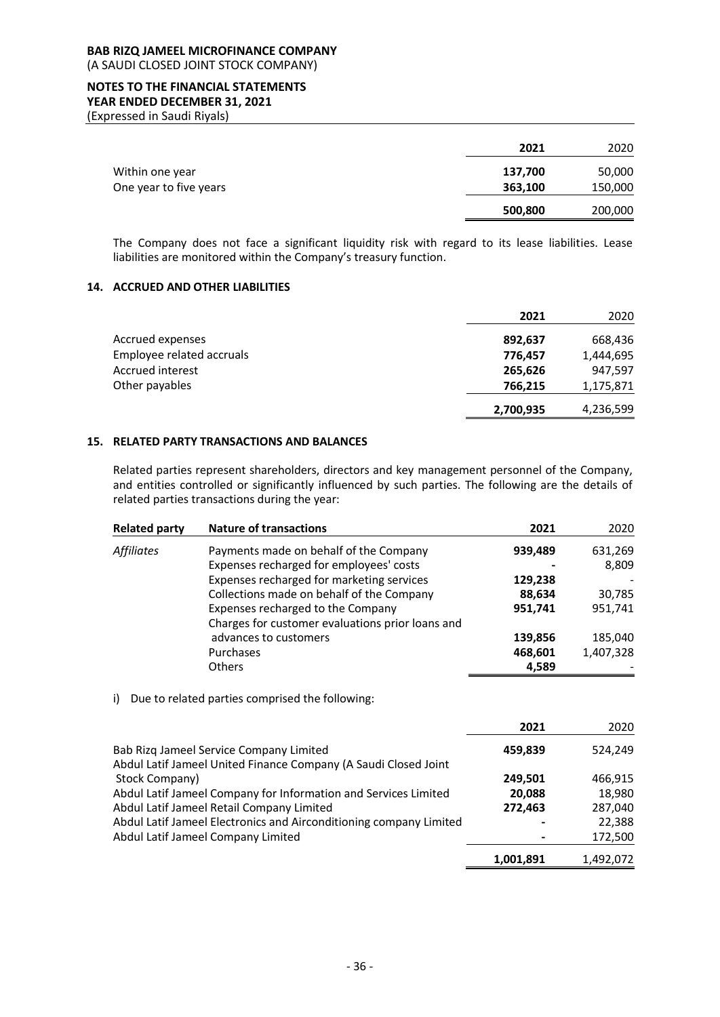(A SAUDI CLOSED JOINT STOCK COMPANY)

# **NOTES TO THE FINANCIAL STATEMENTS**

**YEAR ENDED DECEMBER 31, 2021** (Expressed in Saudi Riyals)

|                                           | 2021               | 2020              |
|-------------------------------------------|--------------------|-------------------|
| Within one year<br>One year to five years | 137,700<br>363,100 | 50,000<br>150,000 |
|                                           | 500,800            | 200,000           |

The Company does not face a significant liquidity risk with regard to its lease liabilities. Lease liabilities are monitored within the Company's treasury function.

# **14. ACCRUED AND OTHER LIABILITIES**

|                           | 2021      | 2020      |
|---------------------------|-----------|-----------|
| Accrued expenses          | 892,637   | 668,436   |
| Employee related accruals | 776,457   | 1,444,695 |
| Accrued interest          | 265,626   | 947.597   |
| Other payables            | 766,215   | 1,175,871 |
|                           | 2,700,935 | 4,236,599 |

# **15. RELATED PARTY TRANSACTIONS AND BALANCES**

Related parties represent shareholders, directors and key management personnel of the Company, and entities controlled or significantly influenced by such parties. The following are the details of related parties transactions during the year:

| <b>Related party</b> | <b>Nature of transactions</b>                                                                              | 2021      | 2020      |
|----------------------|------------------------------------------------------------------------------------------------------------|-----------|-----------|
| <b>Affiliates</b>    | Payments made on behalf of the Company                                                                     | 939,489   | 631,269   |
|                      | Expenses recharged for employees' costs                                                                    |           | 8,809     |
|                      | Expenses recharged for marketing services                                                                  | 129,238   |           |
|                      | Collections made on behalf of the Company                                                                  | 88,634    | 30,785    |
|                      | Expenses recharged to the Company                                                                          | 951,741   | 951,741   |
|                      | Charges for customer evaluations prior loans and                                                           |           |           |
|                      | advances to customers                                                                                      | 139,856   | 185,040   |
|                      | Purchases                                                                                                  | 468,601   | 1,407,328 |
|                      | <b>Others</b>                                                                                              | 4,589     |           |
|                      | Due to related parties comprised the following:                                                            | 2021      | 2020      |
|                      | Bab Rizq Jameel Service Company Limited<br>Abdul Latif Jameel United Finance Company (A Saudi Closed Joint | 459,839   | 524,249   |
| Stock Company)       |                                                                                                            | 249,501   | 466,915   |
|                      | Abdul Latif Jameel Company for Information and Services Limited                                            | 20,088    | 18,980    |
|                      | Abdul Latif Jameel Retail Company Limited                                                                  | 272,463   | 287,040   |
|                      | Abdul Latif Jameel Electronics and Airconditioning company Limited                                         |           | 22,388    |
|                      | Abdul Latif Jameel Company Limited                                                                         |           | 172,500   |
|                      |                                                                                                            | 1,001,891 | 1,492,072 |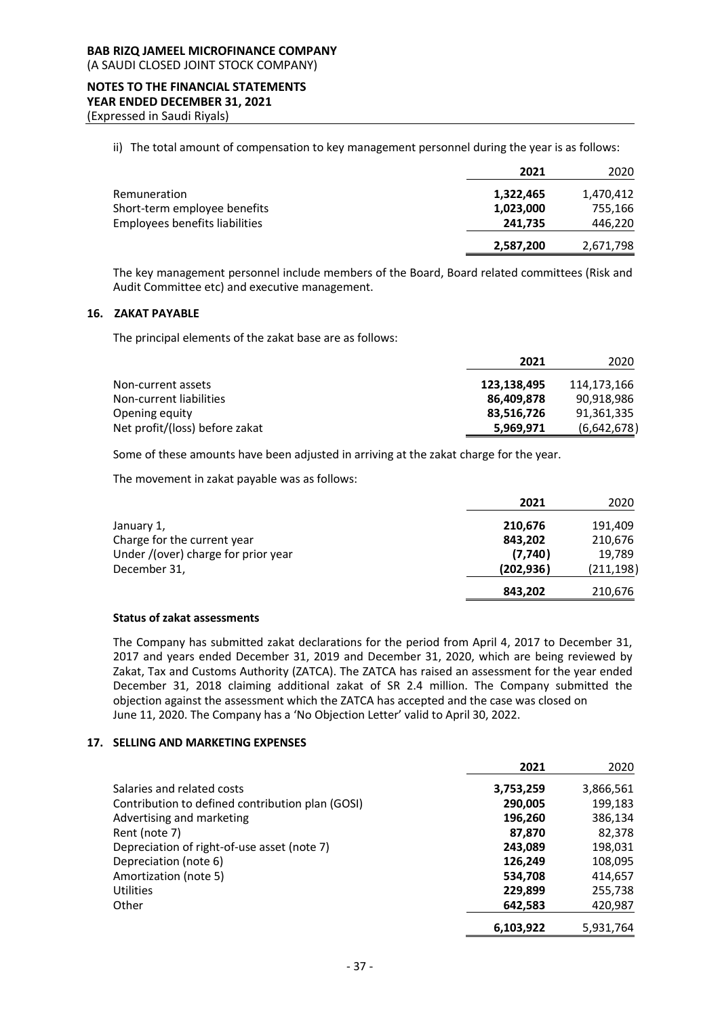(A SAUDI CLOSED JOINT STOCK COMPANY)

#### **NOTES TO THE FINANCIAL STATEMENTS YEAR ENDED DECEMBER 31, 2021** (Expressed in Saudi Riyals)

ii) The total amount of compensation to key management personnel during the year is as follows:

| 2021      | 2020      |
|-----------|-----------|
| 1,322,465 | 1,470,412 |
| 1,023,000 | 755,166   |
| 241.735   | 446,220   |
| 2,587,200 | 2,671,798 |
|           |           |

The key management personnel include members of the Board, Board related committees (Risk and Audit Committee etc) and executive management.

# **16. ZAKAT PAYABLE**

The principal elements of the zakat base are as follows:

|                                | 2021        | 2020        |
|--------------------------------|-------------|-------------|
| Non-current assets             | 123.138.495 | 114.173.166 |
| Non-current liabilities        | 86,409,878  | 90.918.986  |
| Opening equity                 | 83,516,726  | 91.361.335  |
| Net profit/(loss) before zakat | 5,969,971   | (6,642,678) |

Some of these amounts have been adjusted in arriving at the zakat charge for the year.

The movement in zakat payable was as follows:

|                                     | 2021       | 2020       |
|-------------------------------------|------------|------------|
| January 1,                          | 210,676    | 191.409    |
| Charge for the current year         | 843,202    | 210,676    |
| Under /(over) charge for prior year | (7,740)    | 19,789     |
| December 31,                        | (202, 936) | (211, 198) |
|                                     | 843.202    | 210,676    |

# **Status of zakat assessments**

The Company has submitted zakat declarations for the period from April 4, 2017 to December 31, 2017 and years ended December 31, 2019 and December 31, 2020, which are being reviewed by Zakat, Tax and Customs Authority (ZATCA). The ZATCA has raised an assessment for the year ended December 31, 2018 claiming additional zakat of SR 2.4 million. The Company submitted the objection against the assessment which the ZATCA has accepted and the case was closed on June 11, 2020. The Company has a 'No Objection Letter' valid to April 30, 2022.

#### **17. SELLING AND MARKETING EXPENSES**

|                                                  | 2021      | 2020      |
|--------------------------------------------------|-----------|-----------|
| Salaries and related costs                       | 3,753,259 | 3,866,561 |
| Contribution to defined contribution plan (GOSI) | 290,005   | 199,183   |
| Advertising and marketing                        | 196,260   | 386,134   |
| Rent (note 7)                                    | 87,870    | 82,378    |
| Depreciation of right-of-use asset (note 7)      | 243,089   | 198,031   |
| Depreciation (note 6)                            | 126,249   | 108,095   |
| Amortization (note 5)                            | 534,708   | 414,657   |
| <b>Utilities</b>                                 | 229,899   | 255,738   |
| Other                                            | 642,583   | 420,987   |
|                                                  | 6,103,922 | 5,931,764 |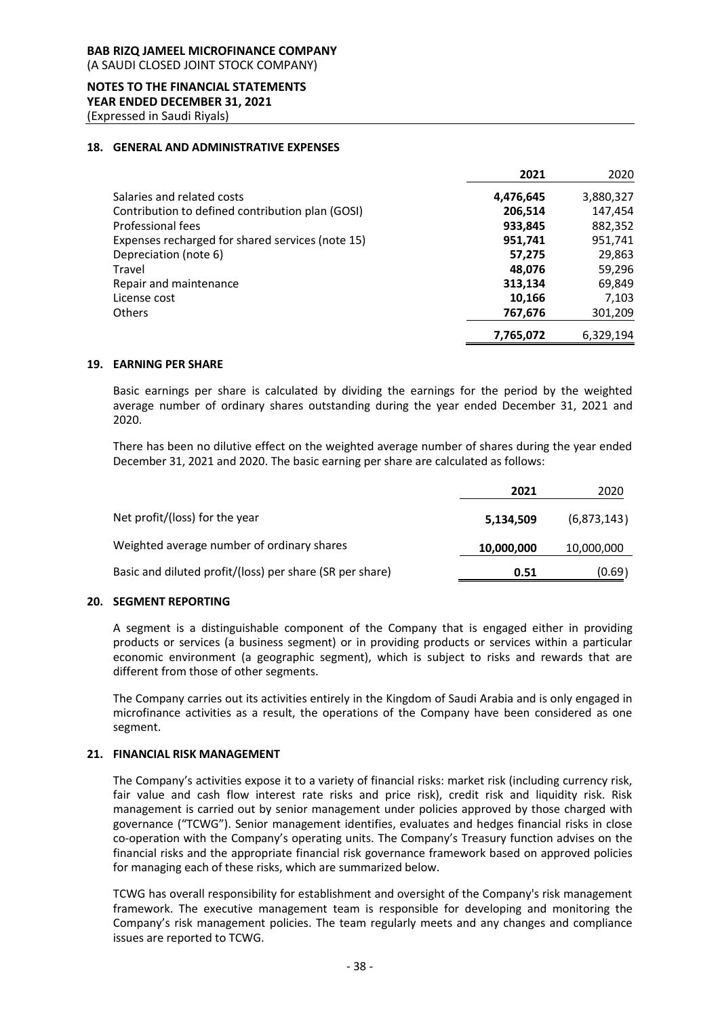(A SAUDI CLOSED JOINT STOCK COMPANY)

# **NOTES TO THE FINANCIAL STATEMENTS YEAR ENDED DECEMBER 31, 2021**

(Expressed in Saudi Riyals)

#### **18. GENERAL AND ADMINISTRATIVE EXPENSES**

|                                                  | 2021      | 2020      |
|--------------------------------------------------|-----------|-----------|
| Salaries and related costs                       | 4,476,645 | 3,880,327 |
| Contribution to defined contribution plan (GOSI) | 206,514   | 147,454   |
| Professional fees                                | 933,845   | 882,352   |
| Expenses recharged for shared services (note 15) | 951,741   | 951,741   |
| Depreciation (note 6)                            | 57,275    | 29,863    |
| Travel                                           | 48,076    | 59,296    |
| Repair and maintenance                           | 313,134   | 69,849    |
| License cost                                     | 10,166    | 7,103     |
| <b>Others</b>                                    | 767,676   | 301,209   |
|                                                  | 7,765,072 | 6,329,194 |

#### **19. EARNING PER SHARE**

Basic earnings per share is calculated by dividing the earnings for the period by the weighted average number of ordinary shares outstanding during the year ended December 31, 2021 and 2020.

There has been no dilutive effect on the weighted average number of shares during the year ended December 31, 2021 and 2020. The basic earning per share are calculated as follows:

|                                                          | 2021       | 2020        |
|----------------------------------------------------------|------------|-------------|
| Net profit/(loss) for the year                           | 5,134,509  | (6,873,143) |
| Weighted average number of ordinary shares               | 10,000,000 | 10,000,000  |
| Basic and diluted profit/(loss) per share (SR per share) | 0.51       | (0.69)      |

#### **20. SEGMENT REPORTING**

A segment is a distinguishable component of the Company that is engaged either in providing products or services (a business segment) or in providing products or services within a particular economic environment (a geographic segment), which is subject to risks and rewards that are different from those of other segments.

The Company carries out its activities entirely in the Kingdom of Saudi Arabia and is only engaged in microfinance activities as a result, the operations of the Company have been considered as one segment.

# **21. FINANCIAL RISK MANAGEMENT**

The Company's activities expose it to a variety of financial risks: market risk (including currency risk, fair value and cash flow interest rate risks and price risk), credit risk and liquidity risk. Risk management is carried out by senior management under policies approved by those charged with governance ("TCWG"). Senior management identifies, evaluates and hedges financial risks in close co-operation with the Company's operating units. The Company's Treasury function advises on the financial risks and the appropriate financial risk governance framework based on approved policies for managing each of these risks, which are summarized below.

TCWG has overall responsibility for establishment and oversight of the Company's risk management framework. The executive management team is responsible for developing and monitoring the Company's risk management policies. The team regularly meets and any changes and compliance issues are reported to TCWG.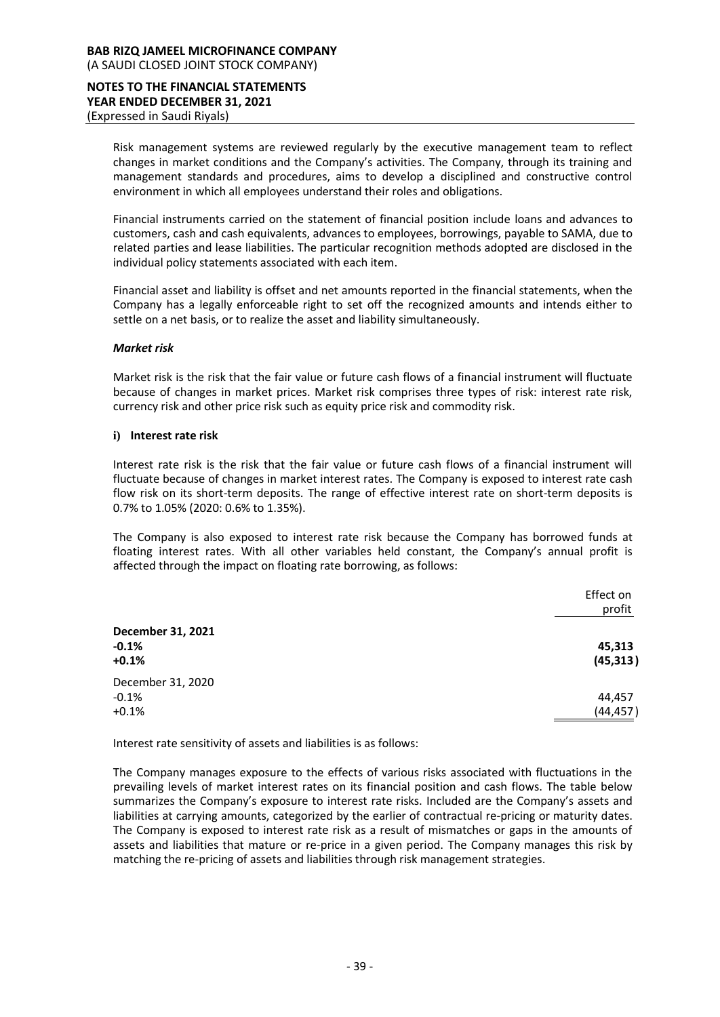Risk management systems are reviewed regularly by the executive management team to reflect changes in market conditions and the Company's activities. The Company, through its training and management standards and procedures, aims to develop a disciplined and constructive control environment in which all employees understand their roles and obligations.

Financial instruments carried on the statement of financial position include loans and advances to customers, cash and cash equivalents, advances to employees, borrowings, payable to SAMA, due to related parties and lease liabilities. The particular recognition methods adopted are disclosed in the individual policy statements associated with each item.

Financial asset and liability is offset and net amounts reported in the financial statements, when the Company has a legally enforceable right to set off the recognized amounts and intends either to settle on a net basis, or to realize the asset and liability simultaneously.

# *Market risk*

Market risk is the risk that the fair value or future cash flows of a financial instrument will fluctuate because of changes in market prices. Market risk comprises three types of risk: interest rate risk, currency risk and other price risk such as equity price risk and commodity risk.

#### **i) Interest rate risk**

Interest rate risk is the risk that the fair value or future cash flows of a financial instrument will fluctuate because of changes in market interest rates. The Company is exposed to interest rate cash flow risk on its short-term deposits. The range of effective interest rate on short-term deposits is 0.7% to 1.05% (2020: 0.6% to 1.35%).

The Company is also exposed to interest rate risk because the Company has borrowed funds at floating interest rates. With all other variables held constant, the Company's annual profit is affected through the impact on floating rate borrowing, as follows:

|                                         | Effect on<br>profit |
|-----------------------------------------|---------------------|
| December 31, 2021<br>$-0.1%$<br>$+0.1%$ | 45,313<br>(45, 313) |
| December 31, 2020<br>$-0.1%$<br>$+0.1%$ | 44,457<br>(44, 457) |

Interest rate sensitivity of assets and liabilities is as follows:

The Company manages exposure to the effects of various risks associated with fluctuations in the prevailing levels of market interest rates on its financial position and cash flows. The table below summarizes the Company's exposure to interest rate risks. Included are the Company's assets and liabilities at carrying amounts, categorized by the earlier of contractual re-pricing or maturity dates. The Company is exposed to interest rate risk as a result of mismatches or gaps in the amounts of assets and liabilities that mature or re-price in a given period. The Company manages this risk by matching the re-pricing of assets and liabilities through risk management strategies.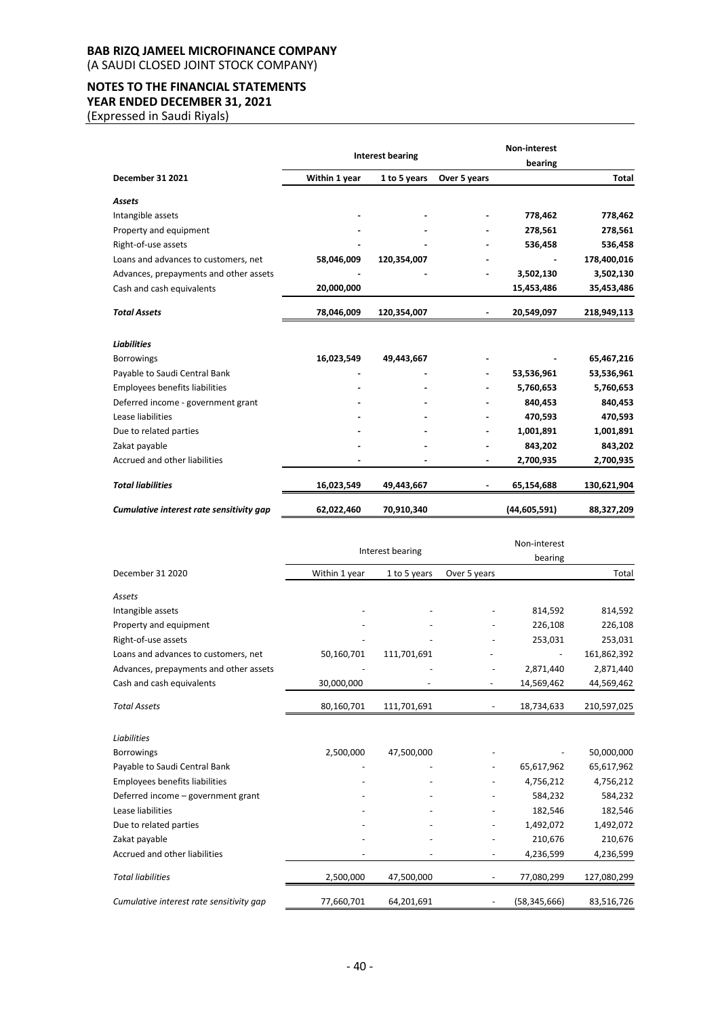(A SAUDI CLOSED JOINT STOCK COMPANY)

# **NOTES TO THE FINANCIAL STATEMENTS**

**YEAR ENDED DECEMBER 31, 2021** (Expressed in Saudi Riyals)

|                                          | <b>Interest bearing</b> |              |                | Non-interest<br>bearing |              |
|------------------------------------------|-------------------------|--------------|----------------|-------------------------|--------------|
| December 31 2021                         | Within 1 year           | 1 to 5 years | Over 5 years   |                         | <b>Total</b> |
| <b>Assets</b>                            |                         |              |                |                         |              |
| Intangible assets                        |                         |              |                | 778,462                 | 778,462      |
| Property and equipment                   |                         |              |                | 278,561                 | 278,561      |
| Right-of-use assets                      |                         |              |                | 536,458                 | 536,458      |
| Loans and advances to customers, net     | 58,046,009              | 120,354,007  |                |                         | 178,400,016  |
| Advances, prepayments and other assets   |                         |              |                | 3,502,130               | 3,502,130    |
| Cash and cash equivalents                | 20,000,000              |              |                | 15,453,486              | 35,453,486   |
| <b>Total Assets</b>                      | 78,046,009              | 120,354,007  | $\blacksquare$ | 20,549,097              | 218,949,113  |
| <b>Liabilities</b>                       |                         |              |                |                         |              |
| <b>Borrowings</b>                        | 16,023,549              | 49,443,667   |                |                         | 65,467,216   |
| Payable to Saudi Central Bank            |                         |              |                | 53,536,961              | 53,536,961   |
| Employees benefits liabilities           |                         |              |                | 5,760,653               | 5,760,653    |
| Deferred income - government grant       |                         |              |                | 840,453                 | 840,453      |
| Lease liabilities                        |                         |              |                | 470,593                 | 470,593      |
| Due to related parties                   |                         |              |                | 1,001,891               | 1,001,891    |
| Zakat payable                            |                         |              |                | 843,202                 | 843,202      |
| Accrued and other liabilities            |                         |              |                | 2,700,935               | 2,700,935    |
| <b>Total liabilities</b>                 | 16,023,549              | 49,443,667   |                | 65,154,688              | 130,621,904  |
| Cumulative interest rate sensitivity gap | 62,022,460              | 70,910,340   |                | (44, 605, 591)          | 88,327,209   |

|                                          |               |                  |              | Non-interest   |             |
|------------------------------------------|---------------|------------------|--------------|----------------|-------------|
|                                          |               | Interest bearing |              | bearing        |             |
| December 31 2020                         | Within 1 year | 1 to 5 years     | Over 5 years |                | Total       |
| Assets                                   |               |                  |              |                |             |
| Intangible assets                        |               |                  |              | 814,592        | 814,592     |
| Property and equipment                   |               |                  |              | 226,108        | 226,108     |
| Right-of-use assets                      |               |                  |              | 253,031        | 253,031     |
| Loans and advances to customers, net     | 50,160,701    | 111,701,691      |              |                | 161,862,392 |
| Advances, prepayments and other assets   |               |                  |              | 2,871,440      | 2,871,440   |
| Cash and cash equivalents                | 30,000,000    |                  |              | 14,569,462     | 44,569,462  |
| <b>Total Assets</b>                      | 80,160,701    | 111,701,691      |              | 18,734,633     | 210,597,025 |
| Liabilities                              |               |                  |              |                |             |
| <b>Borrowings</b>                        | 2,500,000     | 47,500,000       |              |                | 50,000,000  |
| Payable to Saudi Central Bank            |               |                  |              | 65,617,962     | 65,617,962  |
| Employees benefits liabilities           |               |                  |              | 4,756,212      | 4,756,212   |
| Deferred income - government grant       |               |                  |              | 584,232        | 584,232     |
| Lease liabilities                        |               |                  |              | 182,546        | 182,546     |
| Due to related parties                   |               |                  |              | 1,492,072      | 1,492,072   |
| Zakat payable                            |               |                  |              | 210,676        | 210,676     |
| Accrued and other liabilities            |               |                  |              | 4,236,599      | 4,236,599   |
| <b>Total liabilities</b>                 | 2,500,000     | 47,500,000       |              | 77,080,299     | 127,080,299 |
| Cumulative interest rate sensitivity gap | 77,660,701    | 64,201,691       |              | (58, 345, 666) | 83,516,726  |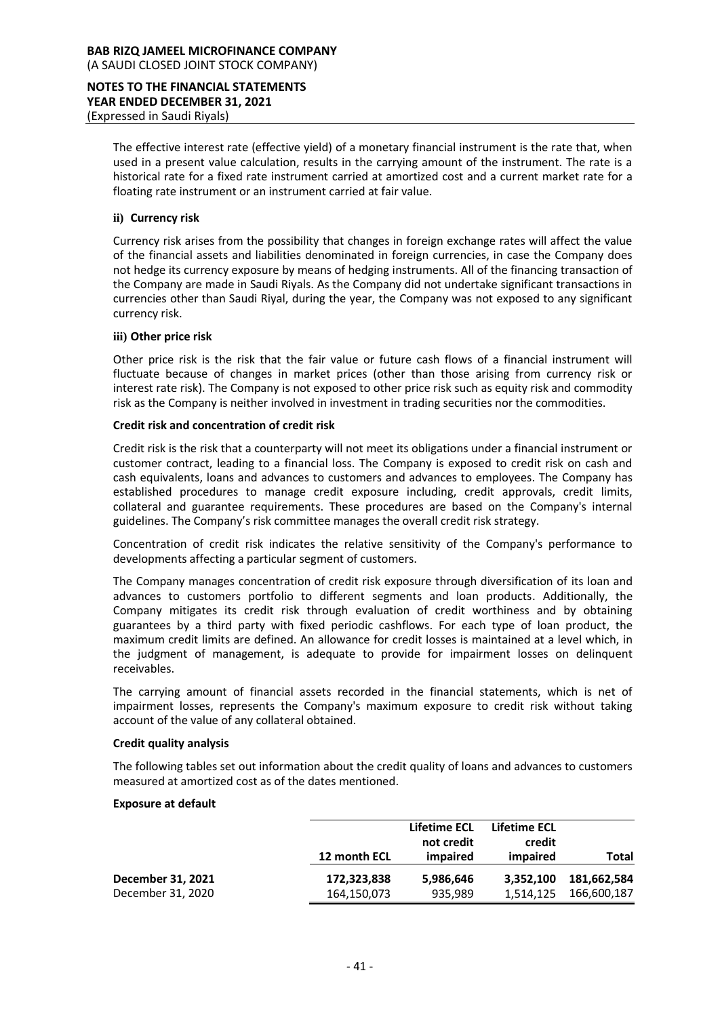The effective interest rate (effective yield) of a monetary financial instrument is the rate that, when used in a present value calculation, results in the carrying amount of the instrument. The rate is a historical rate for a fixed rate instrument carried at amortized cost and a current market rate for a floating rate instrument or an instrument carried at fair value.

# **ii) Currency risk**

Currency risk arises from the possibility that changes in foreign exchange rates will affect the value of the financial assets and liabilities denominated in foreign currencies, in case the Company does not hedge its currency exposure by means of hedging instruments. All of the financing transaction of the Company are made in Saudi Riyals. As the Company did not undertake significant transactions in currencies other than Saudi Riyal, during the year, the Company was not exposed to any significant currency risk.

#### **iii) Other price risk**

Other price risk is the risk that the fair value or future cash flows of a financial instrument will fluctuate because of changes in market prices (other than those arising from currency risk or interest rate risk). The Company is not exposed to other price risk such as equity risk and commodity risk as the Company is neither involved in investment in trading securities nor the commodities.

# **Credit risk and concentration of credit risk**

Credit risk is the risk that a counterparty will not meet its obligations under a financial instrument or customer contract, leading to a financial loss. The Company is exposed to credit risk on cash and cash equivalents, loans and advances to customers and advances to employees. The Company has established procedures to manage credit exposure including, credit approvals, credit limits, collateral and guarantee requirements. These procedures are based on the Company's internal guidelines. The Company's risk committee manages the overall credit risk strategy.

Concentration of credit risk indicates the relative sensitivity of the Company's performance to developments affecting a particular segment of customers.

The Company manages concentration of credit risk exposure through diversification of its loan and advances to customers portfolio to different segments and loan products. Additionally, the Company mitigates its credit risk through evaluation of credit worthiness and by obtaining guarantees by a third party with fixed periodic cashflows. For each type of loan product, the maximum credit limits are defined. An allowance for credit losses is maintained at a level which, in the judgment of management, is adequate to provide for impairment losses on delinquent receivables.

The carrying amount of financial assets recorded in the financial statements, which is net of impairment losses, represents the Company's maximum exposure to credit risk without taking account of the value of any collateral obtained.

#### **Credit quality analysis**

The following tables set out information about the credit quality of loans and advances to customers measured at amortized cost as of the dates mentioned.

#### **Exposure at default**

|                   |              | Lifetime ECL<br>not credit | Lifetime ECL<br>credit |             |
|-------------------|--------------|----------------------------|------------------------|-------------|
|                   | 12 month ECL | impaired                   | impaired               | Total       |
| December 31, 2021 | 172,323,838  | 5,986,646                  | 3.352.100              | 181.662.584 |
| December 31, 2020 | 164,150,073  | 935,989                    | 1.514.125              | 166,600,187 |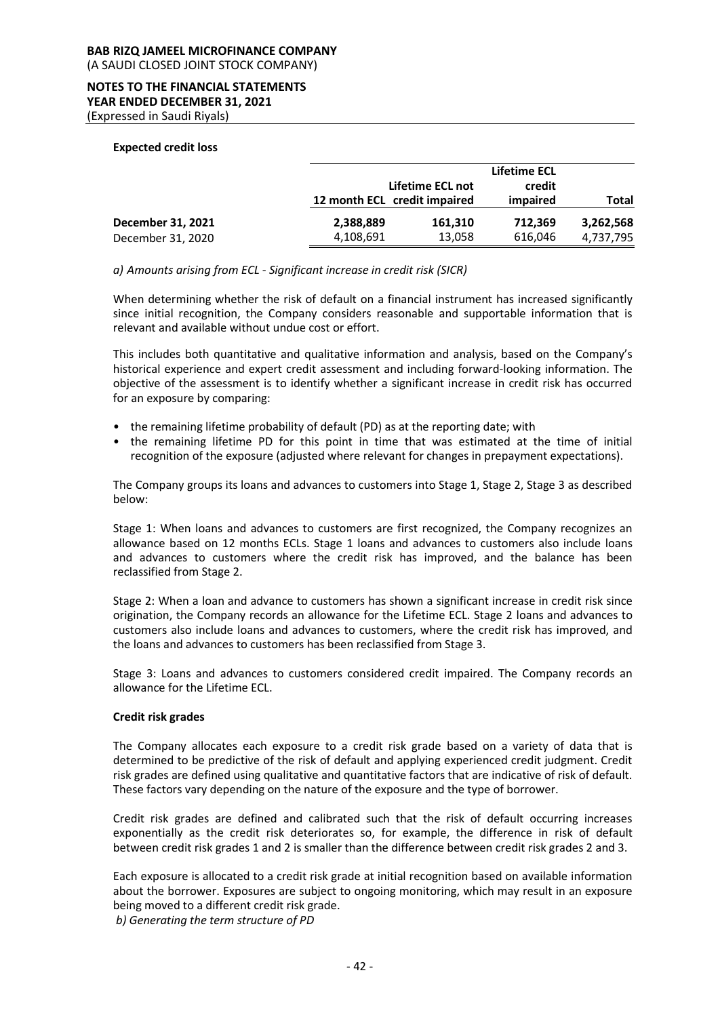# **NOTES TO THE FINANCIAL STATEMENTS YEAR ENDED DECEMBER 31, 2021** (Expressed in Saudi Riyals)

#### **Expected credit loss**

|                   |           | Lifetime ECL not<br>12 month ECL credit impaired | Lifetime ECL<br>credit<br>impaired | Total     |
|-------------------|-----------|--------------------------------------------------|------------------------------------|-----------|
| December 31, 2021 | 2,388,889 | 161,310                                          | 712.369                            | 3,262,568 |
| December 31, 2020 | 4,108,691 | 13,058                                           | 616,046                            | 4,737,795 |

*a) Amounts arising from ECL - Significant increase in credit risk (SICR)*

When determining whether the risk of default on a financial instrument has increased significantly since initial recognition, the Company considers reasonable and supportable information that is relevant and available without undue cost or effort.

This includes both quantitative and qualitative information and analysis, based on the Company's historical experience and expert credit assessment and including forward-looking information. The objective of the assessment is to identify whether a significant increase in credit risk has occurred for an exposure by comparing:

- the remaining lifetime probability of default (PD) as at the reporting date; with
- the remaining lifetime PD for this point in time that was estimated at the time of initial recognition of the exposure (adjusted where relevant for changes in prepayment expectations).

The Company groups its loans and advances to customers into Stage 1, Stage 2, Stage 3 as described below:

Stage 1: When loans and advances to customers are first recognized, the Company recognizes an allowance based on 12 months ECLs. Stage 1 loans and advances to customers also include loans and advances to customers where the credit risk has improved, and the balance has been reclassified from Stage 2.

Stage 2: When a loan and advance to customers has shown a significant increase in credit risk since origination, the Company records an allowance for the Lifetime ECL. Stage 2 loans and advances to customers also include loans and advances to customers, where the credit risk has improved, and the loans and advances to customers has been reclassified from Stage 3.

Stage 3: Loans and advances to customers considered credit impaired. The Company records an allowance for the Lifetime ECL.

# **Credit risk grades**

The Company allocates each exposure to a credit risk grade based on a variety of data that is determined to be predictive of the risk of default and applying experienced credit judgment. Credit risk grades are defined using qualitative and quantitative factors that are indicative of risk of default. These factors vary depending on the nature of the exposure and the type of borrower.

Credit risk grades are defined and calibrated such that the risk of default occurring increases exponentially as the credit risk deteriorates so, for example, the difference in risk of default between credit risk grades 1 and 2 is smaller than the difference between credit risk grades 2 and 3.

Each exposure is allocated to a credit risk grade at initial recognition based on available information about the borrower. Exposures are subject to ongoing monitoring, which may result in an exposure being moved to a different credit risk grade.

*b) Generating the term structure of PD*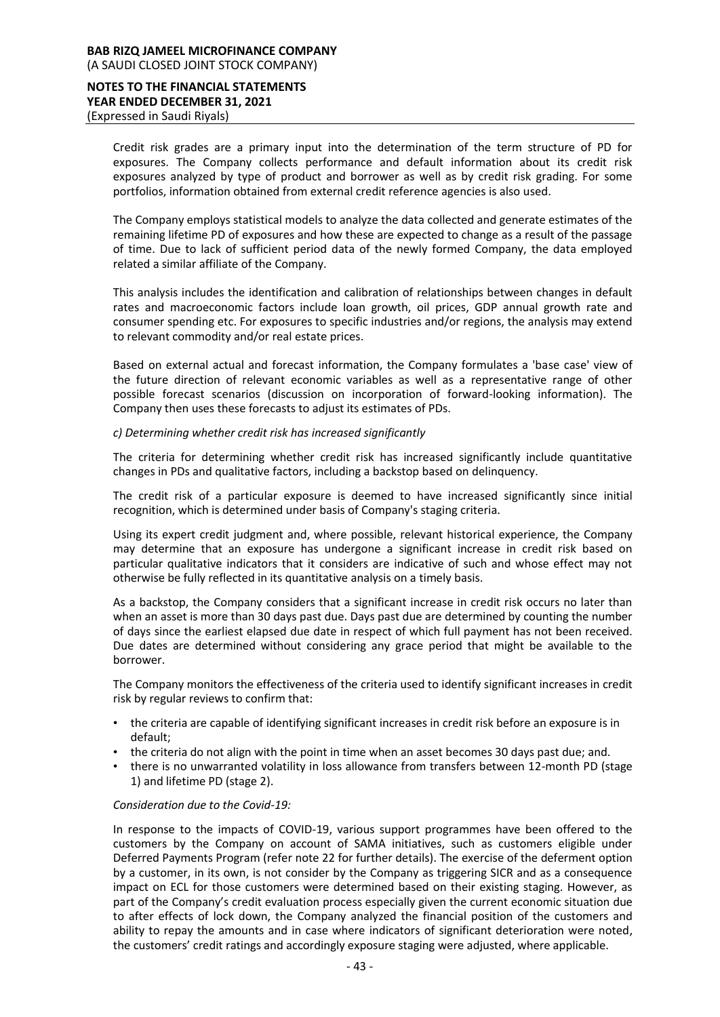Credit risk grades are a primary input into the determination of the term structure of PD for exposures. The Company collects performance and default information about its credit risk exposures analyzed by type of product and borrower as well as by credit risk grading. For some portfolios, information obtained from external credit reference agencies is also used.

The Company employs statistical models to analyze the data collected and generate estimates of the remaining lifetime PD of exposures and how these are expected to change as a result of the passage of time. Due to lack of sufficient period data of the newly formed Company, the data employed related a similar affiliate of the Company.

This analysis includes the identification and calibration of relationships between changes in default rates and macroeconomic factors include loan growth, oil prices, GDP annual growth rate and consumer spending etc. For exposures to specific industries and/or regions, the analysis may extend to relevant commodity and/or real estate prices.

Based on external actual and forecast information, the Company formulates a 'base case' view of the future direction of relevant economic variables as well as a representative range of other possible forecast scenarios (discussion on incorporation of forward-looking information). The Company then uses these forecasts to adjust its estimates of PDs.

# *c) Determining whether credit risk has increased significantly*

The criteria for determining whether credit risk has increased significantly include quantitative changes in PDs and qualitative factors, including a backstop based on delinquency.

The credit risk of a particular exposure is deemed to have increased significantly since initial recognition, which is determined under basis of Company's staging criteria.

Using its expert credit judgment and, where possible, relevant historical experience, the Company may determine that an exposure has undergone a significant increase in credit risk based on particular qualitative indicators that it considers are indicative of such and whose effect may not otherwise be fully reflected in its quantitative analysis on a timely basis.

As a backstop, the Company considers that a significant increase in credit risk occurs no later than when an asset is more than 30 days past due. Days past due are determined by counting the number of days since the earliest elapsed due date in respect of which full payment has not been received. Due dates are determined without considering any grace period that might be available to the borrower.

The Company monitors the effectiveness of the criteria used to identify significant increases in credit risk by regular reviews to confirm that:

- the criteria are capable of identifying significant increases in credit risk before an exposure is in default;
- the criteria do not align with the point in time when an asset becomes 30 days past due; and.
- there is no unwarranted volatility in loss allowance from transfers between 12-month PD (stage 1) and lifetime PD (stage 2).

#### *Consideration due to the Covid-19:*

In response to the impacts of COVID-19, various support programmes have been offered to the customers by the Company on account of SAMA initiatives, such as customers eligible under Deferred Payments Program (refer note 22 for further details). The exercise of the deferment option by a customer, in its own, is not consider by the Company as triggering SICR and as a consequence impact on ECL for those customers were determined based on their existing staging. However, as part of the Company's credit evaluation process especially given the current economic situation due to after effects of lock down, the Company analyzed the financial position of the customers and ability to repay the amounts and in case where indicators of significant deterioration were noted, the customers' credit ratings and accordingly exposure staging were adjusted, where applicable.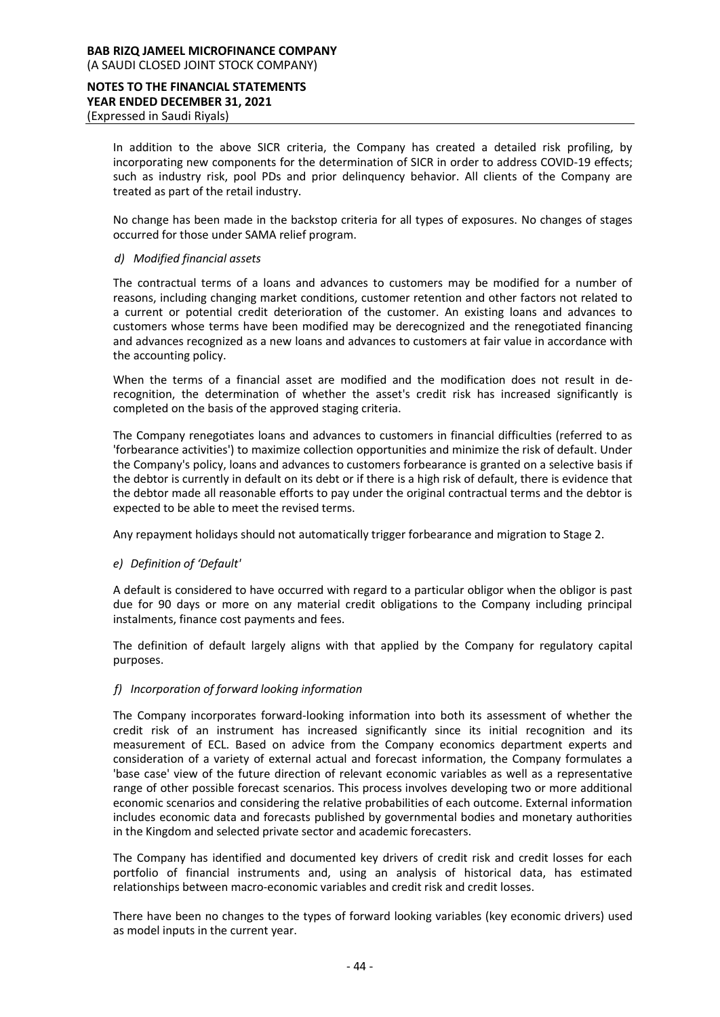In addition to the above SICR criteria, the Company has created a detailed risk profiling, by incorporating new components for the determination of SICR in order to address COVID-19 effects; such as industry risk, pool PDs and prior delinquency behavior. All clients of the Company are treated as part of the retail industry.

No change has been made in the backstop criteria for all types of exposures. No changes of stages occurred for those under SAMA relief program.

#### *d) Modified financial assets*

The contractual terms of a loans and advances to customers may be modified for a number of reasons, including changing market conditions, customer retention and other factors not related to a current or potential credit deterioration of the customer. An existing loans and advances to customers whose terms have been modified may be derecognized and the renegotiated financing and advances recognized as a new loans and advances to customers at fair value in accordance with the accounting policy.

When the terms of a financial asset are modified and the modification does not result in derecognition, the determination of whether the asset's credit risk has increased significantly is completed on the basis of the approved staging criteria.

The Company renegotiates loans and advances to customers in financial difficulties (referred to as 'forbearance activities') to maximize collection opportunities and minimize the risk of default. Under the Company's policy, loans and advances to customers forbearance is granted on a selective basis if the debtor is currently in default on its debt or if there is a high risk of default, there is evidence that the debtor made all reasonable efforts to pay under the original contractual terms and the debtor is expected to be able to meet the revised terms.

Any repayment holidays should not automatically trigger forbearance and migration to Stage 2.

# *e) Definition of 'Default'*

A default is considered to have occurred with regard to a particular obligor when the obligor is past due for 90 days or more on any material credit obligations to the Company including principal instalments, finance cost payments and fees.

The definition of default largely aligns with that applied by the Company for regulatory capital purposes.

#### *f) Incorporation of forward looking information*

The Company incorporates forward-looking information into both its assessment of whether the credit risk of an instrument has increased significantly since its initial recognition and its measurement of ECL. Based on advice from the Company economics department experts and consideration of a variety of external actual and forecast information, the Company formulates a 'base case' view of the future direction of relevant economic variables as well as a representative range of other possible forecast scenarios. This process involves developing two or more additional economic scenarios and considering the relative probabilities of each outcome. External information includes economic data and forecasts published by governmental bodies and monetary authorities in the Kingdom and selected private sector and academic forecasters.

The Company has identified and documented key drivers of credit risk and credit losses for each portfolio of financial instruments and, using an analysis of historical data, has estimated relationships between macro-economic variables and credit risk and credit losses.

There have been no changes to the types of forward looking variables (key economic drivers) used as model inputs in the current year.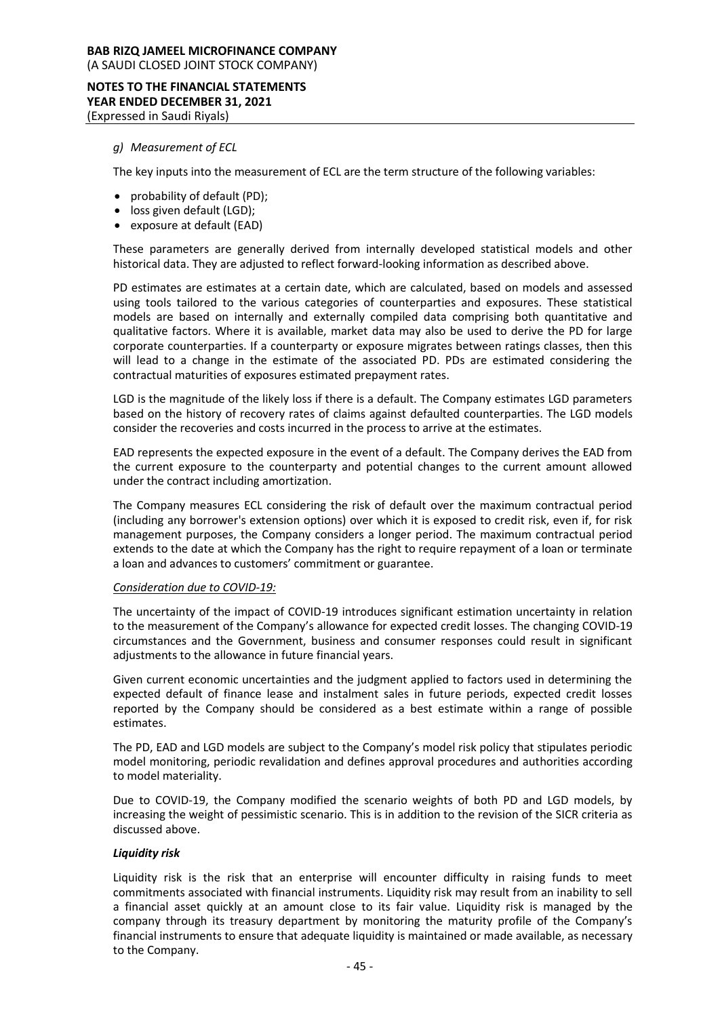#### *g) Measurement of ECL*

The key inputs into the measurement of ECL are the term structure of the following variables:

- probability of default (PD);
- loss given default (LGD);
- exposure at default (EAD)

These parameters are generally derived from internally developed statistical models and other historical data. They are adjusted to reflect forward-looking information as described above.

PD estimates are estimates at a certain date, which are calculated, based on models and assessed using tools tailored to the various categories of counterparties and exposures. These statistical models are based on internally and externally compiled data comprising both quantitative and qualitative factors. Where it is available, market data may also be used to derive the PD for large corporate counterparties. If a counterparty or exposure migrates between ratings classes, then this will lead to a change in the estimate of the associated PD. PDs are estimated considering the contractual maturities of exposures estimated prepayment rates.

LGD is the magnitude of the likely loss if there is a default. The Company estimates LGD parameters based on the history of recovery rates of claims against defaulted counterparties. The LGD models consider the recoveries and costs incurred in the process to arrive at the estimates.

EAD represents the expected exposure in the event of a default. The Company derives the EAD from the current exposure to the counterparty and potential changes to the current amount allowed under the contract including amortization.

The Company measures ECL considering the risk of default over the maximum contractual period (including any borrower's extension options) over which it is exposed to credit risk, even if, for risk management purposes, the Company considers a longer period. The maximum contractual period extends to the date at which the Company has the right to require repayment of a loan or terminate a loan and advances to customers' commitment or guarantee.

#### *Consideration due to COVID-19:*

The uncertainty of the impact of COVID-19 introduces significant estimation uncertainty in relation to the measurement of the Company's allowance for expected credit losses. The changing COVID-19 circumstances and the Government, business and consumer responses could result in significant adjustments to the allowance in future financial years.

Given current economic uncertainties and the judgment applied to factors used in determining the expected default of finance lease and instalment sales in future periods, expected credit losses reported by the Company should be considered as a best estimate within a range of possible estimates.

The PD, EAD and LGD models are subject to the Company's model risk policy that stipulates periodic model monitoring, periodic revalidation and defines approval procedures and authorities according to model materiality.

Due to COVID-19, the Company modified the scenario weights of both PD and LGD models, by increasing the weight of pessimistic scenario. This is in addition to the revision of the SICR criteria as discussed above.

#### *Liquidity risk*

Liquidity risk is the risk that an enterprise will encounter difficulty in raising funds to meet commitments associated with financial instruments. Liquidity risk may result from an inability to sell a financial asset quickly at an amount close to its fair value. Liquidity risk is managed by the company through its treasury department by monitoring the maturity profile of the Company's financial instruments to ensure that adequate liquidity is maintained or made available, as necessary to the Company.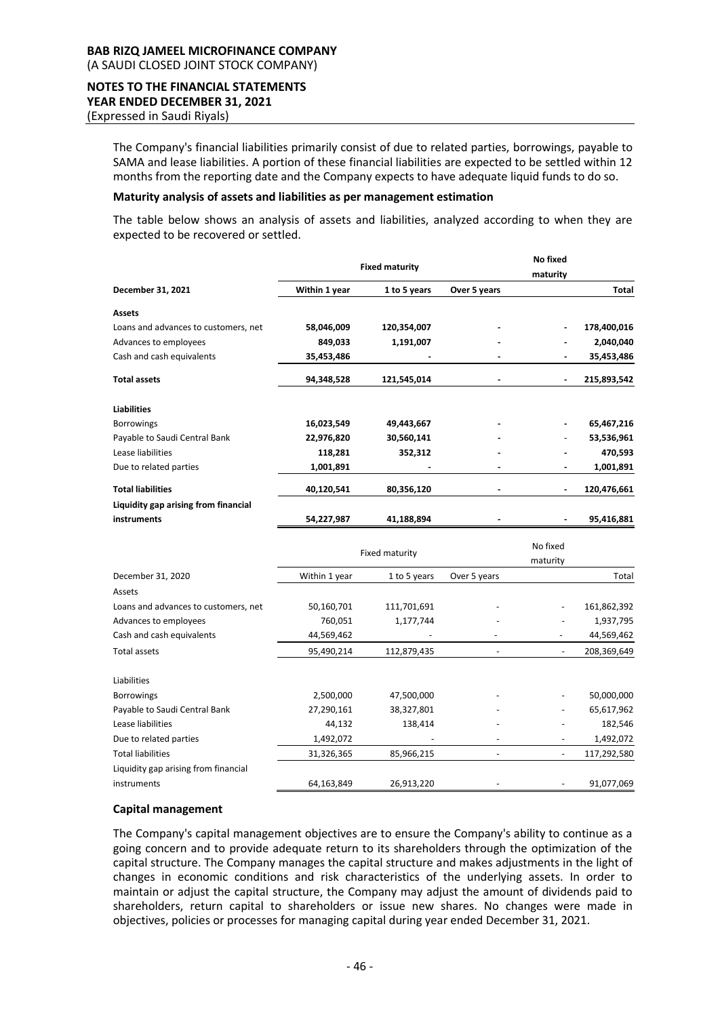The Company's financial liabilities primarily consist of due to related parties, borrowings, payable to SAMA and lease liabilities. A portion of these financial liabilities are expected to be settled within 12 months from the reporting date and the Company expects to have adequate liquid funds to do so.

#### **Maturity analysis of assets and liabilities as per management estimation**

The table below shows an analysis of assets and liabilities, analyzed according to when they are expected to be recovered or settled.

|                                      | <b>Fixed maturity</b> |                |                          | No fixed                 |             |
|--------------------------------------|-----------------------|----------------|--------------------------|--------------------------|-------------|
|                                      |                       |                |                          | maturity                 |             |
| December 31, 2021                    | Within 1 year         | 1 to 5 years   | Over 5 years             |                          | Total       |
| <b>Assets</b>                        |                       |                |                          |                          |             |
| Loans and advances to customers, net | 58,046,009            | 120,354,007    |                          |                          | 178,400,016 |
| Advances to employees                | 849,033               | 1,191,007      |                          |                          | 2,040,040   |
| Cash and cash equivalents            | 35,453,486            |                |                          |                          | 35,453,486  |
| <b>Total assets</b>                  | 94,348,528            | 121,545,014    |                          |                          | 215,893,542 |
| <b>Liabilities</b>                   |                       |                |                          |                          |             |
| <b>Borrowings</b>                    | 16,023,549            | 49,443,667     |                          |                          | 65,467,216  |
| Payable to Saudi Central Bank        | 22,976,820            | 30,560,141     |                          |                          | 53,536,961  |
| Lease liabilities                    | 118,281               | 352,312        |                          |                          | 470,593     |
| Due to related parties               | 1,001,891             |                |                          |                          | 1,001,891   |
| <b>Total liabilities</b>             | 40,120,541            | 80,356,120     |                          |                          | 120,476,661 |
| Liquidity gap arising from financial |                       |                |                          |                          |             |
| instruments                          | 54,227,987            | 41,188,894     |                          |                          | 95,416,881  |
|                                      |                       | Fixed maturity |                          | No fixed<br>maturity     |             |
| December 31, 2020                    | Within 1 year         | 1 to 5 years   | Over 5 years             |                          | Total       |
| Assets                               |                       |                |                          |                          |             |
| Loans and advances to customers, net | 50,160,701            | 111,701,691    |                          |                          | 161,862,392 |
| Advances to employees                | 760,051               | 1,177,744      |                          |                          | 1,937,795   |
| Cash and cash equivalents            | 44,569,462            |                |                          |                          | 44,569,462  |
| <b>Total assets</b>                  | 95,490,214            | 112,879,435    |                          |                          | 208,369,649 |
| Liabilities                          |                       |                |                          |                          |             |
| <b>Borrowings</b>                    | 2,500,000             | 47,500,000     |                          |                          | 50,000,000  |
| Payable to Saudi Central Bank        | 27,290,161            | 38,327,801     |                          |                          | 65,617,962  |
| Lease liabilities                    | 44,132                | 138,414        |                          |                          | 182,546     |
| Due to related parties               | 1,492,072             |                |                          |                          | 1,492,072   |
| <b>Total liabilities</b>             | 31,326,365            | 85,966,215     | $\overline{\phantom{a}}$ | $\overline{\phantom{a}}$ | 117,292,580 |
| Liquidity gap arising from financial |                       |                |                          |                          |             |
| instruments                          | 64,163,849            | 26,913,220     |                          |                          | 91,077,069  |

#### **Capital management**

The Company's capital management objectives are to ensure the Company's ability to continue as a going concern and to provide adequate return to its shareholders through the optimization of the capital structure. The Company manages the capital structure and makes adjustments in the light of changes in economic conditions and risk characteristics of the underlying assets. In order to maintain or adjust the capital structure, the Company may adjust the amount of dividends paid to shareholders, return capital to shareholders or issue new shares. No changes were made in objectives, policies or processes for managing capital during year ended December 31, 2021.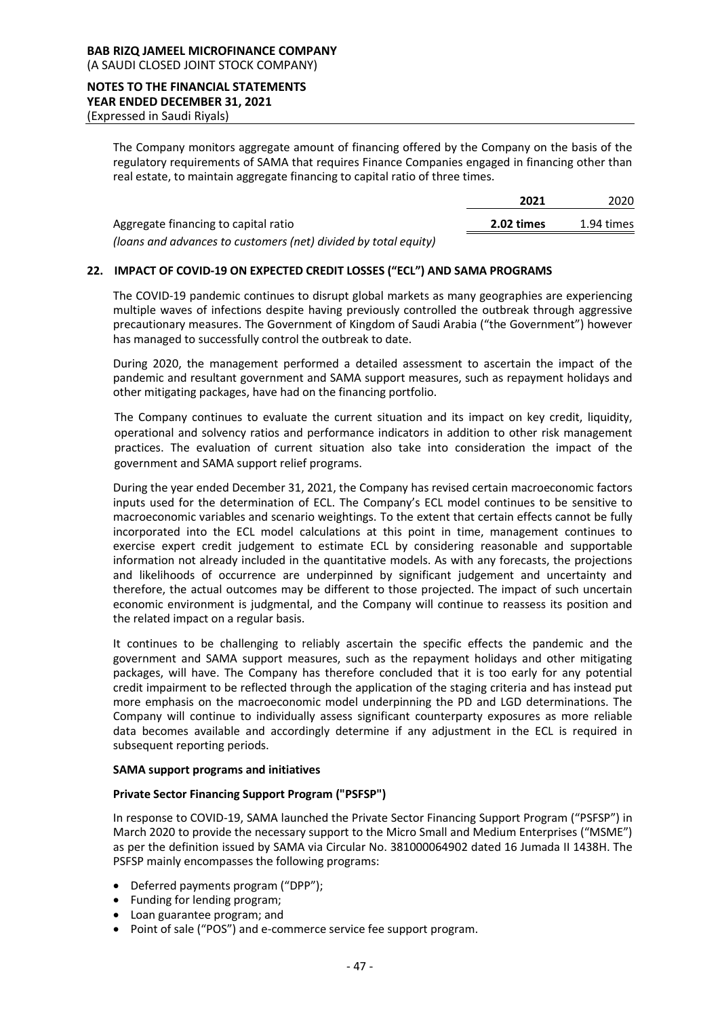The Company monitors aggregate amount of financing offered by the Company on the basis of the regulatory requirements of SAMA that requires Finance Companies engaged in financing other than real estate, to maintain aggregate financing to capital ratio of three times.

|                                                                 | 2021       | 2020       |
|-----------------------------------------------------------------|------------|------------|
| Aggregate financing to capital ratio                            | 2.02 times | 1.94 times |
| (loans and advances to customers (net) divided by total equity) |            |            |

# **22. IMPACT OF COVID-19 ON EXPECTED CREDIT LOSSES ("ECL") AND SAMA PROGRAMS**

The COVID-19 pandemic continues to disrupt global markets as many geographies are experiencing multiple waves of infections despite having previously controlled the outbreak through aggressive precautionary measures. The Government of Kingdom of Saudi Arabia ("the Government") however has managed to successfully control the outbreak to date.

During 2020, the management performed a detailed assessment to ascertain the impact of the pandemic and resultant government and SAMA support measures, such as repayment holidays and other mitigating packages, have had on the financing portfolio.

The Company continues to evaluate the current situation and its impact on key credit, liquidity, operational and solvency ratios and performance indicators in addition to other risk management practices. The evaluation of current situation also take into consideration the impact of the government and SAMA support relief programs.

During the year ended December 31, 2021, the Company has revised certain macroeconomic factors inputs used for the determination of ECL. The Company's ECL model continues to be sensitive to macroeconomic variables and scenario weightings. To the extent that certain effects cannot be fully incorporated into the ECL model calculations at this point in time, management continues to exercise expert credit judgement to estimate ECL by considering reasonable and supportable information not already included in the quantitative models. As with any forecasts, the projections and likelihoods of occurrence are underpinned by significant judgement and uncertainty and therefore, the actual outcomes may be different to those projected. The impact of such uncertain economic environment is judgmental, and the Company will continue to reassess its position and the related impact on a regular basis.

It continues to be challenging to reliably ascertain the specific effects the pandemic and the government and SAMA support measures, such as the repayment holidays and other mitigating packages, will have. The Company has therefore concluded that it is too early for any potential credit impairment to be reflected through the application of the staging criteria and has instead put more emphasis on the macroeconomic model underpinning the PD and LGD determinations. The Company will continue to individually assess significant counterparty exposures as more reliable data becomes available and accordingly determine if any adjustment in the ECL is required in subsequent reporting periods.

#### **SAMA support programs and initiatives**

#### **Private Sector Financing Support Program ("PSFSP")**

In response to COVID-19, SAMA launched the Private Sector Financing Support Program ("PSFSP") in March 2020 to provide the necessary support to the Micro Small and Medium Enterprises ("MSME") as per the definition issued by SAMA via Circular No. 381000064902 dated 16 Jumada II 1438H. The PSFSP mainly encompasses the following programs:

- Deferred payments program ("DPP");
- Funding for lending program;
- Loan guarantee program; and
- Point of sale ("POS") and e-commerce service fee support program.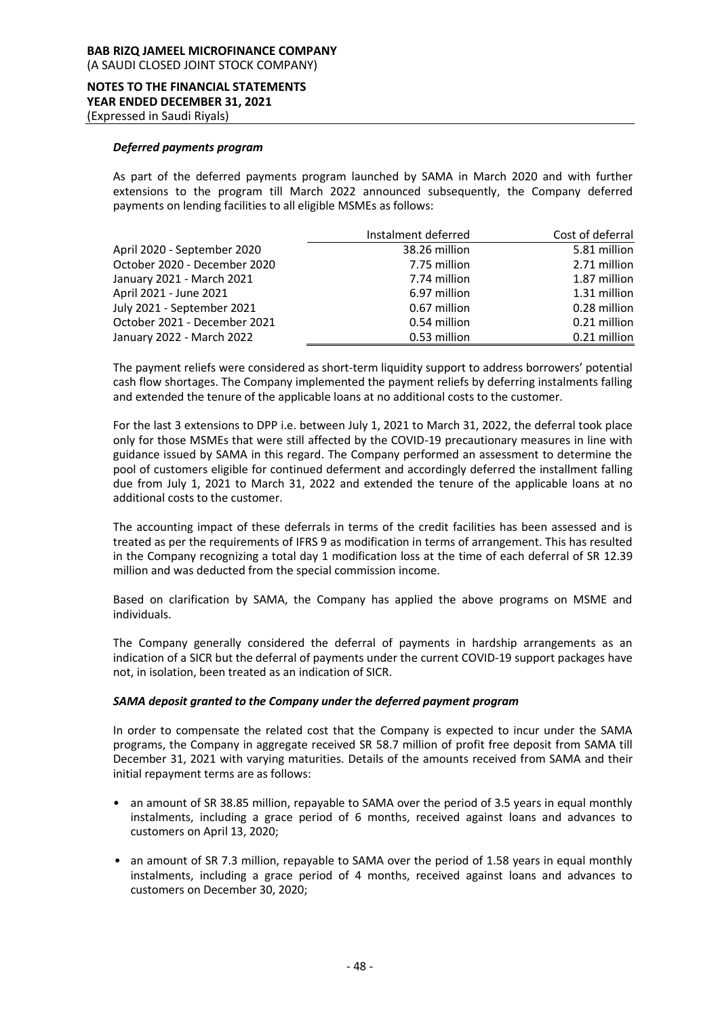#### *Deferred payments program*

As part of the deferred payments program launched by SAMA in March 2020 and with further extensions to the program till March 2022 announced subsequently, the Company deferred payments on lending facilities to all eligible MSMEs as follows:

|                              | Instalment deferred | Cost of deferral |
|------------------------------|---------------------|------------------|
| April 2020 - September 2020  | 38.26 million       | 5.81 million     |
| October 2020 - December 2020 | 7.75 million        | 2.71 million     |
| January 2021 - March 2021    | 7.74 million        | 1.87 million     |
| April 2021 - June 2021       | 6.97 million        | 1.31 million     |
| July 2021 - September 2021   | 0.67 million        | 0.28 million     |
| October 2021 - December 2021 | 0.54 million        | 0.21 million     |
| January 2022 - March 2022    | 0.53 million        | 0.21 million     |

The payment reliefs were considered as short-term liquidity support to address borrowers' potential cash flow shortages. The Company implemented the payment reliefs by deferring instalments falling and extended the tenure of the applicable loans at no additional costs to the customer.

For the last 3 extensions to DPP i.e. between July 1, 2021 to March 31, 2022, the deferral took place only for those MSMEs that were still affected by the COVID-19 precautionary measures in line with guidance issued by SAMA in this regard. The Company performed an assessment to determine the pool of customers eligible for continued deferment and accordingly deferred the installment falling due from July 1, 2021 to March 31, 2022 and extended the tenure of the applicable loans at no additional costs to the customer.

The accounting impact of these deferrals in terms of the credit facilities has been assessed and is treated as per the requirements of IFRS 9 as modification in terms of arrangement. This has resulted in the Company recognizing a total day 1 modification loss at the time of each deferral of SR 12.39 million and was deducted from the special commission income.

Based on clarification by SAMA, the Company has applied the above programs on MSME and individuals.

The Company generally considered the deferral of payments in hardship arrangements as an indication of a SICR but the deferral of payments under the current COVID-19 support packages have not, in isolation, been treated as an indication of SICR.

#### *SAMA deposit granted to the Company under the deferred payment program*

In order to compensate the related cost that the Company is expected to incur under the SAMA programs, the Company in aggregate received SR 58.7 million of profit free deposit from SAMA till December 31, 2021 with varying maturities. Details of the amounts received from SAMA and their initial repayment terms are as follows:

- an amount of SR 38.85 million, repayable to SAMA over the period of 3.5 years in equal monthly instalments, including a grace period of 6 months, received against loans and advances to customers on April 13, 2020;
- an amount of SR 7.3 million, repayable to SAMA over the period of 1.58 years in equal monthly instalments, including a grace period of 4 months, received against loans and advances to customers on December 30, 2020;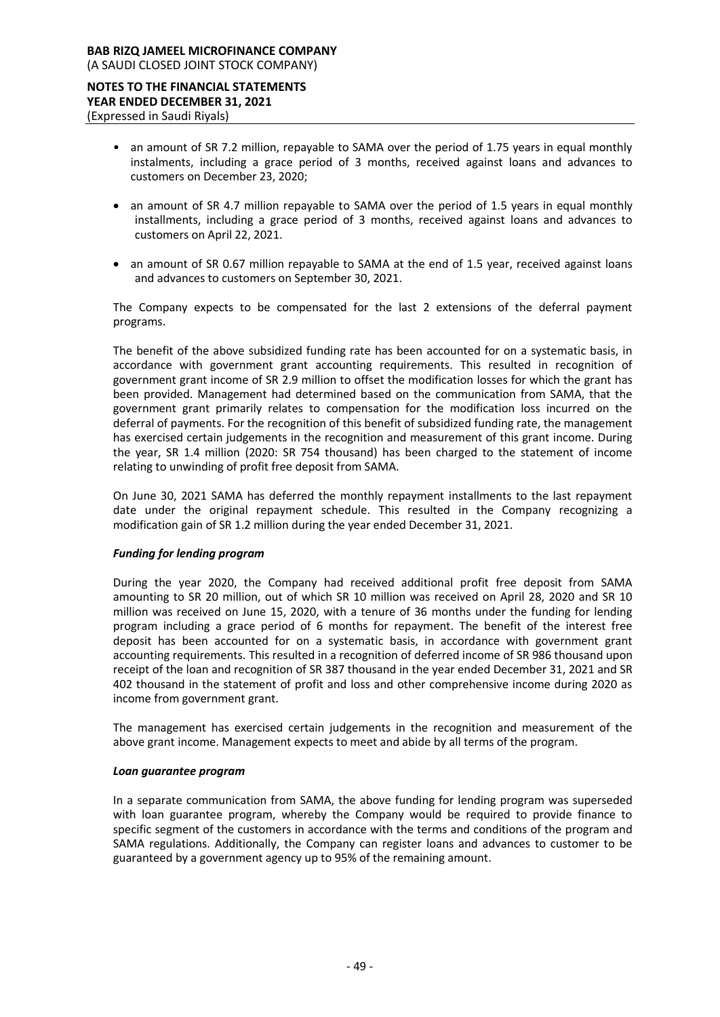- an amount of SR 7.2 million, repayable to SAMA over the period of 1.75 years in equal monthly instalments, including a grace period of 3 months, received against loans and advances to customers on December 23, 2020;
- an amount of SR 4.7 million repayable to SAMA over the period of 1.5 years in equal monthly installments, including a grace period of 3 months, received against loans and advances to customers on April 22, 2021.
- an amount of SR 0.67 million repayable to SAMA at the end of 1.5 year, received against loans and advances to customers on September 30, 2021.

The Company expects to be compensated for the last 2 extensions of the deferral payment programs.

The benefit of the above subsidized funding rate has been accounted for on a systematic basis, in accordance with government grant accounting requirements. This resulted in recognition of government grant income of SR 2.9 million to offset the modification losses for which the grant has been provided. Management had determined based on the communication from SAMA, that the government grant primarily relates to compensation for the modification loss incurred on the deferral of payments. For the recognition of this benefit of subsidized funding rate, the management has exercised certain judgements in the recognition and measurement of this grant income. During the year, SR 1.4 million (2020: SR 754 thousand) has been charged to the statement of income relating to unwinding of profit free deposit from SAMA.

On June 30, 2021 SAMA has deferred the monthly repayment installments to the last repayment date under the original repayment schedule. This resulted in the Company recognizing a modification gain of SR 1.2 million during the year ended December 31, 2021.

#### *Funding for lending program*

During the year 2020, the Company had received additional profit free deposit from SAMA amounting to SR 20 million, out of which SR 10 million was received on April 28, 2020 and SR 10 million was received on June 15, 2020, with a tenure of 36 months under the funding for lending program including a grace period of 6 months for repayment. The benefit of the interest free deposit has been accounted for on a systematic basis, in accordance with government grant accounting requirements. This resulted in a recognition of deferred income of SR 986 thousand upon receipt of the loan and recognition of SR 387 thousand in the year ended December 31, 2021 and SR 402 thousand in the statement of profit and loss and other comprehensive income during 2020 as income from government grant.

The management has exercised certain judgements in the recognition and measurement of the above grant income. Management expects to meet and abide by all terms of the program.

#### *Loan guarantee program*

In a separate communication from SAMA, the above funding for lending program was superseded with loan guarantee program, whereby the Company would be required to provide finance to specific segment of the customers in accordance with the terms and conditions of the program and SAMA regulations. Additionally, the Company can register loans and advances to customer to be guaranteed by a government agency up to 95% of the remaining amount.